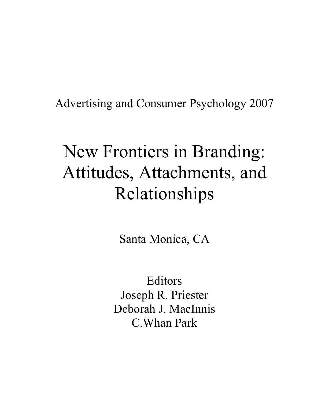Advertising and Consumer Psychology 2007

# New Frontiers in Branding: Attitudes, Attachments, and Relationships

Santa Monica, CA

Editors Joseph R. Priester Deborah J. MacInnis C.Whan Park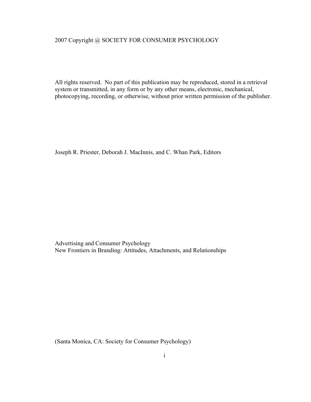#### 2007 Copyright @ SOCIETY FOR CONSUMER PSYCHOLOGY

All rights reserved. No part of this publication may be reproduced, stored in a retrieval system or transmitted, in any form or by any other means, electronic, mechanical, photocopying, recording, or otherwise, without prior written permission of the publisher.

Joseph R. Priester, Deborah J. MacInnis, and C. Whan Park, Editors

Advertising and Consumer Psychology New Frontiers in Branding: Attitudes, Attachments, and Relationships

(Santa Monica, CA: Society for Consumer Psychology)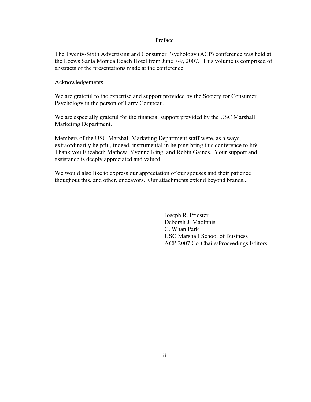#### Preface

The Twenty-Sixth Advertising and Consumer Psychology (ACP) conference was held at the Loews Santa Monica Beach Hotel from June 7-9, 2007. This volume is comprised of abstracts of the presentations made at the conference.

Acknowledgements

We are grateful to the expertise and support provided by the Society for Consumer Psychology in the person of Larry Compeau.

We are especially grateful for the financial support provided by the USC Marshall Marketing Department.

Members of the USC Marshall Marketing Department staff were, as always, extraordinarily helpful, indeed, instrumental in helping bring this conference to life. Thank you Elizabeth Mathew, Yvonne King, and Robin Gaines. Your support and assistance is deeply appreciated and valued.

We would also like to express our appreciation of our spouses and their patience thoughout this, and other, endeavors. Our attachments extend beyond brands...

> Joseph R. Priester Deborah J. MacInnis C. Whan Park USC Marshall School of Business ACP 2007 Co-Chairs/Proceedings Editors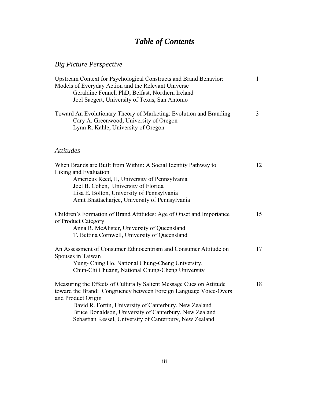## *Table of Contents*

## *Big Picture Perspective*

| Upstream Context for Psychological Constructs and Brand Behavior:                                                                                    |   |
|------------------------------------------------------------------------------------------------------------------------------------------------------|---|
| Models of Everyday Action and the Relevant Universe                                                                                                  |   |
| Geraldine Fennell PhD, Belfast, Northern Ireland                                                                                                     |   |
| Joel Saegert, University of Texas, San Antonio                                                                                                       |   |
| Toward An Evolutionary Theory of Marketing: Evolution and Branding<br>Cary A. Greenwood, University of Oregon<br>Lynn R. Kahle, University of Oregon | 3 |

### *Attitudes*

| When Brands are Built from Within: A Social Identity Pathway to<br>Liking and Evaluation    | 12 |
|---------------------------------------------------------------------------------------------|----|
| Americus Reed, II, University of Pennsylvania                                               |    |
| Joel B. Cohen, University of Florida                                                        |    |
| Lisa E. Bolton, University of Pennsylvania                                                  |    |
| Amit Bhattacharjee, University of Pennsylvania                                              |    |
| Children's Formation of Brand Attitudes: Age of Onset and Importance<br>of Product Category | 15 |
| Anna R. McAlister, University of Queensland                                                 |    |
| T. Bettina Cornwell, University of Queensland                                               |    |
| An Assessment of Consumer Ethnocentrism and Consumer Attitude on<br>Spouses in Taiwan       | 17 |
| Yung- Ching Ho, National Chung-Cheng University,                                            |    |
| Chun-Chi Chuang, National Chung-Cheng University                                            |    |
| Measuring the Effects of Culturally Salient Message Cues on Attitude                        | 18 |
| toward the Brand: Congruency between Foreign Language Voice-Overs                           |    |
| and Product Origin                                                                          |    |
| David R. Fortin, University of Canterbury, New Zealand                                      |    |
| Bruce Donaldson, University of Canterbury, New Zealand                                      |    |
| Sebastian Kessel, University of Canterbury, New Zealand                                     |    |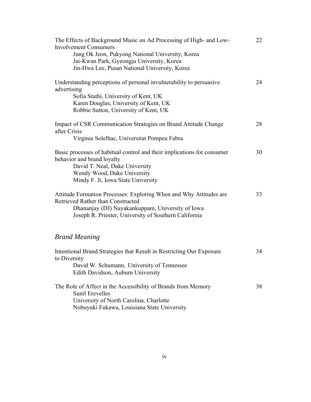| The Effects of Background Music on Ad Processing of High- and Low-<br><b>Involvement Consumers</b>                                                                                                                   | 22 |
|----------------------------------------------------------------------------------------------------------------------------------------------------------------------------------------------------------------------|----|
| Jung Ok Jeon, Pukyong National University, Korea<br>Jai-Kwan Park, Gyeongju University, Korea<br>Jin-Hwa Lee, Pusan National University, Korea                                                                       |    |
| Understanding perceptions of personal invulnerability to persuasive<br>advertising<br>Sofia Stathi, University of Kent, UK<br>Karen Douglas, University of Kent, UK<br>Robbie Sutton, University of Kent, UK         | 24 |
| Impact of CSR Communication Strategies on Brand Attitude Change<br>after Crisis<br>Virginie Solelhac, Universitat Pompeu Fabra                                                                                       | 28 |
| Basic processes of habitual control and their implications for consumer<br>behavior and brand loyalty<br>David T. Neal, Duke University<br>Wendy Wood, Duke University<br>Mindy F. Ji, Iowa State University         | 30 |
| Attitude Formation Processes: Exploring When and Why Attitudes are<br>Retrieved Rather than Constructed<br>Dhananjay (DJ) Nayakankuppam, University of Iowa<br>Joseph R. Priester, University of Southern California | 33 |
| <b>Brand Meaning</b>                                                                                                                                                                                                 |    |
| Intentional Brand Strategies that Result in Restricting Our Exposure<br>to Diversity<br>David W. Schumann, University of Tennessee<br>Edith Davidson, Auburn University                                              | 34 |
| The Role of Affect in the Accessibility of Brands from Memory<br><b>Sunil Erevelles</b><br>University of North Carolina, Charlotte<br>Nobuyuki Fukawa, Louisiana State University                                    | 38 |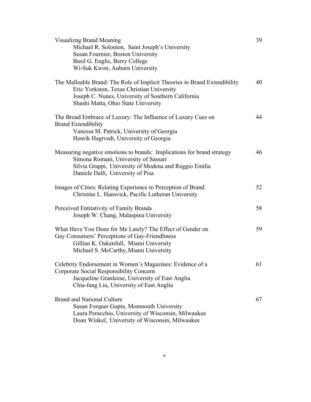| <b>Visualizng Brand Meaning</b><br>Michael R. Solomon, Saint Joseph's University<br>Susan Fournier, Boston University<br>Basil G. Englis, Berry College<br>Wi-Suk Kwon, Auburn University                           | 39 |
|---------------------------------------------------------------------------------------------------------------------------------------------------------------------------------------------------------------------|----|
| The Malleable Brand: The Role of Implicit Theories in Brand Extendibility<br>Eric Yorkston, Texas Christian University<br>Joseph C. Nunes, University of Southern California<br>Shashi Matta, Ohio State University | 40 |
| The Broad Embrace of Luxury: The Influence of Luxury Cues on<br><b>Brand Extendibility</b><br>Vanessa M. Patrick, University of Georgia<br>Henrik Hagtvedt, University of Georgia                                   | 44 |
| Measuring negative emotions to brands: Implications for brand strategy<br>Simona Romani, University of Sassari<br>Silvia Grappi, University of Modena and Reggio Emilia<br>Daniele Dalli, University of Pisa        | 46 |
| Images of Cities: Relating Experience to Perception of Brand<br>Christine L. Hansvick, Pacific Lutheran University                                                                                                  | 52 |
| Perceived Entitativity of Family Brands<br>Joseph W. Chang, Malaspina University                                                                                                                                    | 58 |
| What Have You Done for Me Lately? The Effect of Gender on<br>Gay Consumers' Perceptions of Gay-Friendliness<br>Gillian K. Oakenfull, Miami University<br>Michael S. McCarthy, Miami University                      | 59 |
| Celebrity Endorsement in Women's Magazines: Evidence of a<br>Corporate Social Responsibility Concern<br>Jacqueline Granleese, University of East Anglia<br>Chia-fang Liu, University of East Anglia                 | 61 |
| <b>Brand and National Culture</b><br>Susan Forquer Gupta, Monmouth University<br>Laura Peracchio, University of Wisconsin, Milwaukee<br>Doan Winkel, University of Wisconsin, Milwaukee                             | 67 |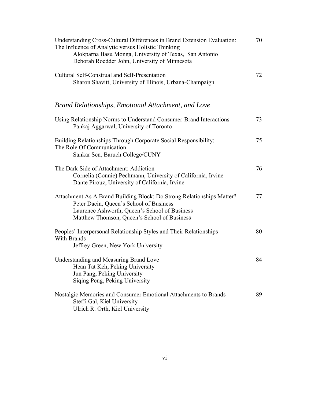| Understanding Cross-Cultural Differences in Brand Extension Evaluation:<br>The Influence of Analytic versus Holistic Thinking<br>Alokparna Basu Monga, University of Texas, San Antonio<br>Deborah Roedder John, University of Minnesota | 70 |
|------------------------------------------------------------------------------------------------------------------------------------------------------------------------------------------------------------------------------------------|----|
| Cultural Self-Construal and Self-Presentation<br>Sharon Shavitt, University of Illinois, Urbana-Champaign                                                                                                                                | 72 |
| Brand Relationships, Emotional Attachment, and Love                                                                                                                                                                                      |    |
| Using Relationship Norms to Understand Consumer-Brand Interactions<br>Pankaj Aggarwal, University of Toronto                                                                                                                             | 73 |
| Building Relationships Through Corporate Social Responsibility:<br>The Role Of Communication<br>Sankar Sen, Baruch College/CUNY                                                                                                          | 75 |
| The Dark Side of Attachment: Addiction<br>Cornelia (Connie) Pechmann, University of California, Irvine<br>Dante Pirouz, University of California, Irvine                                                                                 | 76 |
| Attachment As A Brand Building Block: Do Strong Relationships Matter?<br>Peter Dacin, Queen's School of Business<br>Laurence Ashworth, Queen's School of Business<br>Matthew Thomson, Queen's School of Business                         | 77 |
| Peoples' Interpersonal Relationship Styles and Their Relationships<br>With Brands<br>Jeffrey Green, New York University                                                                                                                  | 80 |
| <b>Understanding and Measuring Brand Love</b><br>Hean Tat Keh, Peking University<br>Jun Pang, Peking University<br>Siging Peng, Peking University                                                                                        | 84 |
| Nostalgic Memories and Consumer Emotional Attachments to Brands<br>Steffi Gal, Kiel University<br>Ulrich R. Orth, Kiel University                                                                                                        | 89 |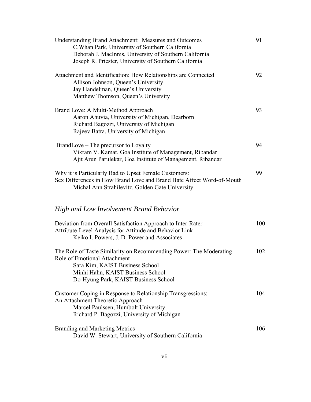| <b>Understanding Brand Attachment: Measures and Outcomes</b><br>C. Whan Park, University of Southern California<br>Deborah J. MacInnis, University of Southern California<br>Joseph R. Priester, University of Southern California | 91  |
|------------------------------------------------------------------------------------------------------------------------------------------------------------------------------------------------------------------------------------|-----|
| Attachment and Identification: How Relationships are Connected<br>Allison Johnson, Queen's University<br>Jay Handelman, Queen's University<br>Matthew Thomson, Queen's University                                                  | 92  |
| Brand Love: A Multi-Method Approach<br>Aaron Ahuvia, University of Michigan, Dearborn<br>Richard Bagozzi, University of Michigan<br>Rajeev Batra, University of Michigan                                                           | 93  |
| BrandLove – The precursor to Loyalty<br>Vikram V. Kamat, Goa Institute of Management, Ribandar<br>Ajit Arun Parulekar, Goa Institute of Management, Ribandar                                                                       | 94  |
| Why it is Particularly Bad to Upset Female Customers:<br>Sex Differences in How Brand Love and Brand Hate Affect Word-of-Mouth<br>Michal Ann Strahilevitz, Golden Gate University                                                  | 99  |
| High and Low Involvement Brand Behavior                                                                                                                                                                                            |     |
| Deviation from Overall Satisfaction Approach to Inter-Rater<br>Attribute-Level Analysis for Attitude and Behavior Link<br>Keiko I. Powers, J. D. Power and Associates                                                              | 100 |
| The Role of Taste Similarity on Recommending Power: The Moderating<br>Role of Emotional Attachment<br>Sara Kim, KAIST Business School<br>Minhi Hahn, KAIST Business School<br>Do-Hyung Park, KAIST Business School                 | 102 |
| Customer Coping in Response to Relationship Transgressions:<br>An Attachment Theoretic Approach<br>Marcel Paulssen, Humbolt University<br>Richard P. Bagozzi, University of Michigan                                               | 104 |
| <b>Branding and Marketing Metrics</b><br>David W. Stewart, University of Southern California                                                                                                                                       | 106 |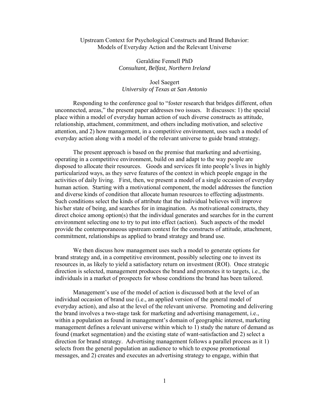#### Upstream Context for Psychological Constructs and Brand Behavior: Models of Everyday Action and the Relevant Universe

Geraldine Fennell PhD *Consultant, Belfast, Northern Ireland* 

#### Joel Saegert *University of Texas at San Antonio*

Responding to the conference goal to "foster research that bridges different, often unconnected, areas," the present paper addresses two issues. It discusses: 1) the special place within a model of everyday human action of such diverse constructs as attitude, relationship, attachment, commitment, and others including motivation, and selective attention, and 2) how management, in a competitive environment, uses such a model of everyday action along with a model of the relevant universe to guide brand strategy.

The present approach is based on the premise that marketing and advertising, operating in a competitive environment, build on and adapt to the way people are disposed to allocate their resources. Goods and services fit into people's lives in highly particularized ways, as they serve features of the context in which people engage in the activities of daily living. First, then, we present a model of a single occasion of everyday human action. Starting with a motivational component, the model addresses the function and diverse kinds of condition that allocate human resources to effecting adjustments. Such conditions select the kinds of attribute that the individual believes will improve his/her state of being, and searches for in imagination. As motivational constructs, they direct choice among option(s) that the individual generates and searches for in the current environment selecting one to try to put into effect (action). Such aspects of the model provide the contemporaneous upstream context for the constructs of attitude, attachment, commitment, relationships as applied to brand strategy and brand use.

We then discuss how management uses such a model to generate options for brand strategy and, in a competitive environment, possibly selecting one to invest its resources in, as likely to yield a satisfactory return on investment (ROI). Once strategic direction is selected, management produces the brand and promotes it to targets, i.e., the individuals in a market of prospects for whose conditions the brand has been tailored.

Management's use of the model of action is discussed both at the level of an individual occasion of brand use (i.e., an applied version of the general model of everyday action), and also at the level of the relevant universe. Promoting and delivering the brand involves a two-stage task for marketing and advertising management, i.e., within a population as found in management's domain of geographic interest, marketing management defines a relevant universe within which to 1) study the nature of demand as found (market segmentation) and the existing state of want-satisfaction and 2) select a direction for brand strategy. Advertising management follows a parallel process as it 1) selects from the general population an audience to which to expose promotional messages, and 2) creates and executes an advertising strategy to engage, within that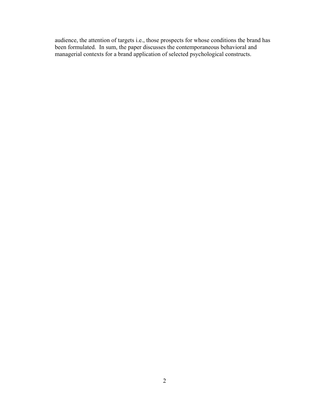audience, the attention of targets i.e., those prospects for whose conditions the brand has been formulated. In sum, the paper discusses the contemporaneous behavioral and managerial contexts for a brand application of selected psychological constructs.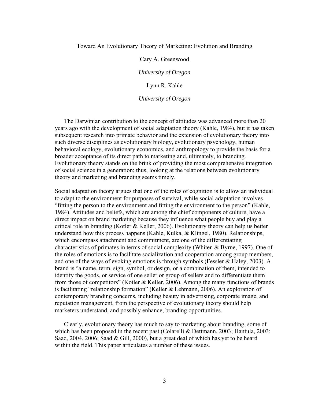#### Toward An Evolutionary Theory of Marketing: Evolution and Branding

#### Cary A. Greenwood

*University of Oregon* 

#### Lynn R. Kahle

#### *University of Oregon*

The Darwinian contribution to the concept of attitudes was advanced more than 20 years ago with the development of social adaptation theory (Kahle, 1984), but it has taken subsequent research into primate behavior and the extension of evolutionary theory into such diverse disciplines as evolutionary biology, evolutionary psychology, human behavioral ecology, evolutionary economics, and anthropology to provide the basis for a broader acceptance of its direct path to marketing and, ultimately, to branding. Evolutionary theory stands on the brink of providing the most comprehensive integration of social science in a generation; thus, looking at the relations between evolutionary theory and marketing and branding seems timely.

Social adaptation theory argues that one of the roles of cognition is to allow an individual to adapt to the environment for purposes of survival, while social adaptation involves "fitting the person to the environment and fitting the environment to the person" (Kahle, 1984). Attitudes and beliefs, which are among the chief components of culture, have a direct impact on brand marketing because they influence what people buy and play a critical role in branding (Kotler & Keller, 2006). Evolutionary theory can help us better understand how this process happens (Kahle, Kulka, & Klingel, 1980). Relationships, which encompass attachment and commitment, are one of the differentiating characteristics of primates in terms of social complexity (Whiten & Byrne, 1997). One of the roles of emotions is to facilitate socialization and cooperation among group members, and one of the ways of evoking emotions is through symbols (Fessler & Haley, 2003). A brand is "a name, term, sign, symbol, or design, or a combination of them, intended to identify the goods, or service of one seller or group of sellers and to differentiate them from those of competitors" (Kotler & Keller, 2006). Among the many functions of brands is facilitating "relationship formation" (Keller & Lehmann, 2006). An exploration of contemporary branding concerns, including beauty in advertising, corporate image, and reputation management, from the perspective of evolutionary theory should help marketers understand, and possibly enhance, branding opportunities.

Clearly, evolutionary theory has much to say to marketing about branding, some of which has been proposed in the recent past (Colarelli & Dettmann, 2003; Hantula, 2003; Saad,  $2004$ ,  $2006$ ; Saad & Gill,  $2000$ ), but a great deal of which has yet to be heard within the field. This paper articulates a number of these issues.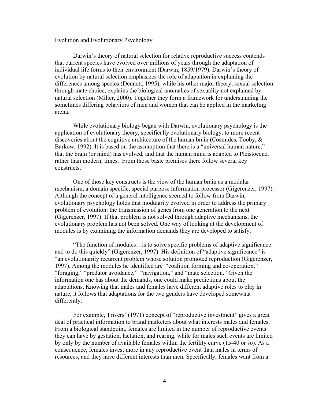#### Evolution and Evolutionary Psychology

Darwin's theory of natural selection for relative reproductive success contends that current species have evolved over millions of years through the adaptation of individual life forms to their environment (Darwin, 1859/1979). Darwin's theory of evolution by natural selection emphasizes the role of adaptation in explaining the differences among species (Dennett, 1995), while his other major theory, sexual selection through mate choice, explains the biological anomalies of sexuality not explained by natural selection (Miller, 2000). Together they form a framework for understanding the sometimes differing behaviors of men and women that can be applied in the marketing arena.

While evolutionary biology began with Darwin, evolutionary psychology is the application of evolutionary theory, specifically evolutionary biology, to more recent discoveries about the cognitive architecture of the human brain (Cosmides, Tooby, & Barkow, 1992). It is based on the assumption that there is a "universal human nature," that the brain (or mind) has evolved, and that the human mind is adapted to Pleistocene, rather than modern, times. From those basic premises there follow several key constructs.

One of those key constructs is the view of the human brain as a modular mechanism, a domain specific, special purpose information processor (Gigerenzer, 1997). Although the concept of a general intelligence seemed to follow from Darwin, evolutionary psychology holds that modularity evolved in order to address the primary problem of evolution: the transmission of genes from one generation to the next (Gigerenzer, 1997). If that problem is not solved through adaptive mechanisms, the evolutionary problem has not been solved. One way of looking at the development of modules is by examining the information demands they are developed to satisfy.

"The function of modules…is to solve specific problems of adaptive significance and to do this quickly" (Gigerenzer, 1997). His definition of "adaptive significance" is "an evolutionarily recurrent problem whose solution promoted reproduction (Gigerenzer, 1997). Among the modules he identified are "coalition forming and co-operation," "foraging," "predator avoidance," "navigation," and "mate selection." Given the information one has about the demands, one could make predictions about the adaptations. Knowing that males and females have different adaptive roles to play in nature, it follows that adaptations for the two genders have developed somewhat differently.

For example, Trivers' (1971) concept of "reproductive investment" gives a great deal of practical information to brand marketers about what interests males and females. From a biological standpoint, females are limited in the number of reproductive events they can have by gestation, lactation, and rearing, while for males such events are limited by only by the number of available females within the fertility curve (15-40 or so). As a consequence, females invest more in any reproductive event than males in terms of resources, and they have different interests than men. Specifically, females want from a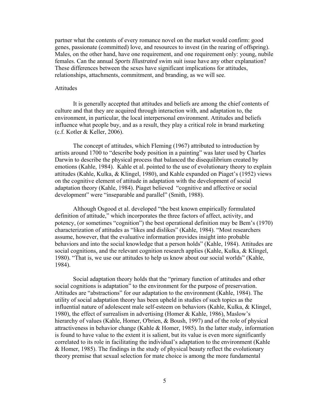partner what the contents of every romance novel on the market would confirm: good genes, passionate (committed) love, and resources to invest (in the rearing of offspring). Males, on the other hand, have one requirement, and one requirement only: young, nubile females. Can the annual *Sports Illustrated* swim suit issue have any other explanation? These differences between the sexes have significant implications for attitudes, relationships, attachments, commitment, and branding, as we will see.

#### Attitudes

It is generally accepted that attitudes and beliefs are among the chief contents of culture and that they are acquired through interaction with, and adaptation to, the environment, in particular, the local interpersonal environment. Attitudes and beliefs influence what people buy, and as a result, they play a critical role in brand marketing (c.f. Kotler & Keller, 2006).

The concept of attitudes, which Fleming (1967) attributed to introduction by artists around 1700 to "describe body position in a painting" was later used by Charles Darwin to describe the physical process that balanced the disequilibrium created by emotions (Kahle, 1984). Kahle et al. pointed to the use of evolutionary theory to explain attitudes (Kahle, Kulka, & Klingel, 1980), and Kahle expanded on Piaget's (1952) views on the cognitive element of attitude in adaptation with the development of social adaptation theory (Kahle, 1984). Piaget believed "cognitive and affective or social development" were "inseparable and parallel" (Smith, 1988).

Although Osgood et al. developed "the best known empirically formulated definition of attitude," which incorporates the three factors of affect, activity, and potency, (or sometimes "cognition") the best operational definition may be Bem's (1970) characterization of attitudes as "likes and dislikes" (Kahle, 1984). "Most researchers assume, however, that the evaluative information provides insight into probable behaviors and into the social knowledge that a person holds" (Kahle, 1984). Attitudes are social cognitions, and the relevant cognition research applies (Kahle, Kulka, & Klingel, 1980). "That is, we use our attitudes to help us know about our social worlds" (Kahle, 1984).

Social adaptation theory holds that the "primary function of attitudes and other social cognitions is adaptation" to the environment for the purpose of preservation. Attitudes are "abstractions" for our adaptation to the environment (Kahle, 1984). The utility of social adaptation theory has been upheld in studies of such topics as the influential nature of adolescent male self-esteem on behaviors (Kahle, Kulka, & Klingel, 1980), the effect of surrealism in advertising (Homer & Kahle, 1986), Maslow's hierarchy of values (Kahle, Homer, O'brien, & Boush, 1997) and of the role of physical attractiveness in behavior change (Kahle  $\&$  Homer, 1985). In the latter study, information is found to have value to the extent it is salient, but its value is even more significantly correlated to its role in facilitating the individual's adaptation to the environment (Kahle & Homer, 1985). The findings in the study of physical beauty reflect the evolutionary theory premise that sexual selection for mate choice is among the more fundamental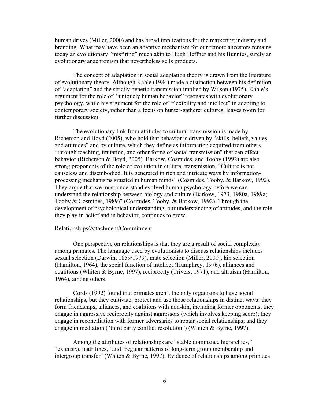human drives (Miller, 2000) and has broad implications for the marketing industry and branding. What may have been an adaptive mechanism for our remote ancestors remains today an evolutionary "misfiring" much akin to Hugh Heffner and his Bunnies, surely an evolutionary anachronism that nevertheless sells products.

The concept of adaptation in social adaptation theory is drawn from the literature of evolutionary theory. Although Kahle (1984) made a distinction between his definition of "adaptation" and the strictly genetic transmission implied by Wilson (1975), Kahle's argument for the role of "uniquely human behavior" resonates with evolutionary psychology, while his argument for the role of "flexibility and intellect" in adapting to contemporary society, rather than a focus on hunter-gatherer cultures, leaves room for further discussion.

 The evolutionary link from attitudes to cultural transmission is made by Richerson and Boyd (2005), who hold that behavior is driven by "skills, beliefs, values, and attitudes" and by culture, which they define as information acquired from others "through teaching, imitation, and other forms of social transmission" that can effect behavior (Richerson & Boyd, 2005). Barkow, Cosmides, and Tooby (1992) are also strong proponents of the role of evolution in cultural transmission. "Culture is not causeless and disembodied. It is generated in rich and intricate ways by informationprocessing mechanisms situated in human minds" (Cosmides, Tooby, & Barkow, 1992). They argue that we must understand evolved human psychology before we can understand the relationship between biology and culture (Barkow, 1973, 1980a, 1989a; Tooby & Cosmides, 1989)" (Cosmides, Tooby, & Barkow, 1992). Through the development of psychological understanding, our understanding of attitudes, and the role they play in belief and in behavior, continues to grow.

#### Relationships/Attachment/Commitment

One perspective on relationships is that they are a result of social complexity among primates. The language used by evolutionists to discuss relationships includes sexual selection (Darwin, 1859/1979), mate selection (Miller, 2000), kin selection (Hamilton, 1964), the social function of intellect (Humphrey, 1976), alliances and coalitions (Whiten & Byrne, 1997), reciprocity (Trivers, 1971), and altruism (Hamilton, 1964), among others.

Cords (1992) found that primates aren't the only organisms to have social relationships, but they cultivate, protect and use those relationships in distinct ways: they form friendships, alliances, and coalitions with non-kin, including former opponents; they engage in aggressive reciprocity against aggressors (which involves keeping score); they engage in reconciliation with former adversaries to repair social relationships; and they engage in mediation ("third party conflict resolution") (Whiten & Byrne, 1997).

Among the attributes of relationships are "stable dominance hierarchies," "extensive matrilines," and "regular patterns of long-term group membership and intergroup transfer" (Whiten & Byrne, 1997). Evidence of relationships among primates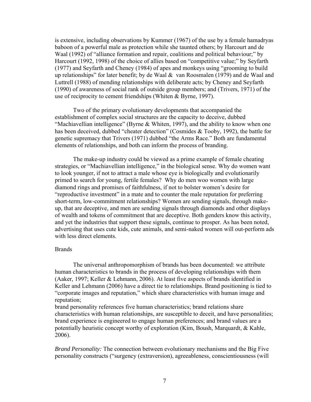is extensive, including observations by Kummer (1967) of the use by a female hamadryas baboon of a powerful male as protection while she taunted others; by Harcourt and de Waal (1992) of "alliance formation and repair, coalitions and political behaviour;" by Harcourt (1992, 1998) of the choice of allies based on "competitive value;" by Seyfarth (1977) and Seyfarth and Cheney (1984) of apes and monkeys using "grooming to build up relationships" for later benefit; by de Waal & van Roosmalen (1979) and de Waal and Luttrell (1988) of mending relationships with deliberate acts; by Cheney and Seyfarth (1990) of awareness of social rank of outside group members; and (Trivers, 1971) of the use of reciprocity to cement friendships (Whiten & Byrne, 1997).

 Two of the primary evolutionary developments that accompanied the establishment of complex social structures are the capacity to deceive, dubbed "Machiavellian intelligence" (Byrne & Whiten, 1997), and the ability to know when one has been deceived, dubbed "cheater detection" (Cosmides & Tooby, 1992), the battle for genetic supremacy that Trivers (1971) dubbed "the Arms Race." Both are fundamental elements of relationships, and both can inform the process of branding.

 The make-up industry could be viewed as a prime example of female cheating strategies, or "Machiavellian intelligence," in the biological sense. Why do women want to look younger, if not to attract a male whose eye is biologically and evolutionarily primed to search for young, fertile females? Why do men woo women with large diamond rings and promises of faithfulness, if not to bolster women's desire for "reproductive investment" in a mate and to counter the male reputation for preferring short-term, low-commitment relationships? Women are sending signals, through makeup, that are deceptive, and men are sending signals through diamonds and other displays of wealth and tokens of commitment that are deceptive. Both genders know this activity, and yet the industries that support these signals, continue to prosper. As has been noted, advertising that uses cute kids, cute animals, and semi-naked women will out-perform ads with less direct elements.

#### Brands

The universal anthropomorphism of brands has been documented: we attribute human characteristics to brands in the process of developing relationships with them (Aaker, 1997; Keller & Lehmann, 2006). At least five aspects of brands identified in Keller and Lehmann (2006) have a direct tie to relationships. Brand positioning is tied to "corporate images and reputation," which share characteristics with human image and reputation;

brand personality references five human characteristics; brand relations share characteristics with human relationships, are susceptible to deceit, and have personalities; brand experience is engineered to engage human preferences; and brand values are a potentially heuristic concept worthy of exploration (Kim, Boush, Marquardt, & Kahle, 2006).

*Brand Personality:* The connection between evolutionary mechanisms and the Big Five personality constructs ("surgency (extraversion), agreeableness, conscientiousness (will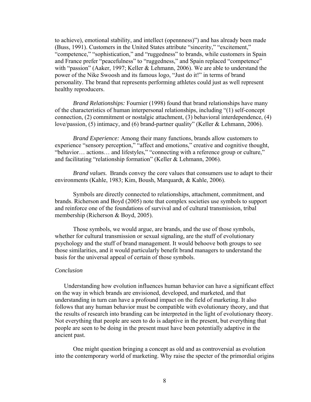to achieve), emotional stability, and intellect (opennness)") and has already been made (Buss, 1991). Customers in the United States attribute "sincerity," "excitement," "competence," "sophistication," and "ruggedness" to brands, while customers in Spain and France prefer "peacefulness" to "ruggedness," and Spain replaced "competence" with "passion" (Aaker, 1997; Keller & Lehmann, 2006). We are able to understand the power of the Nike Swoosh and its famous logo, "Just do it!" in terms of brand personality. The brand that represents performing athletes could just as well represent healthy reproducers.

*Brand Relationships:* Fournier (1998) found that brand relationships have many of the characteristics of human interpersonal relationships, including "(1) self-concept connection, (2) commitment or nostalgic attachment, (3) behavioral interdependence, (4) love/passion, (5) intimacy, and (6) brand-partner quality" (Keller & Lehmann, 2006).

*Brand Experience:* Among their many functions, brands allow customers to experience "sensory perception," "affect and emotions," creative and cognitive thought, "behavior… actions… and lifestyles," "connecting with a reference group or culture," and facilitating "relationship formation" (Keller & Lehmann, 2006).

*Brand values.* Brands convey the core values that consumers use to adapt to their environments (Kahle, 1983; Kim, Boush, Marquardt, & Kahle, 2006).

Symbols are directly connected to relationships, attachment, commitment, and brands. Richerson and Boyd (2005) note that complex societies use symbols to support and reinforce one of the foundations of survival and of cultural transmission, tribal membership (Richerson & Boyd, 2005).

Those symbols, we would argue, are brands, and the use of those symbols, whether for cultural transmission or sexual signaling, are the stuff of evolutionary psychology and the stuff of brand management. It would behoove both groups to see those similarities, and it would particularly benefit brand managers to understand the basis for the universal appeal of certain of those symbols.

#### *Conclusion*

Understanding how evolution influences human behavior can have a significant effect on the way in which brands are envisioned, developed, and marketed, and that understanding in turn can have a profound impact on the field of marketing. It also follows that any human behavior must be compatible with evolutionary theory, and that the results of research into branding can be interpreted in the light of evolutionary theory. Not everything that people are seen to do is adaptive in the present, but everything that people are seen to be doing in the present must have been potentially adaptive in the ancient past.

 One might question bringing a concept as old and as controversial as evolution into the contemporary world of marketing. Why raise the specter of the primordial origins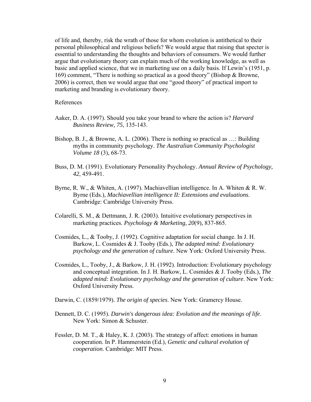of life and, thereby, risk the wrath of those for whom evolution is antithetical to their personal philosophical and religious beliefs? We would argue that raising that specter is essential to understanding the thoughts and behaviors of consumers. We would further argue that evolutionary theory can explain much of the working knowledge, as well as basic and applied science, that we in marketing use on a daily basis. If Lewin's (1951, p. 169) comment, "There is nothing so practical as a good theory" (Bishop & Browne, 2006) is correct, then we would argue that one "good theory" of practical import to marketing and branding is evolutionary theory.

#### References

- Aaker, D. A. (1997). Should you take your brand to where the action is? *Harvard Business Review, 75*, 135-143.
- Bishop, B. J., & Browne, A. L. (2006). There is nothing so practical as …: Building myths in community psychology. *The Australian Community Psychologist Volume 18* (3), 68-73.
- Buss, D. M. (1991). Evolutionary Personality Psychology. *Annual Review of Psychology, 42*, 459-491.
- Byrne, R. W., & Whiten, A. (1997). Machiavellian intelligence. In A. Whiten & R. W. Byrne (Eds.), *Machiavellian intelligence II: Extensions and evaluations*. Cambridge: Cambridge University Press.
- Colarelli, S. M., & Dettmann, J. R. (2003). Intuitive evolutionary perspectives in marketing practices. *Psychology & Marketing, 20*(9), 837-865.
- Cosmides, L., & Tooby, J. (1992). Cognitive adaptation for social change. In J. H. Barkow, L. Cosmides & J. Tooby (Eds.), *The adapted mind: Evolutionary psychology and the generation of culture*. New York: Oxford University Press.
- Cosmides, L., Tooby, J., & Barkow, J. H. (1992). Introduction: Evolutionary psychology and conceptual integration. In J. H. Barkow, L. Cosmides & J. Tooby (Eds.), *The adapted mind: Evolutionary psychology and the generation of culture*. New York: Oxford University Press.
- Darwin, C. (1859/1979). *The origin of species*. New York: Gramercy House.
- Dennett, D. C. (1995). *Darwin's dangerous idea: Evolution and the meanings of life*. New York: Simon & Schuster.
- Fessler, D. M. T., & Haley, K. J. (2003). The strategy of affect: emotions in human cooperation. In P. Hammerstein (Ed.), *Genetic and cultural evolution of cooperation*. Cambridge: MIT Press.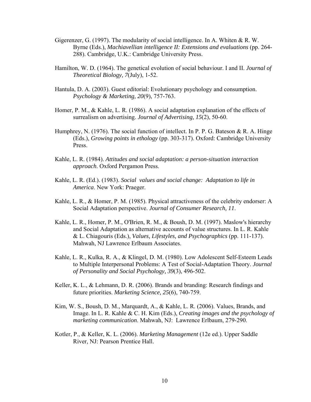- Gigerenzer, G. (1997). The modularity of social intelligence. In A. Whiten & R. W. Byrne (Eds.), *Machiavellian intelligence II: Extensions and evaluations* (pp. 264- 288). Cambridge, U.K.: Cambridge University Press.
- Hamilton, W. D. (1964). The genetical evolution of social behaviour. I and II. *Journal of Theoretical Biology, 7*(July), 1-52.
- Hantula, D. A. (2003). Guest editorial: Evolutionary psychology and consumption. *Psychology & Marketing, 20*(9), 757-763.
- Homer, P. M., & Kahle, L. R. (1986). A social adaptation explanation of the effects of surrealism on advertising. *Journal of Advertising, 15*(2), 50-60.
- Humphrey, N. (1976). The social function of intellect. In P. P. G. Bateson & R. A. Hinge (Eds.), *Growing points in ethology* (pp. 303-317). Oxford: Cambridge University Press.
- Kahle, L. R. (1984). *Attitudes and social adaptation: a person-situation interaction approach*. Oxford Pergamon Press.
- Kahle, L. R. (Ed.). (1983). *Social values and social change: Adaptation to life in America*. New York: Praeger.
- Kahle, L. R., & Homer, P. M. (1985). Physical attractiveness of the celebrity endorser: A Social Adaptation perspective. *Journal of Consumer Research, 11*.
- Kahle, L. R., Homer, P. M., O'Brien, R. M., & Boush, D. M. (1997). Maslow's hierarchy and Social Adaptation as alternative accounts of value structures. In L. R. Kahle & L. Chiagouris (Eds.), *Values, Lifestyles, and Psychographics* (pp. 111-137). Mahwah, NJ Lawrence Erlbaum Associates.
- Kahle, L. R., Kulka, R. A., & Klingel, D. M. (1980). Low Adolescent Self-Esteem Leads to Multiple Interpersonal Problems: A Test of Social-Adaptation Theory. *Journal of Personality and Social Psychology, 39*(3), 496-502.
- Keller, K. L., & Lehmann, D. R. (2006). Brands and branding: Research findings and future priorities. *Marketing Science, 25*(6), 740-759.
- Kim, W. S., Boush, D. M., Marquardt, A., & Kahle, L. R. (2006). Values, Brands, and Image. In L. R. Kahle & C. H. Kim (Eds.), *Creating images and the psychology of marketing communication*. Mahwah, NJ: Lawrence Erlbaum, 279-290.
- Kotler, P., & Keller, K. L. (2006). *Marketing Management* (12e ed.). Upper Saddle River, NJ: Pearson Prentice Hall.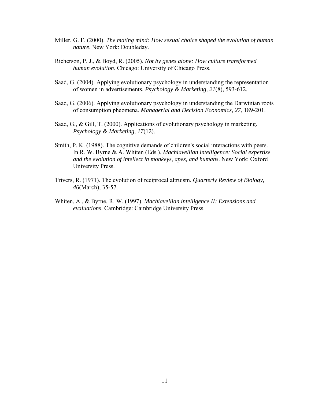- Miller, G. F. (2000). *The mating mind: How sexual choice shaped the evolution of human nature*. New York: Doubleday.
- Richerson, P. J., & Boyd, R. (2005). *Not by genes alone: How culture transformed human evolution*. Chicago: University of Chicago Press.
- Saad, G. (2004). Applying evolutionary psychology in understanding the representation of women in advertisements. *Psychology & Marketing, 21*(8), 593-612.
- Saad, G. (2006). Applying evolutionary psychology in understanding the Darwinian roots of consumption pheomena. *Managerial and Decision Economics, 27*, 189-201.
- Saad, G., & Gill, T. (2000). Applications of evolutionary psychology in marketing. *Psychology & Marketing, 17*(12).
- Smith, P. K. (1988). The cognitive demands of children's social interactions with peers. In R. W. Byrne & A. Whiten (Eds.), *Machiavellian intelligence: Social expertise and the evolution of intellect in monkeys, apes, and humans*. New York: Oxford University Press.
- Trivers, R. (1971). The evolution of reciprocal altruism. *Quarterly Review of Biology, 46*(March), 35-57.
- Whiten, A., & Byrne, R. W. (1997). *Machiavellian intelligence II: Extensions and evaluations*. Cambridge: Cambridge University Press.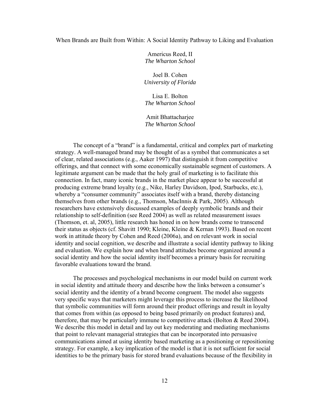#### When Brands are Built from Within: A Social Identity Pathway to Liking and Evaluation

Americus Reed, II *The Wharton School* 

Joel B. Cohen *University of Florida* 

Lisa E. Bolton *The Wharton School* 

Amit Bhattacharjee *The Wharton School* 

The concept of a "brand" is a fundamental, critical and complex part of marketing strategy. A well-managed brand may be thought of as a symbol that communicates a set of clear, related associations (e.g., Aaker 1997) that distinguish it from competitive offerings, and that connect with some economically sustainable segment of customers. A legitimate argument can be made that the holy grail of marketing is to facilitate this connection. In fact, many iconic brands in the market place appear to be successful at producing extreme brand loyalty (e.g., Nike, Harley Davidson, Ipod, Starbucks, etc.), whereby a "consumer community" associates itself with a brand, thereby distancing themselves from other brands (e.g., Thomson, MacInnis & Park, 2005). Although researchers have extensively discussed examples of deeply symbolic brands and their relationship to self-definition (see Reed 2004) as well as related measurement issues (Thomson, et. al, 2005), little research has honed in on how brands come to transcend their status as objects (cf. Shavitt 1990; Kleine, Kleine & Kernan 1993). Based on recent work in attitude theory by Cohen and Reed (2006a), and on relevant work in social identity and social cognition, we describe and illustrate a social identity pathway to liking and evaluation. We explain how and when brand attitudes become organized around a social identity and how the social identity itself becomes a primary basis for recruiting favorable evaluations toward the brand.

The processes and psychological mechanisms in our model build on current work in social identity and attitude theory and describe how the links between a consumer's social identity and the identity of a brand become congruent. The model also suggests very specific ways that marketers might leverage this process to increase the likelihood that symbolic communities will form around their product offerings and result in loyalty that comes from within (as opposed to being based primarily on product features) and, therefore, that may be particularly immune to competitive attack (Bolton & Reed 2004). We describe this model in detail and lay out key moderating and mediating mechanisms that point to relevant managerial strategies that can be incorporated into persuasive communications aimed at using identity based marketing as a positioning or repositioning strategy. For example, a key implication of the model is that it is not sufficient for social identities to be the primary basis for stored brand evaluations because of the flexibility in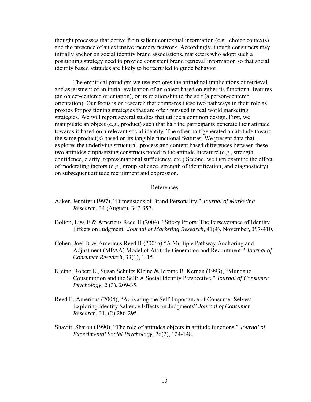thought processes that derive from salient contextual information (e.g., choice contexts) and the presence of an extensive memory network. Accordingly, though consumers may initially anchor on social identity brand associations, marketers who adopt such a positioning strategy need to provide consistent brand retrieval information so that social identity based attitudes are likely to be recruited to guide behavior.

The empirical paradigm we use explores the attitudinal implications of retrieval and assessment of an initial evaluation of an object based on either its functional features (an object-centered orientation), or its relationship to the self (a person-centered orientation). Our focus is on research that compares these two pathways in their role as proxies for positioning strategies that are often pursued in real world marketing strategies. We will report several studies that utilize a common design. First, we manipulate an object (e.g., product) such that half the participants generate their attitude towards it based on a relevant social identity. The other half generated an attitude toward the same product(s) based on its tangible functional features. We present data that explores the underlying structural, process and content based differences between these two attitudes emphasizing constructs noted in the attitude literature (e.g., strength, confidence, clarity, representational sufficiency, etc.) Second, we then examine the effect of moderating factors (e.g., group salience, strength of identification, and diagnosticity) on subsequent attitude recruitment and expression.

#### References

- Aaker, Jennifer (1997), "Dimensions of Brand Personality," *Journal of Marketing Research*, 34 (August), 347-357.
- Bolton, Lisa E & Americus Reed II (2004), "Sticky Priors: The Perseverance of Identity Effects on Judgment" *Journal of Marketing Research*, 41(4), November, 397-410.
- Cohen, Joel B. & Americus Reed II (2006a) "A Multiple Pathway Anchoring and Adjustment (MPAA) Model of Attitude Generation and Recruitment." *Journal of Consumer Research*, 33(1), 1-15.
- Kleine, Robert E., Susan Schultz Kleine & Jerome B. Kernan (1993), "Mundane Consumption and the Self: A Social Identity Perspective," *Journal of Consumer Psychology*, 2 (3), 209-35.
- Reed II, Americus (2004), "Activating the Self-Importance of Consumer Selves: Exploring Identity Salience Effects on Judgments" *Journal of Consumer Research*, 31, (2) 286-295.
- Shavitt, Sharon (1990), "The role of attitudes objects in attitude functions," *Journal of Experimental Social Psychology*, 26(2), 124-148.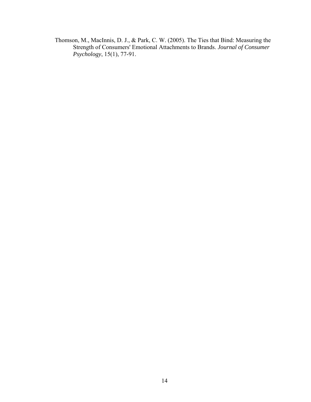Thomson, M., MacInnis, D. J., & Park, C. W. (2005). The Ties that Bind: Measuring the Strength of Consumers' Emotional Attachments to Brands. *Journal of Consumer Psychology*, 15(1), 77-91.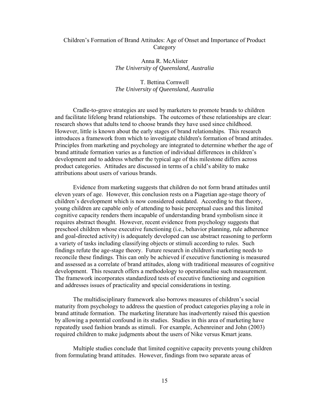#### Children's Formation of Brand Attitudes: Age of Onset and Importance of Product **Category**

#### Anna R. McAlister *The University of Queensland, Australia*

#### T. Bettina Cornwell *The University of Queensland, Australia*

Cradle-to-grave strategies are used by marketers to promote brands to children and facilitate lifelong brand relationships. The outcomes of these relationships are clear: research shows that adults tend to choose brands they have used since childhood. However, little is known about the early stages of brand relationships. This research introduces a framework from which to investigate children's formation of brand attitudes. Principles from marketing and psychology are integrated to determine whether the age of brand attitude formation varies as a function of individual differences in children's development and to address whether the typical age of this milestone differs across product categories. Attitudes are discussed in terms of a child's ability to make attributions about users of various brands.

Evidence from marketing suggests that children do not form brand attitudes until eleven years of age. However, this conclusion rests on a Piagetian age-stage theory of children's development which is now considered outdated. According to that theory, young children are capable only of attending to basic perceptual cues and this limited cognitive capacity renders them incapable of understanding brand symbolism since it requires abstract thought. However, recent evidence from psychology suggests that preschool children whose executive functioning (i.e., behavior planning, rule adherence and goal-directed activity) is adequately developed can use abstract reasoning to perform a variety of tasks including classifying objects or stimuli according to rules. Such findings refute the age-stage theory. Future research in children's marketing needs to reconcile these findings. This can only be achieved if executive functioning is measured and assessed as a correlate of brand attitudes, along with traditional measures of cognitive development. This research offers a methodology to operationalise such measurement. The framework incorporates standardized tests of executive functioning and cognition and addresses issues of practicality and special considerations in testing.

The multidisciplinary framework also borrows measures of children's social maturity from psychology to address the question of product categories playing a role in brand attitude formation. The marketing literature has inadvertently raised this question by allowing a potential confound in its studies. Studies in this area of marketing have repeatedly used fashion brands as stimuli. For example, Achenreiner and John (2003) required children to make judgments about the users of Nike versus Kmart jeans.

Multiple studies conclude that limited cognitive capacity prevents young children from formulating brand attitudes. However, findings from two separate areas of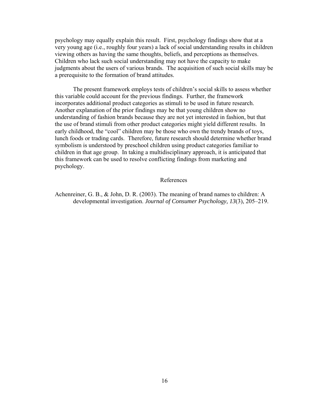psychology may equally explain this result. First, psychology findings show that at a very young age (i.e., roughly four years) a lack of social understanding results in children viewing others as having the same thoughts, beliefs, and perceptions as themselves. Children who lack such social understanding may not have the capacity to make judgments about the users of various brands. The acquisition of such social skills may be a prerequisite to the formation of brand attitudes.

The present framework employs tests of children's social skills to assess whether this variable could account for the previous findings. Further, the framework incorporates additional product categories as stimuli to be used in future research. Another explanation of the prior findings may be that young children show no understanding of fashion brands because they are not yet interested in fashion, but that the use of brand stimuli from other product categories might yield different results. In early childhood, the "cool" children may be those who own the trendy brands of toys, lunch foods or trading cards. Therefore, future research should determine whether brand symbolism is understood by preschool children using product categories familiar to children in that age group. In taking a multidisciplinary approach, it is anticipated that this framework can be used to resolve conflicting findings from marketing and psychology.

#### References

Achenreiner, G. B., & John, D. R. (2003). The meaning of brand names to children: A developmental investigation. *Journal of Consumer Psychology, 13*(3), 205–219.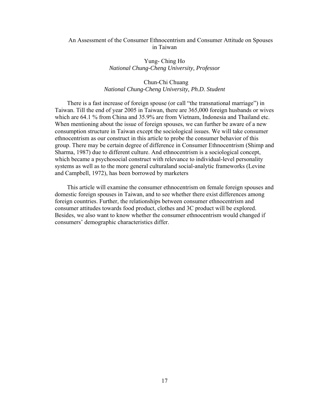#### An Assessment of the Consumer Ethnocentrism and Consumer Attitude on Spouses in Taiwan

#### Yung- Ching Ho *National Chung-Cheng University, Professor*

#### Chun-Chi Chuang *National Chung-Cheng University, Ph.D. Student*

There is a fast increase of foreign spouse (or call "the transnational marriage") in Taiwan. Till the end of year 2005 in Taiwan, there are 365,000 foreign husbands or wives which are 64.1 % from China and 35.9% are from Vietnam, Indonesia and Thailand etc. When mentioning about the issue of foreign spouses, we can further be aware of a new consumption structure in Taiwan except the sociological issues. We will take consumer ethnocentrism as our construct in this article to probe the consumer behavior of this group. There may be certain degree of difference in Consumer Ethnocentrism (Shimp and Sharma, 1987) due to different culture. And ethnocentrism is a sociological concept, which became a psychosocial construct with relevance to individual-level personality systems as well as to the more general culturaland social-analytic frameworks (Levine and Campbell, 1972), has been borrowed by marketers

This article will examine the consumer ethnocentrism on female foreign spouses and domestic foreign spouses in Taiwan, and to see whether there exist differences among foreign countries. Further, the relationships between consumer ethnocentrism and consumer attitudes towards food product, clothes and 3C product will be explored. Besides, we also want to know whether the consumer ethnocentrism would changed if consumers' demographic characteristics differ.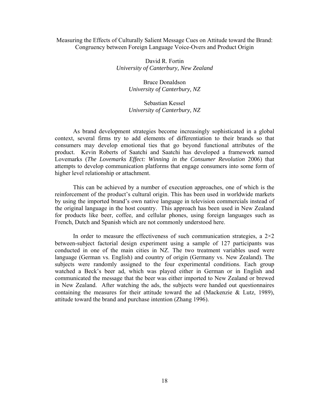#### Measuring the Effects of Culturally Salient Message Cues on Attitude toward the Brand: Congruency between Foreign Language Voice-Overs and Product Origin

David R. Fortin *University of Canterbury, New Zealand* 

> Bruce Donaldson *University of Canterbury, NZ*

#### Sebastian Kessel *University of Canterbury, NZ*

As brand development strategies become increasingly sophisticated in a global context, several firms try to add elements of differentiation to their brands so that consumers may develop emotional ties that go beyond functional attributes of the product. Kevin Roberts of Saatchi and Saatchi has developed a framework named Lovemarks (*The Lovemarks Effect: Winning in the Consumer Revolution* 2006) that attempts to develop communication platforms that engage consumers into some form of higher level relationship or attachment.

This can be achieved by a number of execution approaches, one of which is the reinforcement of the product's cultural origin. This has been used in worldwide markets by using the imported brand's own native language in television commercials instead of the original language in the host country. This approach has been used in New Zealand for products like beer, coffee, and cellular phones, using foreign languages such as French, Dutch and Spanish which are not commonly understood here.

In order to measure the effectiveness of such communication strategies, a  $2\times 2$ between-subject factorial design experiment using a sample of 127 participants was conducted in one of the main cities in NZ. The two treatment variables used were language (German vs. English) and country of origin (Germany vs. New Zealand). The subjects were randomly assigned to the four experimental conditions. Each group watched a Beck's beer ad, which was played either in German or in English and communicated the message that the beer was either imported to New Zealand or brewed in New Zealand. After watching the ads, the subjects were handed out questionnaires containing the measures for their attitude toward the ad (Mackenzie & Lutz, 1989), attitude toward the brand and purchase intention (Zhang 1996).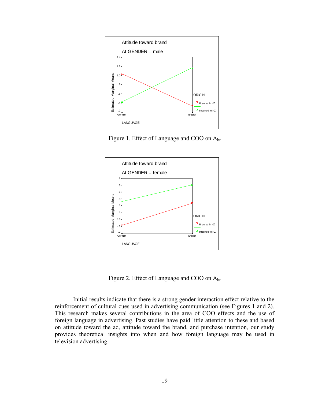

Figure 1. Effect of Language and COO on Abr



Figure 2. Effect of Language and COO on Abr

Initial results indicate that there is a strong gender interaction effect relative to the reinforcement of cultural cues used in advertising communication (see Figures 1 and 2). This research makes several contributions in the area of COO effects and the use of foreign language in advertising. Past studies have paid little attention to these and based on attitude toward the ad, attitude toward the brand, and purchase intention, our study provides theoretical insights into when and how foreign language may be used in television advertising.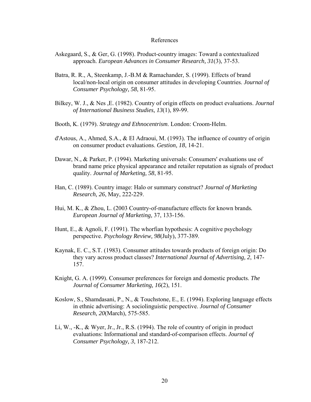#### References

- Askegaard, S., & Ger, G. (1998). Product-country images: Toward a contextualized approach. *European Advances in Consumer Research, 31*(3), 37-53.
- Batra, R. R., A, Steenkamp, J.-B.M & Ramachander, S. (1999). Effects of brand local/non-local origin on consumer attitudes in developing Countries. *Journal of Consumer Psychology, 58*, 81-95.
- Bilkey, W. J., & Nes ,E. (1982). Country of origin effects on product evaluations. *Journal of International Business Studies, 13*(1), 89-99.
- Booth, K. (1979). *Strategy and Ethnocentrism*. London: Croom-Helm.
- d'Astous, A., Ahmed, S.A., & El Adraoui, M. (1993). The influence of country of origin on consumer product evaluations. *Gestion, 18*, 14-21.
- Dawar, N., & Parker, P. (1994). Marketing universals: Consumers' evaluations use of brand name price physical appearance and retailer reputation as signals of product quality. *Journal of Marketing, 58*, 81-95.
- Han, C. (1989). Country image: Halo or summary construct? *Journal of Marketing Research, 26*, May, 222-229.
- Hui, M. K., & Zhou, L. (2003 Country-of-manufacture effects for known brands*. European Journal of Marketing,* 37, 133-156.
- Hunt, E., & Agnoli, F. (1991). The whorfian hypothesis: A cognitive psychology perspective. *Psychology Review, 98*(July), 377-389.
- Kaynak, E. C., S.T. (1983). Consumer attitudes towards products of foreign origin: Do they vary across product classes? *International Journal of Advertising, 2*, 147- 157.
- Knight, G. A. (1999). Consumer preferences for foreign and domestic products. *The Journal of Consumer Marketing, 16*(2), 151.
- Koslow, S., Shamdasani, P., N., & Touchstone, E., E. (1994). Exploring language effects in ethnic advertising: A sociolinguistic perspective. *Journal of Consumer Research, 20*(March), 575-585.
- Li, W., -K., & Wyer, Jr., Jr., R.S. (1994). The role of country of origin in product evaluations: Informational and standard-of-comparison effects. *Journal of Consumer Psychology, 3*, 187-212.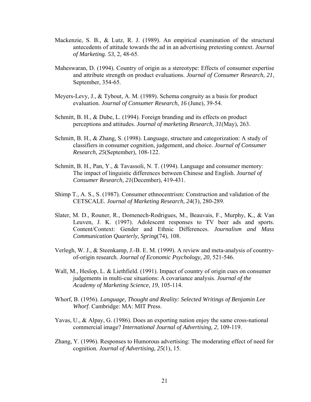- Mackenzie, S. B., & Lutz, R. J. (1989). An empirical examination of the structural antecedents of attitude towards the ad in an advertising pretesting context. *Journal of Marketing. 53*, 2, 48-65.
- Maheswaran, D. (1994). Country of origin as a stereotype: Effects of consumer expertise and attribute strength on product evaluations. *Journal of Consumer Research, 21*, September, 354-65.
- Meyers-Levy, J., & Tybout, A. M. (1989). Schema congruity as a basis for product evaluation. *Journal of Consumer Research, 16* (June), 39-54.
- Schmitt, B. H., & Dube, L. (1994). Foreign branding and its effects on product perceptions and attitudes. *Journal of marketing Research, 31*(May), 263.
- Schmitt, B. H., & Zhang, S. (1998). Language, structure and categorization: A study of classifiers in consumer cognition, judgement, and choice. *Journal of Consumer Research, 25*(September), 108-122.
- Schmitt, B. H., Pan, Y., & Tavassoli, N. T. (1994). Language and consumer memory: The impact of linguistic differences between Chinese and English. *Journal of Consumer Research, 21*(December), 419-431.
- Shimp T., A. S., S. (1987). Consumer ethnocentrism: Construction and validation of the CETSCALE. *Journal of Marketing Research, 24*(3), 280-289.
- Slater, M. D., Rouner, R., Domenech-Rodrigues, M., Beauvais, F., Murphy, K., & Van Leuven, J. K. (1997). Adolescent responses to TV beer ads and sports. Content/Context: Gender and Ethnic Differences. *Journalism and Mass Communication Quarterly, Spring*(74), 108.
- Verlegh, W. J., & Steenkamp, J.-B. E. M. (1999). A review and meta-analysis of countryof-origin research. *Journal of Economic Psychology, 20*, 521-546.
- Wall, M., Heslop, L. & Liethfield. (1991). Impact of country of origin cues on consumer judgements in multi-cue situations: A covariance analysis. *Journal of the Academy of Marketing Science, 19*, 105-114.
- Whorf, B. (1956). *Language, Thought and Reality: Selected Writings of Benjamin Lee Whorf*. Cambridge: MA: MIT Press.
- Yavas, U., & Alpay, G. (1986). Does an exporting nation enjoy the same cross-national commercial image? *International Journal of Advertising, 2*, 109-119.
- Zhang, Y. (1996). Responses to Humorous advertising: The moderating effect of need for cognition. *Journal of Advertising, 25*(1), 15.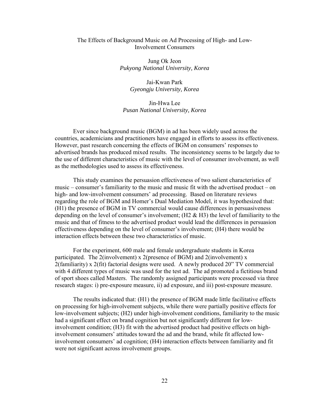#### The Effects of Background Music on Ad Processing of High- and Low-Involvement Consumers

Jung Ok Jeon *Pukyong National University, Korea*

> Jai-Kwan Park *Gyeongju University, Korea*

Jin-Hwa Lee *Pusan National University, Korea* 

Ever since background music (BGM) in ad has been widely used across the countries, academicians and practitioners have engaged in efforts to assess its effectiveness. However, past research concerning the effects of BGM on consumers' responses to advertised brands has produced mixed results. The inconsistency seems to be largely due to the use of different characteristics of music with the level of consumer involvement, as well as the methodologies used to assess its effectiveness.

This study examines the persuasion effectiveness of two salient characteristics of music – consumer's familiarity to the music and music fit with the advertised product – on high- and low-involvement consumers' ad processing. Based on literature reviews regarding the role of BGM and Homer's Dual Mediation Model, it was hypothesized that: (H1) the presence of BGM in TV commercial would cause differences in persuasiveness depending on the level of consumer's involvement; (H2 & H3) the level of familiarity to the music and that of fitness to the advertised product would lead the differences in persuasion effectiveness depending on the level of consumer's involvement; (H4) there would be interaction effects between these two characteristics of music.

For the experiment, 600 male and female undergraduate students in Korea participated. The 2(involvement) x 2(presence of BGM) and 2(involvement) x 2(familiarity) x 2(fit) factorial designs were used. A newly produced 20" TV commercial with 4 different types of music was used for the test ad. The ad promoted a fictitious brand of sport shoes called Masters. The randomly assigned participants were processed via three research stages: i) pre-exposure measure, ii) ad exposure, and iii) post-exposure measure.

The results indicated that: (H1) the presence of BGM made little facilitative effects on processing for high-involvement subjects, while there were partially positive effects for low-involvement subjects; (H2) under high-involvement conditions, familiarity to the music had a significant effect on brand cognition but not significantly different for lowinvolvement condition; (H3) fit with the advertised product had positive effects on highinvolvement consumers' attitudes toward the ad and the brand, while fit affected lowinvolvement consumers' ad cognition; (H4) interaction effects between familiarity and fit were not significant across involvement groups.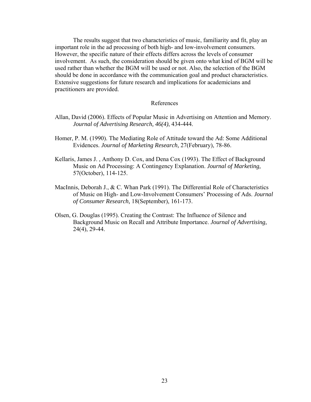The results suggest that two characteristics of music, familiarity and fit, play an important role in the ad processing of both high- and low-involvement consumers. However, the specific nature of their effects differs across the levels of consumer involvement. As such, the consideration should be given onto what kind of BGM will be used rather than whether the BGM will be used or not. Also, the selection of the BGM should be done in accordance with the communication goal and product characteristics. Extensive suggestions for future research and implications for academicians and practitioners are provided.

#### References

- Allan, David (2006). Effects of Popular Music in Advertising on Attention and Memory. *Journal of Advertising Research, 46(4)*, 434-444.
- Homer, P. M. (1990). The Mediating Role of Attitude toward the Ad: Some Additional Evidences. *Journal of Marketing Research,* 27(February), 78-86.
- Kellaris, James J. , Anthony D. Cox, and Dena Cox (1993). The Effect of Background Music on Ad Processing: A Contingency Explanation. *Journal of Marketing,*  57(October), 114-125.
- MacInnis, Deborah J., & C. Whan Park (1991). The Differential Role of Characteristics of Music on High- and Low-Involvement Consumers' Processing of Ads. *Journal of Consumer Research,* 18(September), 161-173.
- Olsen, G. Douglas (1995). Creating the Contrast: The Influence of Silence and Background Music on Recall and Attribute Importance. *Journal of Advertising,*  24(4), 29-44.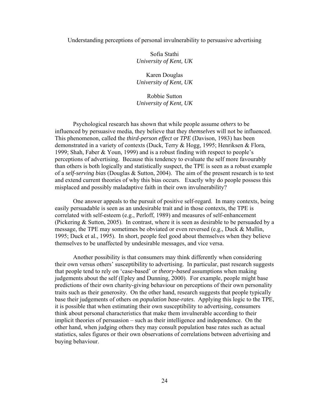#### Understanding perceptions of personal invulnerability to persuasive advertising

Sofia Stathi *University of Kent, UK* 

Karen Douglas *University of Kent, UK* 

Robbie Sutton *University of Kent, UK* 

 Psychological research has shown that while people assume *others* to be influenced by persuasive media, they believe that they *themselves* will not be influenced. This phenomenon, called the *third-person effect* or *TPE* (Davison, 1983) has been demonstrated in a variety of contexts (Duck, Terry & Hogg, 1995; Henriksen & Flora, 1999; Shah, Faber & Youn, 1999) and is a robust finding with respect to people's perceptions of advertising. Because this tendency to evaluate the self more favourably than others is both logically and statistically suspect, the TPE is seen as a robust example of a *self-serving bias* (Douglas & Sutton, 2004). The aim of the present research is to test and extend current theories of why this bias occurs. Exactly why do people possess this misplaced and possibly maladaptive faith in their own invulnerability?

 One answer appeals to the pursuit of positive self-regard. In many contexts, being easily persuadable is seen as an undesirable trait and in those contexts, the TPE is correlated with self-esteem (e.g., Perloff, 1989) and measures of self-enhancement (Pickering & Sutton, 2005). In contrast, where it is seen as desirable to be persuaded by a message, the TPE may sometimes be obviated or even reversed (e.g., Duck & Mullin, 1995; Duck et al., 1995). In short, people feel good about themselves when they believe themselves to be unaffected by undesirable messages, and vice versa.

 Another possibility is that consumers may think differently when considering their own versus others' susceptibility to advertising. In particular, past research suggests that people tend to rely on 'case-based' or *theory-based* assumptions when making judgements about the self (Epley and Dunning, 2000). For example, people might base predictions of their own charity-giving behaviour on perceptions of their own personality traits such as their generosity. On the other hand, research suggests that people typically base their judgements of others on *population base-rates*. Applying this logic to the TPE, it is possible that when estimating their own susceptibility to advertising, consumers think about personal characteristics that make them invulnerable according to their implicit theories of persuasion – such as their intelligence and independence. On the other hand, when judging others they may consult population base rates such as actual statistics, sales figures or their own observations of correlations between advertising and buying behaviour.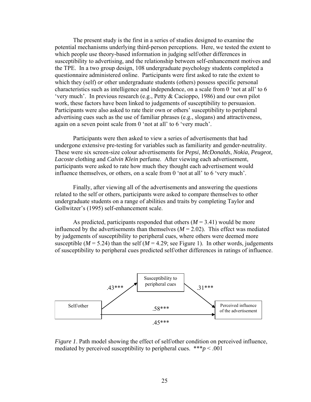The present study is the first in a series of studies designed to examine the potential mechanisms underlying third-person perceptions. Here, we tested the extent to which people use theory-based information in judging self/other differences in susceptibility to advertising, and the relationship between self-enhancement motives and the TPE. In a two group design, 108 undergraduate psychology students completed a questionnaire administered online. Participants were first asked to rate the extent to which they (self) *or* other undergraduate students (others) possess specific personal characteristics such as intelligence and independence, on a scale from 0 'not at all' to 6 'very much'. In previous research (e.g., Petty & Cacioppo, 1986) and our own pilot work, these factors have been linked to judgements of susceptibility to persuasion. Participants were also asked to rate their own or others' susceptibility to peripheral advertising cues such as the use of familiar phrases (e.g., slogans) and attractiveness, again on a seven point scale from 0 'not at all' to 6 'very much'.

Participants were then asked to view a series of advertisements that had undergone extensive pre-testing for variables such as familiarity and gender-neutrality. These were six screen-size colour advertisements for *Pepsi*, *McDonalds*, *Nokia*, *Peugeot*, *Lacoste* clothing and *Calvin Klein* perfume. After viewing each advertisement, participants were asked to rate how much they thought each advertisement would influence themselves, or others, on a scale from 0 'not at all' to 6 'very much'.

Finally, after viewing all of the advertisements and answering the questions related to the self or others, participants were asked to compare themselves to other undergraduate students on a range of abilities and traits by completing Taylor and Gollwitzer's (1995) self-enhancement scale.

As predicted, participants responded that others  $(M = 3.41)$  would be more influenced by the advertisements than themselves  $(M = 2.02)$ . This effect was mediated by judgements of susceptibility to peripheral cues, where others were deemed more susceptible ( $M = 5.24$ ) than the self ( $M = 4.29$ ; see Figure 1). In other words, judgements of susceptibility to peripheral cues predicted self/other differences in ratings of influence.



*Figure 1*. Path model showing the effect of self/other condition on perceived influence, mediated by perceived susceptibility to peripheral cues.  $***p$  < .001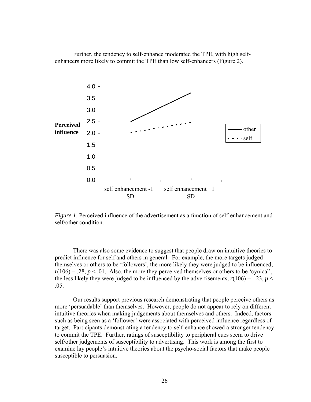Further, the tendency to self-enhance moderated the TPE, with high selfenhancers more likely to commit the TPE than low self-enhancers (Figure 2).



*Figure 1*. Perceived influence of the advertisement as a function of self-enhancement and self/other condition.

There was also some evidence to suggest that people draw on intuitive theories to predict influence for self and others in general. For example, the more targets judged themselves or others to be 'followers', the more likely they were judged to be influenced;  $r(106) = .28$ ,  $p < .01$ . Also, the more they perceived themselves or others to be 'cynical', the less likely they were judged to be influenced by the advertisements,  $r(106) = -0.23$ ,  $p <$ .05.

Our results support previous research demonstrating that people perceive others as more 'persuadable' than themselves. However, people do not appear to rely on different intuitive theories when making judgements about themselves and others. Indeed, factors such as being seen as a 'follower' were associated with perceived influence regardless of target. Participants demonstrating a tendency to self-enhance showed a stronger tendency to commit the TPE. Further, ratings of susceptibility to peripheral cues seem to drive self/other judgements of susceptibility to advertising. This work is among the first to examine lay people's intuitive theories about the psycho-social factors that make people susceptible to persuasion.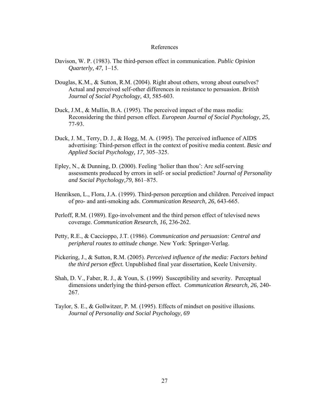#### References

- Davison, W. P. (1983). The third-person effect in communication. *Public Opinion Quarterly, 47*, 1–15.
- Douglas, K.M., & Sutton, R.M. (2004). Right about others, wrong about ourselves? Actual and perceived self-other differences in resistance to persuasion. *British Journal of Social Psychology, 43,* 585-603.
- Duck, J.M., & Mullin, B.A. (1995). The perceived impact of the mass media: Reconsidering the third person effect. *European Journal of Social Psychology, 25,*  77-93.
- Duck, J. M., Terry, D. J., & Hogg, M. A. (1995). The perceived influence of AIDS advertising: Third-person effect in the context of positive media content. *Basic and Applied Social Psychology, 17*, 305–325.
- Epley, N., & Dunning, D. (2000). Feeling 'holier than thou': Are self-serving assessments produced by errors in self- or social prediction? *Journal of Personality and Social Psychology,79*, 861–875.
- Henriksen, L., Flora, J.A. (1999). Third-person perception and children. Perceived impact of pro- and anti-smoking ads. *Communication Research, 26,* 643-665.
- Perloff, R.M. (1989). Ego-involvement and the third person effect of televised news coverage. *Communication Research, 16,* 236-262.
- Petty, R.E., & Caccioppo, J.T. (1986). *Communication and persuasion: Central and peripheral routes to attitude change.* New York: Springer-Verlag.
- Pickering, J., & Sutton, R.M. (2005). *Perceived influence of the media: Factors behind the third person effect.* Unpublished final year dissertation, Keele University.
- Shah, D. V., Faber, R. J., & Youn, S. (1999) Susceptibility and severity. Perceptual dimensions underlying the third-person effect. *Communication Research, 26*, 240- 267.
- Taylor, S. E., & Gollwitzer, P. M. (1995). Effects of mindset on positive illusions. *Journal of Personality and Social Psychology, 69*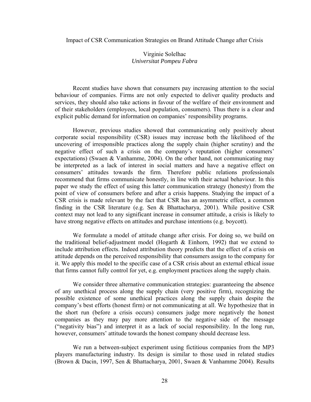#### Impact of CSR Communication Strategies on Brand Attitude Change after Crisis

#### Virginie Solelhac *Universitat Pompeu Fabra*

Recent studies have shown that consumers pay increasing attention to the social behaviour of companies. Firms are not only expected to deliver quality products and services, they should also take actions in favour of the welfare of their environment and of their stakeholders (employees, local population, consumers). Thus there is a clear and explicit public demand for information on companies' responsibility programs.

However, previous studies showed that communicating only positively about corporate social responsibility (CSR) issues may increase both the likelihood of the uncovering of irresponsible practices along the supply chain (higher scrutiny) and the negative effect of such a crisis on the company's reputation (higher consumers' expectations) (Swaen & Vanhamme, 2004). On the other hand, not communicating may be interpreted as a lack of interest in social matters and have a negative effect on consumers' attitudes towards the firm. Therefore public relations professionals recommend that firms communicate honestly, in line with their actual behaviour. In this paper we study the effect of using this latter communication strategy (honesty) from the point of view of consumers before and after a crisis happens. Studying the impact of a CSR crisis is made relevant by the fact that CSR has an asymmetric effect, a common finding in the CSR literature (e.g. Sen & Bhattacharya, 2001). While positive CSR context may not lead to any significant increase in consumer attitude, a crisis is likely to have strong negative effects on attitudes and purchase intentions (e.g. boycott).

We formulate a model of attitude change after crisis. For doing so, we build on the traditional belief-adjustment model (Hogarth  $\&$  Einhorn, 1992) that we extend to include attribution effects. Indeed attribution theory predicts that the effect of a crisis on attitude depends on the perceived responsibility that consumers assign to the company for it. We apply this model to the specific case of a CSR crisis about an external ethical issue that firms cannot fully control for yet, e.g. employment practices along the supply chain.

We consider three alternative communication strategies: guaranteeing the absence of any unethical process along the supply chain (very positive firm), recognizing the possible existence of some unethical practices along the supply chain despite the company's best efforts (honest firm) or not communicating at all. We hypothesize that in the short run (before a crisis occurs) consumers judge more negatively the honest companies as they may pay more attention to the negative side of the message ("negativity bias") and interpret it as a lack of social responsibility. In the long run, however, consumers' attitude towards the honest company should decrease less.

We run a between-subject experiment using fictitious companies from the MP3 players manufacturing industry. Its design is similar to those used in related studies (Brown & Dacin, 1997, Sen & Bhattacharya, 2001, Swaen & Vanhamme 2004). Results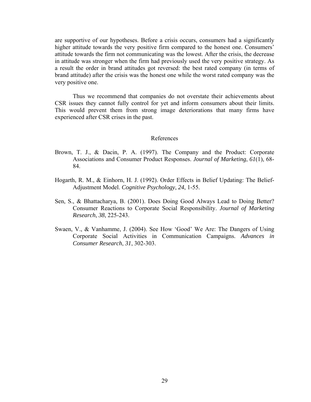are supportive of our hypotheses. Before a crisis occurs, consumers had a significantly higher attitude towards the very positive firm compared to the honest one. Consumers' attitude towards the firm not communicating was the lowest. After the crisis, the decrease in attitude was stronger when the firm had previously used the very positive strategy. As a result the order in brand attitudes got reversed: the best rated company (in terms of brand attitude) after the crisis was the honest one while the worst rated company was the very positive one.

Thus we recommend that companies do not overstate their achievements about CSR issues they cannot fully control for yet and inform consumers about their limits. This would prevent them from strong image deteriorations that many firms have experienced after CSR crises in the past.

#### References

- Brown, T. J., & Dacin, P. A. (1997). The Company and the Product: Corporate Associations and Consumer Product Responses. *Journal of Marketing*, *61*(1), 68- 84.
- Hogarth, R. M., & Einhorn, H. J. (1992). Order Effects in Belief Updating: The Belief-Adjustment Model. *Cognitive Psychology*, *24*, 1-55.
- Sen, S., & Bhattacharya, B. (2001). Does Doing Good Always Lead to Doing Better? Consumer Reactions to Corporate Social Responsibility. *Journal of Marketing Research*, *38*, 225-243.
- Swaen, V., & Vanhamme, J. (2004). See How 'Good' We Are: The Dangers of Using Corporate Social Activities in Communication Campaigns. *Advances in Consumer Research*, *31*, 302-303.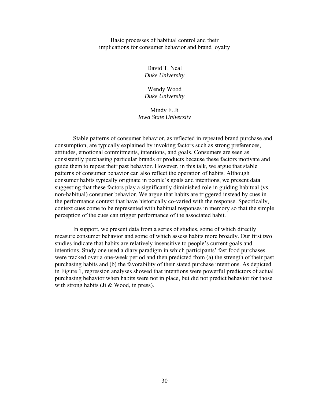Basic processes of habitual control and their implications for consumer behavior and brand loyalty

> David T. Neal *Duke University*

> Wendy Wood *Duke University*

Mindy F. Ji *Iowa State University* 

Stable patterns of consumer behavior, as reflected in repeated brand purchase and consumption, are typically explained by invoking factors such as strong preferences, attitudes, emotional commitments, intentions, and goals. Consumers are seen as consistently purchasing particular brands or products because these factors motivate and guide them to repeat their past behavior. However, in this talk, we argue that stable patterns of consumer behavior can also reflect the operation of habits. Although consumer habits typically originate in people's goals and intentions, we present data suggesting that these factors play a significantly diminished role in guiding habitual (vs. non-habitual) consumer behavior. We argue that habits are triggered instead by cues in the performance context that have historically co-varied with the response. Specifically, context cues come to be represented with habitual responses in memory so that the simple perception of the cues can trigger performance of the associated habit.

In support, we present data from a series of studies, some of which directly measure consumer behavior and some of which assess habits more broadly. Our first two studies indicate that habits are relatively insensitive to people's current goals and intentions. Study one used a diary paradigm in which participants' fast food purchases were tracked over a one-week period and then predicted from (a) the strength of their past purchasing habits and (b) the favorability of their stated purchase intentions. As depicted in Figure 1, regression analyses showed that intentions were powerful predictors of actual purchasing behavior when habits were not in place, but did not predict behavior for those with strong habits (Ji & Wood, in press).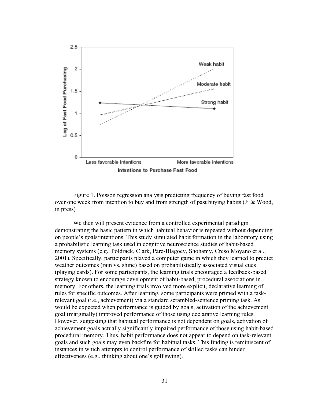

Figure 1. Poisson regression analysis predicting frequency of buying fast food over one week from intention to buy and from strength of past buying habits (Ji & Wood, in press)

We then will present evidence from a controlled experimental paradigm demonstrating the basic pattern in which habitual behavior is repeated without depending on people's goals/intentions. This study simulated habit formation in the laboratory using a probabilistic learning task used in cognitive neuroscience studies of habit-based memory systems (e.g., Poldrack, Clark, Pare-Blagoev, Shohamy, Creso Moyano et al., 2001). Specifically, participants played a computer game in which they learned to predict weather outcomes (rain vs. shine) based on probabilistically associated visual cues (playing cards). For some participants, the learning trials encouraged a feedback-based strategy known to encourage development of habit-based, procedural associations in memory. For others, the learning trials involved more explicit, declarative learning of rules for specific outcomes. After learning, some participants were primed with a taskrelevant goal (i.e., achievement) via a standard scrambled-sentence priming task. As would be expected when performance is guided by goals, activation of the achievement goal (marginally) improved performance of those using declarative learning rules. However, suggesting that habitual performance is not dependent on goals, activation of achievement goals actually significantly impaired performance of those using habit-based procedural memory. Thus, habit performance does not appear to depend on task-relevant goals and such goals may even backfire for habitual tasks. This finding is reminiscent of instances in which attempts to control performance of skilled tasks can hinder effectiveness (e.g., thinking about one's golf swing).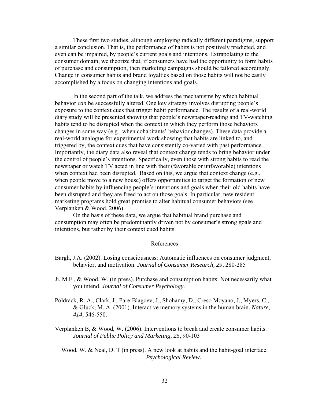These first two studies, although employing radically different paradigms, support a similar conclusion. That is, the performance of habits is not positively predicted, and even can be impaired, by people's current goals and intentions. Extrapolating to the consumer domain, we theorize that, if consumers have had the opportunity to form habits of purchase and consumption, then marketing campaigns should be tailored accordingly. Change in consumer habits and brand loyalties based on those habits will not be easily accomplished by a focus on changing intentions and goals.

 In the second part of the talk, we address the mechanisms by which habitual behavior *can* be successfully altered. One key strategy involves disrupting people's exposure to the context cues that trigger habit performance. The results of a real-world diary study will be presented showing that people's newspaper-reading and TV-watching habits tend to be disrupted when the context in which they perform those behaviors changes in some way (e.g., when cohabitants' behavior changes). These data provide a real-world analogue for experimental work showing that habits are linked to, and triggered by, the context cues that have consistently co-varied with past performance. Importantly, the diary data also reveal that context change tends to bring behavior under the control of people's intentions. Specifically, even those with strong habits to read the newspaper or watch TV acted in line with their (favorable or unfavorable) intentions when context had been disrupted. Based on this, we argue that context change (e.g., when people move to a new house) offers opportunities to target the formation of new consumer habits by influencing people's intentions and goals when their old habits have been disrupted and they are freed to act on those goals. In particular, new resident marketing programs hold great promise to alter habitual consumer behaviors (see Verplanken & Wood, 2006).

 On the basis of these data, we argue that habitual brand purchase and consumption may often be predominantly driven not by consumer's strong goals and intentions, but rather by their context cued habits.

#### References

- Bargh, J.A. (2002). Losing consciousness: Automatic influences on consumer judgment, behavior, and motivation. *Journal of Consumer Research, 29*, 280-285
- Ji, M.F., & Wood, W. (in press). Purchase and consumption habits: Not necessarily what you intend. *Journal of Consumer Psychology*.
- Poldrack, R. A., Clark, J., Pare-Blagoev, J., Shohamy, D., Creso Moyano, J., Myers, C., & Gluck, M. A. (2001). Interactive memory systems in the human brain. *Nature, 414*, 546-550.
- Verplanken B, & Wood, W. (2006). Interventions to break and create consumer habits. *Journal of Public Policy and Marketing, 25*, 90-103
	- Wood, W. & Neal, D. T (in press). A new look at habits and the habit-goal interface. *Psychological Review.*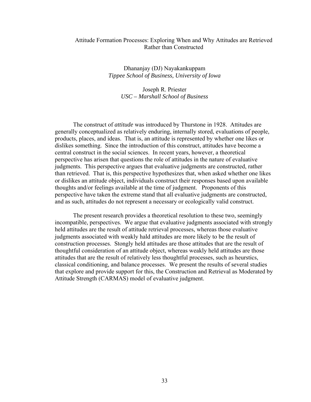## Attitude Formation Processes: Exploring When and Why Attitudes are Retrieved Rather than Constructed

Dhananjay (DJ) Nayakankuppam *Tippee School of Business, University of Iowa*

> Joseph R. Priester *USC – Marshall School of Business*

 The construct of *attitude* was introduced by Thurstone in 1928. Attitudes are generally conceptualized as relatively enduring, internally stored, evaluations of people, products, places, and ideas. That is, an attitude is represented by whether one likes or dislikes something. Since the introduction of this construct, attitudes have become a central construct in the social sciences. In recent years, however, a theoretical perspective has arisen that questions the role of attitudes in the nature of evaluative judgments. This perspective argues that evaluative judgments are constructed, rather than retrieved. That is, this perspective hypothesizes that, when asked whether one likes or dislikes an attitude object, individuals construct their responses based upon available thoughts and/or feelings available at the time of judgment. Proponents of this perspective have taken the extreme stand that all evaluative judgments are constructed, and as such, attitudes do not represent a necessary or ecologically valid construct.

 The present research provides a theoretical resolution to these two, seemingly incompatible, perspectives. We argue that evaluative judgments associated with strongly held attitudes are the result of attitude retrieval processes, whereas those evaluative judgments associated with weakly hald attitudes are more likely to be the result of construction processes. Stongly held attitudes are those attitudes that are the result of thoughtful consideration of an attitude object, whereas weakly held attitudes are those attitudes that are the result of relatively less thoughtful processes, such as heurstics, classical conditioning, and balance processes. We present the results of several studies that explore and provide support for this, the Construction and Retrieval as Moderated by Attitude Strength (CARMAS) model of evaluative judgment.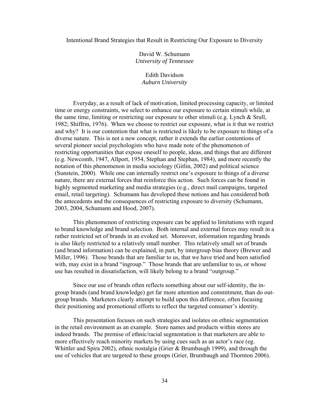### Intentional Brand Strategies that Result in Restricting Our Exposure to Diversity

David W. Schumann *University of Tennessee* 

Edith Davidson *Auburn University* 

 Everyday, as a result of lack of motivation, limited processing capacity, or limited time or energy constraints, we select to enhance our exposure to certain stimuli while, at the same time, limiting or restricting our exposure to other stimuli (e.g. Lynch & Srull, 1982; Shiffrin, 1976). When we choose to restrict our exposure, what is it that we restrict and why? It is our contention that what is restricted is likely to be exposure to things of a diverse nature. This is not a new concept, rather it extends the earlier contentions of several pioneer social psychologists who have made note of the phenomenon of restricting opportunities that expose oneself to people, ideas, and things that are different (e.g. Newcomb, 1947, Allport, 1954, Stephan and Stephan, 1984), and more recently the notation of this phenomenon in media sociology (Gitlin, 2002) and political science (Sunstein, 2000). While one can internally restrict one's exposure to things of a diverse nature, there are external forces that reinforce this action. Such forces can be found in highly segmented marketing and media strategies (e.g., direct mail campaigns, targeted email, retail targeting). Schumann has developed these notions and has considered both the antecedents and the consequences of restricting exposure to diversity (Schumann, 2003, 2004, Schumann and Hood, 2007).

 This phenomenon of restricting exposure can be applied to limitations with regard to brand knowledge and brand selection. Both internal and external forces may result in a rather restricted set of brands in an evoked set. Moreover, information regarding brands is also likely restricted to a relatively small number. This relatively small set of brands (and brand information) can be explained, in part, by intergroup bias theory (Brewer and Miller, 1996). Those brands that are familiar to us, that we have tried and been satisfied with, may exist in a brand "ingroup." Those brands that are unfamiliar to us, or whose use has resulted in dissatisfaction, will likely belong to a brand "outgroup."

 Since our use of brands often reflects something about our self-identity, the ingroup brands (and brand knowledge) get far more attention and commitment, than do outgroup brands. Marketers clearly attempt to build upon this difference, often focusing their positioning and promotional efforts to reflect the targeted consumer's identity.

This presentation focuses on such strategies and isolates on ethnic segmentation in the retail environment as an example. Store names and products within stores are indeed brands. The premise of ethnic/racial segmentation is that marketers are able to more effectively reach minority markets by using cues such as an actor's race (eg. Whittler and Spira 2002), ethnic nostalgia (Grier & Brumbaugh 1999), and through the use of vehicles that are targeted to these groups (Grier, Brumbaugh and Thornton 2006).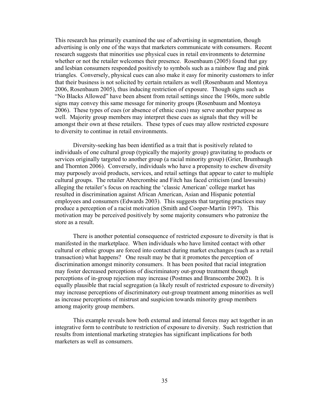This research has primarily examined the use of advertising in segmentation, though advertising is only one of the ways that marketers communicate with consumers. Recent research suggests that minorities use physical cues in retail environments to determine whether or not the retailer welcomes their presence. Rosenbaum (2005) found that gay and lesbian consumers responded positively to symbols such as a rainbow flag and pink triangles. Conversely, physical cues can also make it easy for minority customers to infer that their business is not solicited by certain retailers as well (Rosenbaum and Montoya 2006, Rosenbaum 2005), thus inducing restriction of exposure. Though signs such as "No Blacks Allowed" have been absent from retail settings since the 1960s, more subtle signs may convey this same message for minority groups (Rosenbaum and Montoya 2006). These types of cues (or absence of ethnic cues) may serve another purpose as well. Majority group members may interpret these cues as signals that they will be amongst their own at these retailers. These types of cues may allow restricted exposure to diversity to continue in retail environments.

Diversity-seeking has been identified as a trait that is positively related to individuals of one cultural group (typically the majority group) gravitating to products or services originally targeted to another group (a racial minority group) (Grier, Brumbaugh and Thornton 2006). Conversely, individuals who have a propensity to eschew diversity may purposely avoid products, services, and retail settings that appear to cater to multiple cultural groups. The retailer Abercrombie and Fitch has faced criticism (and lawsuits) alleging the retailer's focus on reaching the 'classic American' college market has resulted in discrimination against African American, Asian and Hispanic potential employees and consumers (Edwards 2003). This suggests that targeting practices may produce a perception of a racist motivation (Smith and Cooper-Martin 1997). This motivation may be perceived positively by some majority consumers who patronize the store as a result.

There is another potential consequence of restricted exposure to diversity is that is manifested in the marketplace. When individuals who have limited contact with other cultural or ethnic groups are forced into contact during market exchanges (such as a retail transaction) what happens? One result may be that it promotes the perception of discrimination amongst minority consumers. It has been posited that racial integration may foster decreased perceptions of discriminatory out-group treatment though perceptions of in-group rejection may increase (Postmes and Branscombe 2002). It is equally plausible that racial segregation (a likely result of restricted exposure to diversity) may increase perceptions of discriminatory out-group treatment among minorities as well as increase perceptions of mistrust and suspicion towards minority group members among majority group members.

This example reveals how both external and internal forces may act together in an integrative form to contribute to restriction of exposure to diversity. Such restriction that results from intentional marketing strategies has significant implications for both marketers as well as consumers.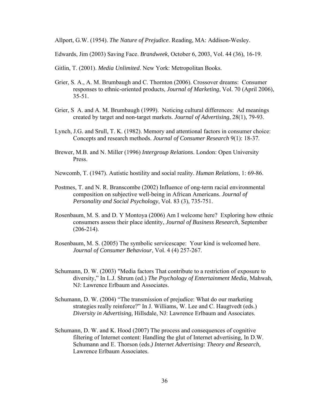Allport, G.W. (1954). *The Nature of Prejudice*. Reading, MA: Addison-Wesley.

Edwards, Jim (2003) Saving Face. *Brandweek*, October 6, 2003, Vol. 44 (36), 16-19.

- Gitlin, T. (2001). *Media Unlimited*. New York: Metropolitan Books.
- Grier, S. A., A. M. Brumbaugh and C. Thornton (2006). Crossover dreams: Consumer responses to ethnic-oriented products, *Journal of Marketing*, Vol. 70 (April 2006), 35-51.
- Grier, S A. and A. M. Brumbaugh (1999). Noticing cultural differences: Ad meanings created by target and non-target markets. *Journal of Advertising*, 28(1), 79-93.
- Lynch, J.G. and Srull, T. K. (1982). Memory and attentional factors in consumer choice: Concepts and research methods. *Journal of Consumer Research* 9(1): 18-37.
- Brewer, M.B. and N. Miller (1996) *Intergroup Relations*. London: Open University Press.
- Newcomb, T. (1947). Autistic hostility and social reality. *Human Relations*, 1: 69-86.
- Postmes, T. and N. R. Branscombe (2002) Influence of ong-term racial environmental composition on subjective well-being in African Americans. *Journal of Personality and Social Psychology*, Vol. 83 (3), 735-751.
- Rosenbaum, M. S. and D. Y Montoya (2006) Am I welcome here? Exploring how ethnic consumers assess their place identity, *Journal of Business Research*, September  $(206 - 214)$ .
- Rosenbaum, M. S. (2005) The symbolic servicescape: Your kind is welcomed here. *Journal of Consumer Behaviour*, Vol. 4 (4) 257-267.
- Schumann, D. W. (2003) "Media factors That contribute to a restriction of exposure to diversity," In L.J. Shrum (ed.) *The Psychology of Entertainment Media,* Mahwah, NJ: Lawrence Erlbaum and Associates.
- Schumann, D. W. (2004) "The transmission of prejudice: What do our marketing strategies really reinforce?" In J. Williams, W. Lee and C. Haugtvedt (eds.) *Diversity in Advertising,* Hillsdale, NJ: Lawrence Erlbaum and Associates.
- Schumann, D. W. and K. Hood (2007) The process and consequences of cognitive filtering of Internet content: Handling the glut of Internet advertising, In D.W. Schumann and E. Thorson (eds.*) Internet Advertising: Theory and Research,*  Lawrence Erlbaum Associates.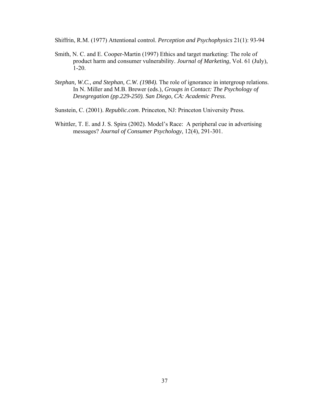Shiffrin, R.M. (1977) Attentional control. *Perception and Psychophysics* 21(1): 93-94

- Smith, N. C. and E. Cooper-Martin (1997) Ethics and target marketing: The role of product harm and consumer vulnerability. *Journal of Marketing*, Vol. 61 (July), 1-20.
- *Stephan, W.C., and Stephan, C.W. (1984).* The role of ignorance in intergroup relations. In N. Miller and M.B. Brewer (eds.)*, Groups in Contact: The Psychology of Desegregation (pp.229-250). San Diego, CA: Academic Press.*

Sunstein, C. (2001). *Republic.com*. Princeton, NJ: Princeton University Press.

Whittler, T. E. and J. S. Spira (2002). Model's Race: A peripheral cue in advertising messages? *Journal of Consumer Psychology*, 12(4), 291-301.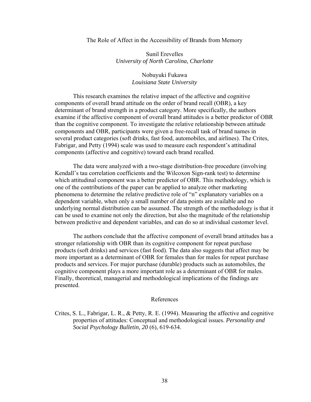#### The Role of Affect in the Accessibility of Brands from Memory

## Sunil Erevelles *University of North Carolina, Charlotte*

## Nobuyuki Fukawa *Louisiana State University*

 This research examines the relative impact of the affective and cognitive components of overall brand attitude on the order of brand recall (OBR), a key determinant of brand strength in a product category. More specifically, the authors examine if the affective component of overall brand attitudes is a better predictor of OBR than the cognitive component. To investigate the relative relationship between attitude components and OBR, participants were given a free-recall task of brand names in several product categories (soft drinks, fast food, automobiles, and airlines). The Crites, Fabrigar, and Petty (1994) scale was used to measure each respondent's attitudinal components (affective and cognitive) toward each brand recalled.

 The data were analyzed with a two-stage distribution-free procedure (involving Kendall's tau correlation coefficients and the Wilcoxon Sign-rank test) to determine which attitudinal component was a better predictor of OBR. This methodology, which is one of the contributions of the paper can be applied to analyze other marketing phenomena to determine the relative predictive role of "n" explanatory variables on a dependent variable, when only a small number of data points are available and no underlying normal distribution can be assumed. The strength of the methodology is that it can be used to examine not only the direction, but also the magnitude of the relationship between predictive and dependent variables, and can do so at individual customer level.

 The authors conclude that the affective component of overall brand attitudes has a stronger relationship with OBR than its cognitive component for repeat purchase products (soft drinks) and services (fast food). The data also suggests that affect may be more important as a determinant of OBR for females than for males for repeat purchase products and services. For major purchase (durable) products such as automobiles, the cognitive component plays a more important role as a determinant of OBR for males. Finally, theoretical, managerial and methodological implications of the findings are presented.

### References

Crites, S. L., Fabrigar, L. R., & Petty, R. E. (1994). Measuring the affective and cognitive properties of attitudes: Conceptual and methodological issues. *Personality and Social Psychology Bulletin, 20* (6), 619-634.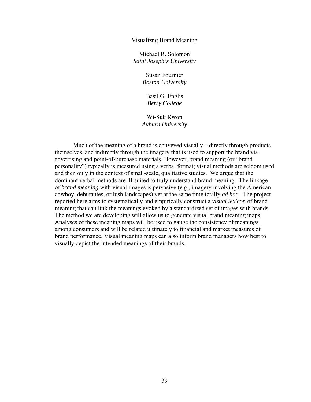#### Visualizng Brand Meaning

Michael R. Solomon *Saint Joseph's University* 

> Susan Fournier *Boston University*

Basil G. Englis *Berry College* 

Wi-Suk Kwon *Auburn University* 

Much of the meaning of a brand is conveyed visually – directly through products themselves, and indirectly through the imagery that is used to support the brand via advertising and point-of-purchase materials. However, brand meaning (or "brand personality") typically is measured using a verbal format; visual methods are seldom used and then only in the context of small-scale, qualitative studies. We argue that the dominant verbal methods are ill-suited to truly understand brand meaning. The linkage of *brand meaning* with visual images is pervasive (e.g., imagery involving the American cowboy, debutantes, or lush landscapes) yet at the same time totally *ad hoc*. The project reported here aims to systematically and empirically construct a *visual lexicon* of brand meaning that can link the meanings evoked by a standardized set of images with brands. The method we are developing will allow us to generate visual brand meaning maps. Analyses of these meaning maps will be used to gauge the consistency of meanings among consumers and will be related ultimately to financial and market measures of brand performance. Visual meaning maps can also inform brand managers how best to visually depict the intended meanings of their brands.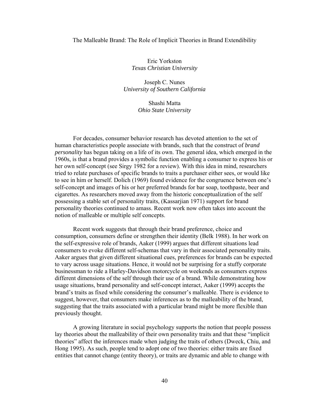#### The Malleable Brand: The Role of Implicit Theories in Brand Extendibility

Eric Yorkston *Texas Christian University* 

Joseph C. Nunes *University of Southern California* 

> Shashi Matta *Ohio State University*

For decades, consumer behavior research has devoted attention to the set of human characteristics people associate with brands, such that the construct of *brand personality* has begun taking on a life of its own. The general idea, which emerged in the 1960s, is that a brand provides a symbolic function enabling a consumer to express his or her own self-concept (see Sirgy 1982 for a review). With this idea in mind, researchers tried to relate purchases of specific brands to traits a purchaser either sees, or would like to see in him or herself. Dolich (1969) found evidence for the congruence between one's self-concept and images of his or her preferred brands for bar soap, toothpaste, beer and cigarettes. As researchers moved away from the historic conceptualization of the self possessing a stable set of personality traits, (Kassarjian 1971) support for brand personality theories continued to amass. Recent work now often takes into account the notion of malleable or multiple self concepts.

Recent work suggests that through their brand preference, choice and consumption, consumers define or strengthen their identity (Belk 1988). In her work on the self-expressive role of brands, Aaker (1999) argues that different situations lead consumers to evoke different self-schemas that vary in their associated personality traits. Aaker argues that given different situational cues, preferences for brands can be expected to vary across usage situations. Hence, it would not be surprising for a stuffy corporate businessman to ride a Harley-Davidson motorcycle on weekends as consumers express different dimensions of the self through their use of a brand. While demonstrating how usage situations, brand personality and self-concept interact, Aaker (1999) accepts the brand's traits as fixed while considering the consumer's malleable. There is evidence to suggest, however, that consumers make inferences as to the malleability of the brand, suggesting that the traits associated with a particular brand might be more flexible than previously thought.

A growing literature in social psychology supports the notion that people possess lay theories about the malleability of their own personality traits and that these "implicit theories" affect the inferences made when judging the traits of others (Dweck, Chiu, and Hong 1995). As such, people tend to adopt one of two theories: either traits are fixed entities that cannot change (entity theory), or traits are dynamic and able to change with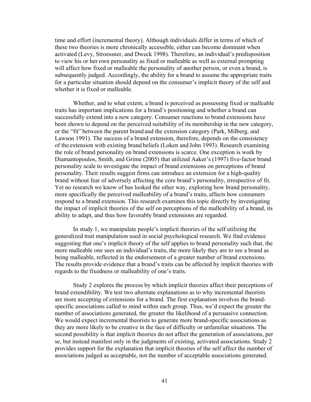time and effort (incremental theory). Although individuals differ in terms of which of these two theories is more chronically accessible, either can become dominant when activated (Levy, Stroessner, and Dweck 1998). Therefore, an individual's predisposition to view his or her own personality as fixed or malleable as well as external prompting will affect how fixed or malleable the personality of another person, or even a brand, is subsequently judged. Accordingly, the ability for a brand to assume the appropriate traits for a particular situation should depend on the consumer's implicit theory of the self and whether it is fixed or malleable.

Whether, and to what extent, a brand is perceived as possessing fixed or malleable traits has important implications for a brand's positioning and whether a brand can successfully extend into a new category. Consumer reactions to brand extensions have been shown to depend on the perceived suitability of its membership in the new category, or the "fit" between the parent brand and the extension category (Park, Milberg, and Lawson 1991). The success of a brand extension, therefore, depends on the consistency of the extension with existing brand beliefs (Loken and John 1993). Research examining the role of brand personality on brand extensions is scarce. One exception is work by Diamantopoulos, Smith, and Grime (2005) that utilized Aaker's (1997) five-factor brand personality scale to investigate the impact of brand extensions on perceptions of brand personality. Their results suggest firms can introduce an extension for a high-quality brand without fear of adversely affecting the core brand's personality, irrespective of fit. Yet no research we know of has looked the other way, exploring how brand personality, more specifically the perceived malleability of a brand's traits, affects how consumers respond to a brand extension. This research examines this topic directly by investigating the impact of implicit theories of the self on perceptions of the malleability of a brand, its ability to adapt, and thus how favorably brand extensions are regarded.

In study 1, we manipulate people's implicit theories of the self utilizing the generalized trait manipulation used in social psychological research. We find evidence suggesting that one's implicit theory of the self applies to brand personality such that, the more malleable one sees an individual's traits, the more likely they are to see a brand as being malleable, reflected in the endorsement of a greater number of brand extensions. The results provide evidence that a brand's traits can be affected by implicit theories with regards to the fixedness or malleability of one's traits.

Study 2 explores the process by which implicit theories affect their perceptions of brand extendibility. We test two alternate explanations as to why incremental theorists are more accepting of extensions for a brand. The first explanation involves the brandspecific associations called to mind within each group. Thus, we'd expect the greater the number of associations generated, the greater the likelihood of a persuasive connection. We would expect incremental theorists to generate more brand-specific associations as they are more likely to be creative in the face of difficulty or unfamiliar situations. The second possibility is that implicit theories do not affect the generation of associations, per se, but instead manifest only in the judgments of existing, activated associations. Study 2 provides support for the explanation that implicit theories of the self affect the number of associations judged as acceptable, not the number of acceptable associations generated.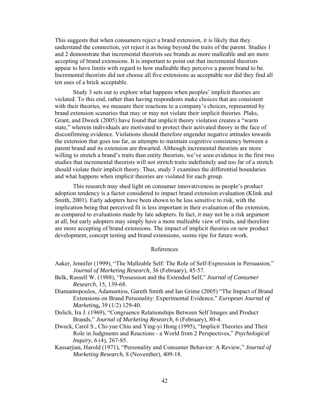This suggests that when consumers reject a brand extension, it is likely that they understand the connection, yet reject it as being beyond the traits of the parent. Studies 1 and 2 demonstrate that incremental theorists see brands as more malleable and are more accepting of brand extensions. It is important to point out that incremental theorists appear to have limits with regard to how malleable they perceive a parent brand to be. Incremental theorists did not choose all five extensions as acceptable nor did they find all ten uses of a brick acceptable.

Study 3 sets out to explore what happens when peoples' implicit theories are violated. To this end, rather than having respondents make choices that are consistent with their theories, we measure their reactions to a company's choices, represented by brand extension scenarios that may or may not violate their implicit theories. Plaks, Grant, and Dweck (2005) have found that implicit theory violation creates a "warm state," wherein individuals are motivated to protect their activated theory in the face of disconfirming evidence. Violations should therefore engender negative attitudes towards the extension that goes too far, as attempts to maintain cognitive consistency between a parent brand and its extension are thwarted. Although incremental theorists are more willing to stretch a brand's traits than entity theorists, we've seen evidence in the first two studies that incremental theorists will not stretch traits indefinitely and too far of a stretch should violate their implicit theory. Thus, study 3 examines the differential boundaries and what happens when implicit theories are violated for each group.

This research may shed light on consumer innovativeness as people's product adoption tendency is a factor considered to impact brand extension evaluation (Klink and Smith, 2001). Early adopters have been shown to be less sensitive to risk, with the implication being that perceived fit is less important in their evaluation of the extension, as compared to evaluations made by late adopters. In fact, it may not be a risk argument at all, but early adopters may simply have a more malleable view of traits, and therefore are more accepting of brand extensions. The impact of implicit theories on new product development, concept testing and brand extensions, seems ripe for future work.

### References

- Aaker, Jennifer (1999), "The Malleable Self: The Role of Self-Expression in Persuasion," *Journal of Marketing Research*, 36 (February), 45-57.
- Belk, Russell W. (1988), "Possession and the Extended Self," *Journal of Consumer Research*, 15, 139-68.
- Diamantopoulos, Adamantios, Gareth Smith and Ian Grime (2005) "The Impact of Brand Extensions on Brand Personality: Experimental Evidence," *European Journal of Marketing***,** 39 (1/2) 129-40.
- Dolich, Ira J. (1969), "Congruence Relationships Between Self Images and Product Brands," *Journal of Marketing Research*, 6 (February), 80-4.
- Dweck, Carol S., Chi-yue Chiu and Ying-yi Hong (1995), "Implicit Theories and Their Role in Judgments and Reactions - a World from 2 Perspectives," *Psychological Inquiry*, 6 (4), 267-85.
- Kassarjian, Harold (1971), "Personality and Consumer Behavior: A Review," *Journal of Marketing Research*, 8 (November), 409-18.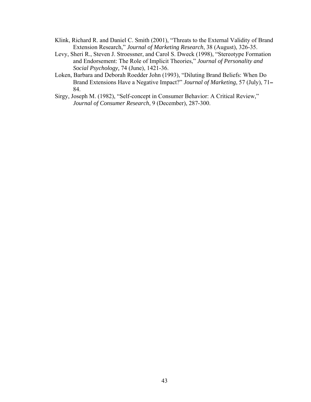- Klink, Richard R. and Daniel C. Smith (2001), "Threats to the External Validity of Brand Extension Research," *Journal of Marketing Research*, 38 (August), 326-35.
- Levy, Sheri R., Steven J. Stroessner, and Carol S. Dweck (1998), "Stereotype Formation and Endorsement: The Role of Implicit Theories," *Journal of Personality and Social Psychology,* 74 (June), 1421-36.
- Loken, Barbara and Deborah Roedder John (1993), "Diluting Brand Beliefs: When Do Brand Extensions Have a Negative Impact?" *Journal of Marketing*, 57 (July), 71 84.
- Sirgy, Joseph M. (1982), "Self-concept in Consumer Behavior: A Critical Review," *Journal of Consumer Research*, 9 (December), 287-300.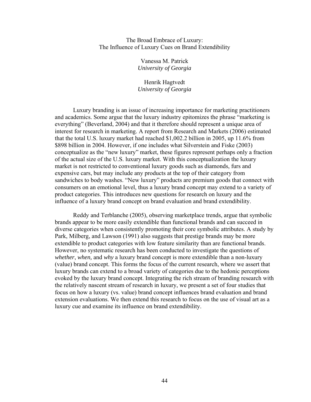### The Broad Embrace of Luxury: The Influence of Luxury Cues on Brand Extendibility

Vanessa M. Patrick *University of Georgia*

Henrik Hagtvedt *University of Georgia*

Luxury branding is an issue of increasing importance for marketing practitioners and academics. Some argue that the luxury industry epitomizes the phrase "marketing is everything" (Beverland, 2004) and that it therefore should represent a unique area of interest for research in marketing. A report from Research and Markets (2006) estimated that the total U.S. luxury market had reached \$1,002.2 billion in 2005, up 11.6% from \$898 billion in 2004. However, if one includes what Silverstein and Fiske (2003) conceptualize as the "new luxury" market, these figures represent perhaps only a fraction of the actual size of the U.S. luxury market. With this conceptualization the luxury market is not restricted to conventional luxury goods such as diamonds, furs and expensive cars, but may include any products at the top of their category from sandwiches to body washes. "New luxury" products are premium goods that connect with consumers on an emotional level, thus a luxury brand concept may extend to a variety of product categories. This introduces new questions for research on luxury and the influence of a luxury brand concept on brand evaluation and brand extendibility.

Reddy and Terblanche (2005), observing marketplace trends, argue that symbolic brands appear to be more easily extendible than functional brands and can succeed in diverse categories when consistently promoting their core symbolic attributes. A study by Park, Milberg, and Lawson (1991) also suggests that prestige brands may be more extendible to product categories with low feature similarity than are functional brands. However, no systematic research has been conducted to investigate the questions of *whether*, *when,* and *why* a luxury brand concept is more extendible than a non-luxury (value) brand concept. This forms the focus of the current research, where we assert that luxury brands can extend to a broad variety of categories due to the hedonic perceptions evoked by the luxury brand concept. Integrating the rich stream of branding research with the relatively nascent stream of research in luxury, we present a set of four studies that focus on how a luxury (vs. value) brand concept influences brand evaluation and brand extension evaluations. We then extend this research to focus on the use of visual art as a luxury cue and examine its influence on brand extendibility.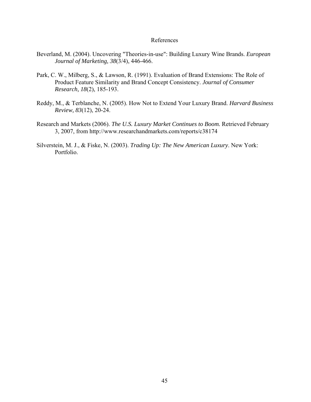### References

- Beverland, M. (2004). Uncovering "Theories-in-use": Building Luxury Wine Brands. *European Journal of Marketing, 38*(3/4), 446-466.
- Park, C. W., Milberg, S., & Lawson, R. (1991). Evaluation of Brand Extensions: The Role of Product Feature Similarity and Brand Concept Consistency. *Journal of Consumer Research, 18*(2), 185-193.
- Reddy, M., & Terblanche, N. (2005). How Not to Extend Your Luxury Brand. *Harvard Business Review, 83*(12), 20-24.
- Research and Markets (2006). *The U.S. Luxury Market Continues to Boom.* Retrieved February 3, 2007, from http://www.researchandmarkets.com/reports/c38174
- Silverstein, M. J., & Fiske, N. (2003). *Trading Up: The New American Luxury*. New York: Portfolio.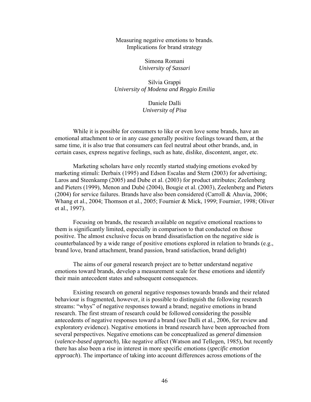Measuring negative emotions to brands. Implications for brand strategy

> Simona Romani *University of Sassari*

Silvia Grappi *University of Modena and Reggio Emilia*

> Daniele Dalli *University of Pisa*

While it is possible for consumers to like or even love some brands, have an emotional attachment to or in any case generally positive feelings toward them, at the same time, it is also true that consumers can feel neutral about other brands, and, in certain cases, express negative feelings, such as hate, dislike, discontent, anger, etc.

Marketing scholars have only recently started studying emotions evoked by marketing stimuli: Derbaix (1995) and Edson Escalas and Stern (2003) for advertising; Laros and Steenkamp (2005) and Dube et al. (2003) for product attributes; Zeelenberg and Pieters (1999), Menon and Dubé (2004), Bougie et al. (2003), Zeelenberg and Pieters (2004) for service failures. Brands have also been considered (Carroll & Ahuvia, 2006; Whang et al., 2004; Thomson et al., 2005; Fournier & Mick, 1999; Fournier, 1998; Oliver et al., 1997).

Focusing on brands, the research available on negative emotional reactions to them is significantly limited, especially in comparison to that conducted on those positive. The almost exclusive focus on brand dissatisfaction on the negative side is counterbalanced by a wide range of positive emotions explored in relation to brands (e.g., brand love, brand attachment, brand passion, brand satisfaction, brand delight)

The aims of our general research project are to better understand negative emotions toward brands, develop a measurement scale for these emotions and identify their main antecedent states and subsequent consequences.

Existing research on general negative responses towards brands and their related behaviour is fragmented, however, it is possible to distinguish the following research streams: "whys" of negative responses toward a brand; negative emotions in brand research. The first stream of research could be followed considering the possible antecedents of negative responses toward a brand (see Dalli et al., 2006, for review and exploratory evidence). Negative emotions in brand research have been approached from several perspectives. Negative emotions can be conceptualized as *general* dimension (*valence-based approach*), like negative affect (Watson and Tellegen, 1985), but recently there has also been a rise in interest in more specific emotions (*specific emotion approach*). The importance of taking into account differences across emotions of the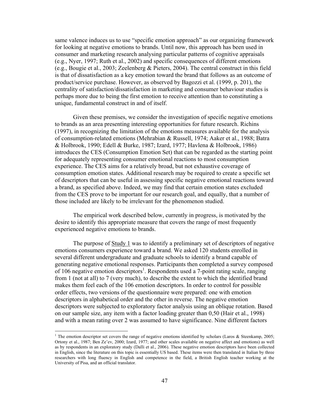same valence induces us to use "specific emotion approach" as our organizing framework for looking at negative emotions to brands. Until now, this approach has been used in consumer and marketing research analysing particular patterns of cognitive appraisals (e.g., Nyer, 1997; Ruth et al., 2002) and specific consequences of different emotions (e.g., Bougie et al., 2003; Zeelenberg & Pieters, 2004). The central construct in this field is that of dissatisfaction as a key emotion toward the brand that follows as an outcome of product/service purchase. However, as observed by Bagozzi et al. (1999, p. 201), the centrality of satisfaction/dissatisfaction in marketing and consumer behaviour studies is perhaps more due to being the first emotion to receive attention than to constituting a unique, fundamental construct in and of itself.

Given these premises, we consider the investigation of specific negative emotions to brands as an area presenting interesting opportunities for future research. Richins (1997), in recognizing the limitation of the emotions measures available for the analysis of consumption-related emotions (Mehrabian & Russell, 1974; Aaker et al., 1988; Batra & Holbrook, 1990; Edell & Burke, 1987; Izard, 1977; Havlena & Holbrook, 1986) introduces the CES (Consumption Emotion Set) that can be regarded as the starting point for adequately representing consumer emotional reactions to most consumption experience. The CES aims for a relatively broad, but not exhaustive coverage of consumption emotion states. Additional research may be required to create a specific set of descriptors that can be useful in assessing specific negative emotional reactions toward a brand, as specified above. Indeed, we may find that certain emotion states excluded from the CES prove to be important for our research goal, and equally, that a number of those included are likely to be irrelevant for the phenomenon studied.

The empirical work described below, currently in progress, is motivated by the desire to identify this appropriate measure that covers the range of most frequently experienced negative emotions to brands.

The purpose of Study 1 was to identify a preliminary set of descriptors of negative emotions consumers experience toward a brand. We asked 120 students enrolled in several different undergraduate and graduate schools to identify a brand capable of generating negative emotional responses. Participants then completed a survey composed of 106 negative emotion descriptors<sup>1</sup>. Respondents used a 7-point rating scale, ranging from 1 (not at all) to 7 (very much), to describe the extent to which the identified brand makes them feel each of the 106 emotion descriptors. In order to control for possible order effects, two versions of the questionnaire were prepared: one with emotion descriptors in alphabetical order and the other in reverse. The negative emotion descriptors were subjected to exploratory factor analysis using an oblique rotation. Based on our sample size, any item with a factor loading greater than 0,50 (Hair et al., 1998) and with a mean rating over 2 was assumed to have significance. Nine different factors

 $\overline{a}$ 

<sup>&</sup>lt;sup>1</sup> The emotion descriptor set covers the range of negative emotions identified by scholars (Laros & Steenkamp, 2005; Ortony et al., 1987; Ben Ze'ev, 2000; Izard, 1977; and other scales available on negative affect and emotions) as well as by respondents in an exploratory study (Dalli et al., 2006). These negative emotion descriptors have been collected in English, since the literature on this topic is essentially US based. These items were then translated in Italian by three researchers with long fluency in English and competence in the field, a British English teacher working at the University of Pisa, and an official translator.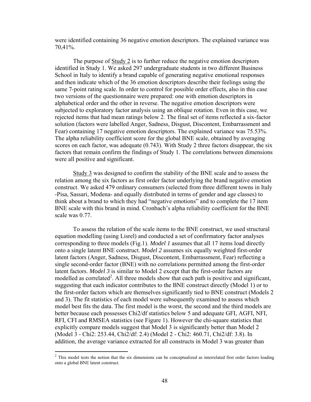were identified containing 36 negative emotion descriptors. The explained variance was 70,41%.

The purpose of Study 2 is to further reduce the negative emotion descriptors identified in Study 1. We asked 297 undergraduate students in two different Business School in Italy to identify a brand capable of generating negative emotional responses and then indicate which of the 36 emotion descriptors describe their feelings using the same 7-point rating scale. In order to control for possible order effects, also in this case two versions of the questionnaire were prepared: one with emotion descriptors in alphabetical order and the other in reverse. The negative emotion descriptors were subjected to exploratory factor analysis using an oblique rotation. Even in this case, we rejected items that had mean ratings below 2. The final set of items reflected a six-factor solution (factors were labelled Anger, Sadness, Disgust, Discontent, Embarrassment and Fear) containing 17 negative emotion descriptors. The explained variance was 75.53%. The alpha reliability coefficient score for the global BNE scale, obtained by averaging scores on each factor, was adequate (0.743). With Study 2 three factors disappear, the six factors that remain confirm the findings of Study 1. The correlations between dimensions were all positive and significant.

Study 3 was designed to confirm the stability of the BNE scale and to assess the relation among the six factors as first order factor underlying the brand negative emotion construct. We asked 479 ordinary consumers (selected from three different towns in Italy -Pisa, Sassari, Modena- and equally distributed in terms of gender and age classes) to think about a brand to which they had "negative emotions" and to complete the 17 item BNE scale with this brand in mind. Cronbach's alpha reliability coefficient for the BNE scale was 0.77.

To assess the relation of the scale items to the BNE construct, we used structural equation modelling (using Lisrel) and conducted a set of confirmatory factor analyses corresponding to three models (Fig.1). *Model 1* assumes that all 17 items load directly onto a single latent BNE construct. *Model 2* assumes six equally weighted first-order latent factors (Anger, Sadness, Disgust, Discontent, Embarrassment, Fear) reflecting a single second-order factor (BNE) with no correlations permitted among the first-order latent factors. *Model 3* is similar to Model 2 except that the first-order factors are modelled as correlated<sup>2</sup>. All three models show that each path is positive and significant, suggesting that each indicator contributes to the BNE construct directly (Model 1) or to the first-order factors which are themselves significantly tied to BNE construct (Models 2 and 3). The fit statistics of each model were subsequently examined to assess which model best fits the data. The first model is the worst, the second and the third models are better because each possesses Chi2/df statistics below 5 and adequate GFI, AGFI, NFI, RFI, CFI and RMSEA statistics (see Figure 1). However the chi-square statistics that explicitly compare models suggest that Model 3 is significantly better than Model 2 (Model 3 - Chi2: 253.44, Chi2/df: 2.4) (Model 2 - Chi2: 460.71, Chi2/df: 3.8). In addition, the average variance extracted for all constructs in Model 3 was greater than

 $\overline{a}$ 

<sup>&</sup>lt;sup>2</sup> This model tests the notion that the six dimensions can be conceptualized as interrelated first order factors loading onto a global BNE latent construct.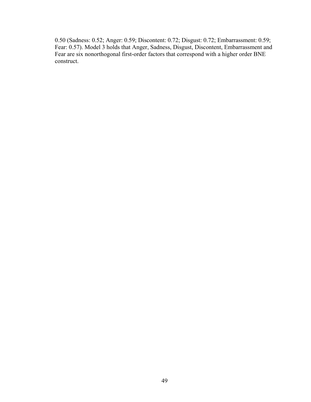0.50 (Sadness: 0.52; Anger: 0.59; Discontent: 0.72; Disgust: 0.72; Embarrassment: 0.59; Fear: 0.57). Model 3 holds that Anger, Sadness, Disgust, Discontent, Embarrassment and Fear are six nonorthogonal first-order factors that correspond with a higher order BNE construct.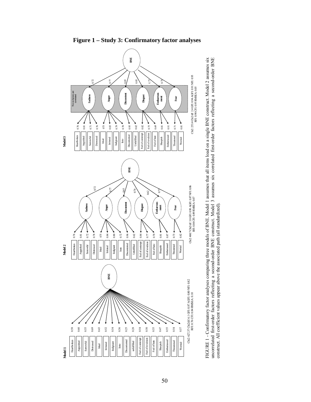

**Figure 1 – Study 3: Confirmatory factor analyses** 

FIGURE 1 - Confirmatory factor analyses comparing three models of BNE. Model 1 assumes that all items load on a single BNE construct. Model 2 assumes six FIGURE 1 - Confirmatory factor analyses comparing three models of BNE. Model 1 assumes that all items load on a single BNE construct. Model 2 assumes six uncorrelated first-order factors reflecting a second-order BNE construct. Model 3 assumes six correlated first-order factors reflecting a second-order BNE uncorrelated first-order factors reflecting a second-order BNE construct. Model 3 assumes six correlated first-order factors reflecting a second-order BNE construct. All coefficient values appear above the associated path (all standardized). construct. All coefficient values appear above the associated path (all standardized).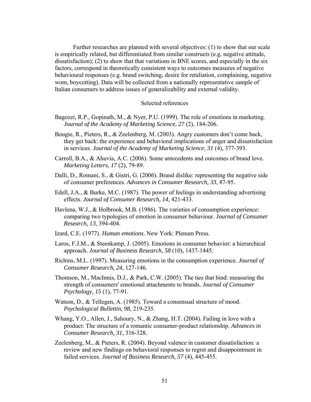Further researches are planned with several objectives: (1) to show that our scale is empirically related, but differentiated from similar constructs (e.g. negative attitude, dissatisfaction); (2) to show that that variations in BNE scores, and especially in the six factors, correspond in theoretically consistent ways to outcomes measures of negative behavioural responses (e.g. brand switching, desire for retaliation, complaining, negative wom, boycotting). Data will be collected from a nationally representative sample of Italian consumers to address issues of generalizability and external validity.

#### Selected references

- Bagozzi, R.P., Gopinath, M., & Nyer, P.U. (1999). The role of emotions in marketing. *Journal of the Academy of Marketing Science, 27* (2), 184-206.
- Bougie, R., Pieters, R., & Zeelenberg, M. (2003). Angry customers don't come back, they get back: the experience and behavioral implications of anger and dissatisfaction in services. *Journal of the Academy of Marketing Science, 31* (4), 377-393.
- Carroll, B.A., & Ahuvia, A.C. (2006). Some antecedents and outcomes of brand love. *Marketing Letters, 17* (2), 79-89.
- Dalli, D., Romani, S., & Gistri, G. (2006). Brand dislike: representing the negative side of consumer preferences. *Advances in Consumer Research, 33*, 87-95.
- Edell, J.A., & Burke, M.C. (1987). The power of feelings in understanding advertising effects. *Journal of Consumer Research, 14*, 421-433.
- Havlena, W.J., & Holbrook, M.B. (1986). The varieties of consumption experience: comparing two typologies of emotion in consumer behaviour. *Journal of Consumer Research, 13*, 394-404.
- Izard, C.E. (1977). *Human emotions*. New York: Plenum Press.
- Laros, F.J.M., & Steenkamp, J. (2005). Emotions in consumer behavior: a hierarchical approach. *Journal of Business Research, 58* (10), 1437-1445.
- Richins, M.L. (1997). Measuring emotions in the consumption experience. *Journal of Consumer Research, 24*, 127-146.
- Thomson, M., MacInnis, D.J., & Park, C.W. (2005). The ties that bind: measuring the strength of consumers' emotional attachments to brands. *Journal of Consumer Psychology, 15* (1), 77-91.
- Watson, D., & Tellegen, A. (1985). Toward a consensual structure of mood. *Psychological Bullettin, 98*, 219-235.
- Whang, Y.O., Allen, J., Sahoury, N., & Zhang, H.T. (2004). Failing in love with a product: The structure of a romantic consumer-product relationship. *Advances in Consumer Research, 31*, 316-328.
- Zeelenberg, M., & Pieters, R. (2004). Beyond valence in customer dissatisfaction: a review and new findings on behavioral responses to regret and disappointment in failed services. *Journal of Business Research, 57* (4), 445-455.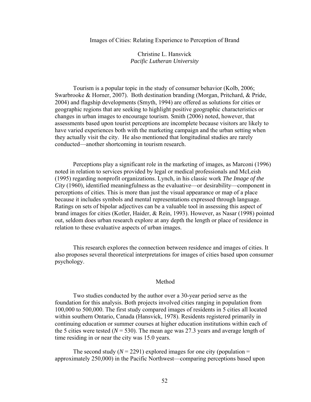#### Images of Cities: Relating Experience to Perception of Brand

Christine L. Hansvick *Pacific Lutheran University* 

Tourism is a popular topic in the study of consumer behavior (Kolb, 2006; Swarbrooke & Horner, 2007). Both destination branding (Morgan, Pritchard, & Pride, 2004) and flagship developments (Smyth, 1994) are offered as solutions for cities or geographic regions that are seeking to highlight positive geographic characteristics or changes in urban images to encourage tourism. Smith (2006) noted, however, that assessments based upon tourist perceptions are incomplete because visitors are likely to have varied experiences both with the marketing campaign and the urban setting when they actually visit the city. He also mentioned that longitudinal studies are rarely conducted—another shortcoming in tourism research.

Perceptions play a significant role in the marketing of images, as Marconi (1996) noted in relation to services provided by legal or medical professionals and McLeish (1995) regarding nonprofit organizations. Lynch, in his classic work *The Image of the City* (1960), identified meaningfulness as the evaluative—or desirability—component in perceptions of cities. This is more than just the visual appearance or map of a place because it includes symbols and mental representations expressed through language. Ratings on sets of bipolar adjectives can be a valuable tool in assessing this aspect of brand images for cities (Kotler, Haider, & Rein, 1993). However, as Nasar (1998) pointed out, seldom does urban research explore at any depth the length or place of residence in relation to these evaluative aspects of urban images.

This research explores the connection between residence and images of cities. It also proposes several theoretical interpretations for images of cities based upon consumer psychology.

#### Method

Two studies conducted by the author over a 30-year period serve as the foundation for this analysis. Both projects involved cities ranging in population from 100,000 to 500,000. The first study compared images of residents in 5 cities all located within southern Ontario, Canada (Hansvick, 1978). Residents registered primarily in continuing education or summer courses at higher education institutions within each of the 5 cities were tested  $(N = 530)$ . The mean age was 27.3 years and average length of time residing in or near the city was 15.0 years.

The second study  $(N = 2291)$  explored images for one city (population = approximately 250,000) in the Pacific Northwest—comparing perceptions based upon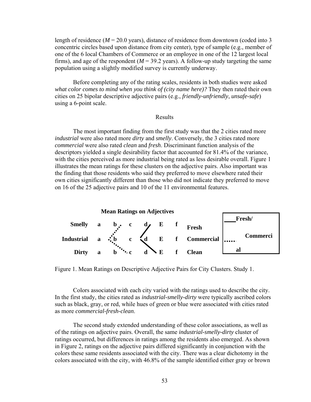length of residence  $(M = 20.0 \text{ years})$ , distance of residence from downtown (coded into 3) concentric circles based upon distance from city center), type of sample (e.g., member of one of the 6 local Chambers of Commerce or an employee in one of the 12 largest local firms), and age of the respondent ( $M = 39.2$  years). A follow-up study targeting the same population using a slightly modified survey is currently underway.

Before completing any of the rating scales, residents in both studies were asked *what color comes to mind when you think of (city name here)?* They then rated their own cities on 25 bipolar descriptive adjective pairs (e.g., *friendly-unfriendly*, *unsafe-safe*) using a 6-point scale.

## Results

The most important finding from the first study was that the 2 cities rated more *industrial* were also rated more *dirty* and *smelly*. Conversely, the 3 cities rated more *commercial* were also rated *clean* and *fresh*. Discriminant function analysis of the descriptors yielded a single desirability factor that accounted for 81.4% of the variance, with the cities perceived as more industrial being rated as less desirable overall. Figure 1 illustrates the mean ratings for these clusters on the adjective pairs. Also important was the finding that those residents who said they preferred to move elsewhere rated their own cities significantly different than those who did not indicate they preferred to move on 16 of the 25 adjective pairs and 10 of the 11 environmental features.



Figure 1. Mean Ratings on Descriptive Adjective Pairs for City Clusters. Study 1.

Colors associated with each city varied with the ratings used to describe the city. In the first study, the cities rated as *industrial-smelly-dirty* were typically ascribed colors such as black, gray, or red, while hues of green or blue were associated with cities rated as more *commercial*-*fresh-clean*.

The second study extended understanding of these color associations, as well as of the ratings on adjective pairs. Overall, the same *industrial-smelly-dirty* cluster of ratings occurred, but differences in ratings among the residents also emerged. As shown in Figure 2, ratings on the adjective pairs differed significantly in conjunction with the colors these same residents associated with the city. There was a clear dichotomy in the colors associated with the city, with 46.8% of the sample identified either gray or brown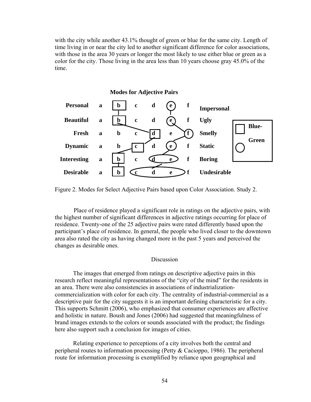with the city while another 43.1% thought of green or blue for the same city. Length of time living in or near the city led to another significant difference for color associations, with those in the area 30 years or longer the most likely to use either blue or green as a color for the city. Those living in the area less than 10 years choose gray 45.0% of the time.



Figure 2. Modes for Select Adjective Pairs based upon Color Association. Study 2.

Place of residence played a significant role in ratings on the adjective pairs, with the highest number of significant differences in adjective ratings occurring for place of residence. Twenty-one of the 25 adjective pairs were rated differently based upon the participant's place of residence. In general, the people who lived closer to the downtown area also rated the city as having changed more in the past 5 years and perceived the changes as desirable ones.

### Discussion

 The images that emerged from ratings on descriptive adjective pairs in this research reflect meaningful representations of the "city of the mind" for the residents in an area. There were also consistencies in associations of industrializationcommercialization with color for each city. The centrality of industrial-commercial as a descriptive pair for the city suggests it is an important defining characteristic for a city. This supports Schmitt (2006), who emphasized that consumer experiences are affective and holistic in nature. Boush and Jones (2006) had suggested that meaningfulness of brand images extends to the colors or sounds associated with the product; the findings here also support such a conclusion for images of cities.

 Relating experience to perceptions of a city involves both the central and peripheral routes to information processing (Petty & Cacioppo, 1986). The peripheral route for information processing is exemplified by reliance upon geographical and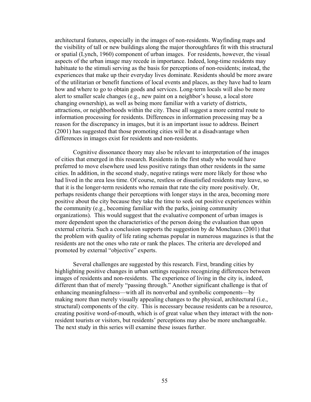architectural features, especially in the images of non-residents. Wayfinding maps and the visibility of tall or new buildings along the major thoroughfares fit with this structural or spatial (Lynch, 1960) component of urban images. For residents, however, the visual aspects of the urban image may recede in importance. Indeed, long-time residents may habituate to the stimuli serving as the basis for perceptions of non-residents; instead, the experiences that make up their everyday lives dominate. Residents should be more aware of the utilitarian or benefit functions of local events and places, as they have had to learn how and where to go to obtain goods and services. Long-term locals will also be more alert to smaller scale changes (e.g., new paint on a neighbor's house, a local store changing ownership), as well as being more familiar with a variety of districts, attractions, or neighborhoods within the city. These all suggest a more central route to information processing for residents. Differences in information processing may be a reason for the discrepancy in images, but it is an important issue to address. Beinert (2001) has suggested that those promoting cities will be at a disadvantage when differences in images exist for residents and non-residents.

 Cognitive dissonance theory may also be relevant to interpretation of the images of cities that emerged in this research. Residents in the first study who would have preferred to move elsewhere used less positive ratings than other residents in the same cities. In addition, in the second study, negative ratings were more likely for those who had lived in the area less time. Of course, restless or dissatisfied residents may leave, so that it is the longer-term residents who remain that rate the city more positively. Or, perhaps residents change their perceptions with longer stays in the area, becoming more positive about the city because they take the time to seek out positive experiences within the community (e.g., becoming familiar with the parks, joining community organizations). This would suggest that the evaluative component of urban images is more dependent upon the characteristics of the person doing the evaluation than upon external criteria. Such a conclusion supports the suggestion by de Monchaux (2001) that the problem with quality of life rating schemas popular in numerous magazines is that the residents are not the ones who rate or rank the places. The criteria are developed and promoted by external "objective" experts.

 Several challenges are suggested by this research. First, branding cities by highlighting positive changes in urban settings requires recognizing differences between images of residents and non-residents. The experience of living in the city is, indeed, different than that of merely "passing through." Another significant challenge is that of enhancing meaningfulness—with all its nonverbal and symbolic components—by making more than merely visually appealing changes to the physical, architectural (i.e., structural) components of the city. This is necessary because residents can be a resource, creating positive word-of-mouth, which is of great value when they interact with the nonresident tourists or visitors, but residents' perceptions may also be more unchangeable. The next study in this series will examine these issues further.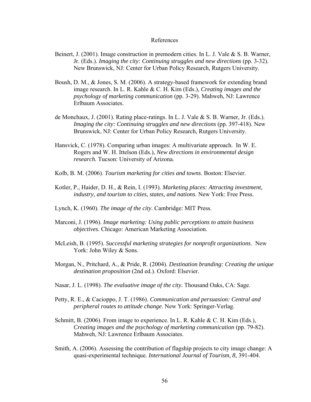#### References

- Beinert, J. (2001). Image construction in premodern cities. In L. J. Vale & S. B. Warner, Jr. (Eds.). *Imaging the city: Continuing struggles and new directions* (pp. 3-32). New Brunswick, NJ: Center for Urban Policy Research, Rutgers University.
- Boush, D. M., & Jones, S. M. (2006). A strategy-based framework for extending brand image research. In L. R. Kahle & C. H. Kim (Eds.), *Creating images and the psychology of marketing communication* (pp. 3-29). Mahweh, NJ: Lawrence Erlbaum Associates.
- de Monchaux, J. (2001). Rating place-ratings. In L. J. Vale & S. B. Warner, Jr. (Eds.). *Imaging the city: Continuing struggles and new directions (pp. 397-418). New* Brunswick, NJ: Center for Urban Policy Research, Rutgers University.
- Hansvick, C. (1978). Comparing urban images: A multivariate approach. In W. E. Rogers and W. H. Ittelson (Eds.), *New directions in environmental design research.* Tucson: University of Arizona.
- Kolb, B. M. (2006). *Tourism marketing for cities and towns*. Boston: Elsevier.
- Kotler, P., Haider, D. H., & Rein, I. (1993). *Marketing places: Attracting investment, industry, and tourism to cities, states, and nations*. New York: Free Press.
- Lynch, K. (1960). *The image of the city*. Cambridge: MIT Press.
- Marconi, J. (1996). *Image marketing: Using public perceptions to attain business objectives.* Chicago: American Marketing Association.
- McLeish, B. (1995). *Successful marketing strategies for nonprofit organizations*. New York: John Wiley & Sons.
- Morgan, N., Pritchard, A., & Pride, R. (2004). *Destination branding: Creating the unique destination proposition* (2nd ed.). Oxford: Elsevier.
- Nasar, J. L. (1998). *The evaluative image of the city.* Thousand Oaks, CA: Sage.
- Petty, R. E., & Cacioppo, J. T. (1986). *Communication and persuasion: Central and peripheral routes to attitude change.* New York: Springer-Verlag.
- Schmitt, B. (2006). From image to experience. In L. R. Kahle & C. H. Kim (Eds.), *Creating images and the psychology of marketing communication (pp. 79-82).* Mahweh, NJ: Lawrence Erlbaum Associates.
- Smith, A. (2006). Assessing the contribution of flagship projects to city image change: A quasi-experimental technique*. International Journal of Tourism, 8,* 391-404.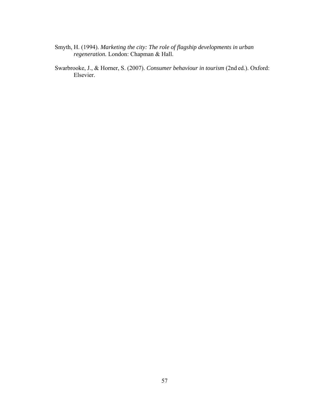- Smyth, H. (1994). *Marketing the city: The role of flagship developments in urban regeneration.* London: Chapman & Hall.
- Swarbrooke, J., & Horner, S. (2007). *Consumer behaviour in tourism* (2nd ed.). Oxford: Elsevier.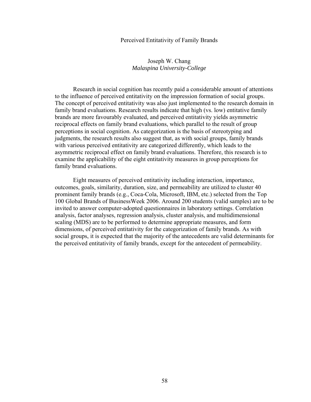#### Perceived Entitativity of Family Brands

## Joseph W. Chang *Malaspina University-College*

 Research in social cognition has recently paid a considerable amount of attentions to the influence of perceived entitativity on the impression formation of social groups. The concept of perceived entitativity was also just implemented to the research domain in family brand evaluations. Research results indicate that high (vs. low) entitative family brands are more favourably evaluated, and perceived entitativity yields asymmetric reciprocal effects on family brand evaluations, which parallel to the result of group perceptions in social cognition. As categorization is the basis of stereotyping and judgments, the research results also suggest that, as with social groups, family brands with various perceived entitativity are categorized differently, which leads to the asymmetric reciprocal effect on family brand evaluations. Therefore, this research is to examine the applicability of the eight entitativity measures in group perceptions for family brand evaluations.

 Eight measures of perceived entitativity including interaction, importance, outcomes, goals, similarity, duration, size, and permeability are utilized to cluster 40 prominent family brands (e.g., Coca-Cola, Microsoft, IBM, etc.) selected from the Top 100 Global Brands of BusinessWeek 2006. Around 200 students (valid samples) are to be invited to answer computer-adopted questionnaires in laboratory settings. Correlation analysis, factor analyses, regression analysis, cluster analysis, and multidimensional scaling (MDS) are to be performed to determine appropriate measures, and form dimensions, of perceived entitativity for the categorization of family brands. As with social groups, it is expected that the majority of the antecedents are valid determinants for the perceived entitativity of family brands, except for the antecedent of permeability.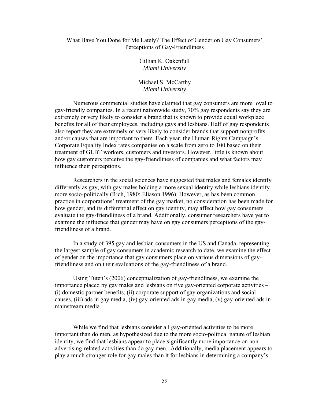### What Have You Done for Me Lately? The Effect of Gender on Gay Consumers' Perceptions of Gay-Friendliness

Gillian K. Oakenfull *Miami University* 

Michael S. McCarthy *Miami University* 

Numerous commercial studies have claimed that gay consumers are more loyal to gay-friendly companies. In a recent nationwide study, 70% gay respondents say they are extremely or very likely to consider a brand that is known to provide equal workplace benefits for all of their employees, including gays and lesbians. Half of gay respondents also report they are extremely or very likely to consider brands that support nonprofits and/or causes that are important to them. Each year, the Human Rights Campaign's Corporate Equality Index rates companies on a scale from zero to 100 based on their treatment of GLBT workers, customers and investors. However, little is known about how gay customers perceive the gay-friendliness of companies and what factors may influence their perceptions.

Researchers in the social sciences have suggested that males and females identify differently as gay, with gay males holding a more sexual identity while lesbians identify more socio-politically (Rich, 1980; Eliason 1996). However, as has been common practice in corporations' treatment of the gay market, no consideration has been made for how gender, and its differential effect on gay identity, may affect how gay consumers evaluate the gay-friendliness of a brand. Additionally, consumer researchers have yet to examine the influence that gender may have on gay consumers perceptions of the gayfriendliness of a brand.

 In a study of 395 gay and lesbian consumers in the US and Canada, representing the largest sample of gay consumers in academic research to date, we examine the effect of gender on the importance that gay consumers place on various dimensions of gayfriendliness and on their evaluations of the gay-friendliness of a brand.

 Using Tuten's (2006) conceptualization of gay-friendliness, we examine the importance placed by gay males and lesbians on five gay-oriented corporate activities – (i) domestic partner benefits, (ii) corporate support of gay organizations and social causes, (iii) ads in gay media, (iv) gay-oriented ads in gay media, (v) gay-oriented ads in mainstream media.

While we find that lesbians consider all gay-oriented activities to be more important than do men, as hypothesized due to the more socio-political nature of lesbian identity, we find that lesbians appear to place significantly more importance on nonadvertising-related activities than do gay men. Additionally, media placement appears to play a much stronger role for gay males than it for lesbians in determining a company's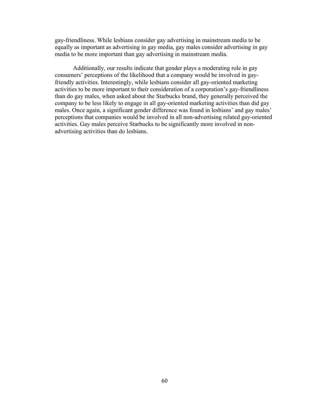gay-friendliness. While lesbians consider gay advertising in mainstream media to be equally as important as advertising in gay media, gay males consider advertising in gay media to be more important than gay advertising in mainstream media.

Additionally, our results indicate that gender plays a moderating role in gay consumers' perceptions of the likelihood that a company would be involved in gayfriendly activities. Interestingly, while lesbians consider all gay-oriented marketing activities to be more important to their consideration of a corporation's gay-friendliness than do gay males, when asked about the Starbucks brand, they generally perceived the company to be less likely to engage in all gay-oriented marketing activities than did gay males. Once again, a significant gender difference was found in lesbians' and gay males' perceptions that companies would be involved in all non-advertising related gay-oriented activities. Gay males perceive Starbucks to be significantly more involved in nonadvertising activities than do lesbians.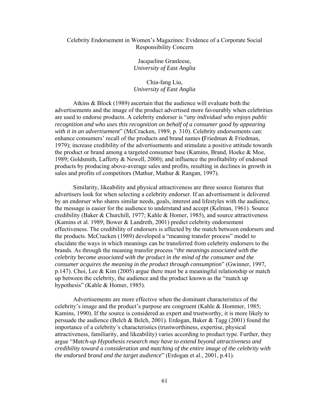### Celebrity Endorsement in Women's Magazines: Evidence of a Corporate Social Responsibility Concern

Jacqueline Granleese, *University of East Anglia* 

# Chia-fang Liu, *University of East Anglia*

 Atkins & Block (1989) ascertain that the audience will evaluate both the advertisements and the image of the product advertised more favourably when celebrities are used to endorse products. A celebrity endorser is "*any individual who enjoys public recognition and who uses this recognition on behalf of a consumer good by appearing with it in an advertisement*" (McCracken, 1989, p. 310). Celebrity endorsements can: enhance consumers' recall of the products and brand names **(**Friedman & Friedman, 1979); increase credibility of the advertisements and stimulate a positive attitude towards the product or brand among a targeted consumer base (Kamins, Brand, Hoeke & Moe, 1989; Goldsmith, Lafferty & Newell, 2000); and influence the profitability of endorsed products by producing above-average sales and profits, resulting in declines in growth in sales and profits of competitors (Mathur, Mathur & Rangan, 1997).

 Similarity, likeability and physical attractiveness are three source features that advertisers look for when selecting a celebrity endorser. If an advertisement is delivered by an endorser who shares similar needs, goals, interest and lifestyles with the audience, the message is easier for the audience to understand and accept (Kelman, 1961). Source credibility (Baker & Churchill, 1977; Kahle & Homer, 1985), and source attractiveness (Kamins et al. 1989; Bower & Landreth, 2001) predict celebrity endorsement effectiveness. The credibility of endorsers is affected by the match between endorsers and the products. McCracken (1989) developed a "meaning transfer process" model to elucidate the ways in which meanings can be transferred from celebrity endorsers to the brands. As through the meaning transfer process "*the meanings associated with the celebrity become associated with the product in the mind of the consumer and the consumer acquires the meaning in the product through consumption*" (Gwinner, 1997, p.147). Choi, Lee & Kim (2005) argue there must be a meaningful relationship or match up between the celebrity, the audience and the product known as the "match up hypothesis" (Kahle & Homer, 1985).

 Advertisements are more effective when the dominant characteristics of the celebrity's image and the product's purpose are congruent (Kahle & Hommer, 1985; Kamins, 1990). If the source is considered as expert and trustworthy, it is more likely to persuade the audience (Belch & Belch, 2001). Erdogan, Baker & Tagg (2001) found the importance of a celebrity's characteristics (trustworthiness, expertise, physical attractiveness, familiarity, and likeability) varies according to product type. Further, they argue "*Match-up Hypothesis research may have to extend beyond attractiveness and credibility toward a consideration and matching of the entire image of the celebrity with the endorsed brand and the target audience*" (Erdogan et al., 2001, p.41).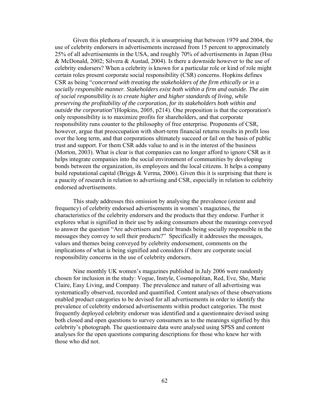Given this plethora of research, it is unsurprising that between 1979 and 2004, the use of celebrity endorsers in advertisements increased from 15 percent to approximately 25% of all advertisements in the USA, and roughly 70% of advertisements in Japan (Hsu & McDonald, 2002; Silvera & Austad, 2004). Is there a downside however to the use of celebrity endorsers? When a celebrity is known for a particular role or kind of role might certain roles present corporate social responsibility (CSR) concerns. Hopkins defines CSR as being "*concerned with treating the stakeholders of the firm ethically or in a socially responsible manner. Stakeholders exist both within a firm and outside. The aim of social responsibility is to create higher and higher standards of living, while preserving the profitability of the corporation, for its stakeholders both within and outside the corporation*"(Hopkins, 2005, p214). One proposition is that the corporation's only responsibility is to maximize profits for shareholders, and that corporate responsibility runs counter to the philosophy of free enterprise. Proponents of CSR, however, argue that preoccupation with short-term financial returns results in profit loss over the long term, and that corporations ultimately succeed or fail on the basis of public trust and support. For them CSR adds value to and is in the interest of the business (Morton, 2003). What is clear is that companies can no longer afford to ignore CSR as it helps integrate companies into the social environment of communities by developing bonds between the organization, its employees and the local citizens. It helps a company build reputational capital (Briggs & Verma, 2006). Given this it is surprising that there is a paucity of research in relation to advertising and CSR, especially in relation to celebrity endorsed advertisements.

 This study addresses this omission by analysing the prevalence (extent and frequency) of celebrity endorsed advertisements in women's magazines, the characteristics of the celebrity endorsers and the products that they endorse. Further it explores what is signified in their use by asking consumers about the meanings conveyed to answer the question "Are advertisers and their brands being socially responsible in the messages they convey to sell their products?" Specifically it addresses the messages, values and themes being conveyed by celebrity endorsement, comments on the implications of what is being signified and considers if there are corporate social responsibility concerns in the use of celebrity endorsers.

 Nine monthly UK women's magazines published in July 2006 were randomly chosen for inclusion in the study: Vogue, Instyle, Cosmopolitan, Red, Eve, She, Marie Claire, Easy Living, and Company. The prevalence and nature of all advertising was systematically observed, recorded and quantified. Content analyses of these observations enabled product categories to be devised for all advertisements in order to identify the prevalence of celebrity endorsed advertisements within product categories. The most frequently deployed celebrity endorser was identified and a questionnaire devised using both closed and open questions to survey consumers as to the meanings signified by this celebrity's photograph. The questionnaire data were analysed using SPSS and content analyses for the open questions comparing descriptions for those who knew her with those who did not.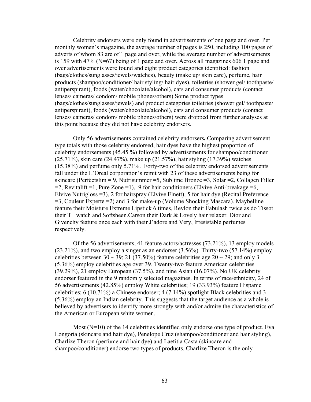Celebrity endorsers were only found in advertisements of one page and over. Per monthly women's magazine, the average number of pages is 250, including 100 pages of adverts of whom 83 are of 1 page and over, while the average number of advertisements is 159 with 47% (N=67) being of 1 page and over**.** Across all magazines 606 1 page and over advertisements were found and eight product categories identified: fashion (bags/clothes/sunglasses/jewels/watches), beauty (make up/ skin care), perfume, hair products (shampoo/conditioner/ hair styling/ hair dyes), toiletries (shower gel/ toothpaste/ antiperspirant), foods (water/chocolate/alcohol), cars and consumer products (contact lenses/ cameras/ condom/ mobile phones/others) Some product types (bags/clothes/sunglasses/jewels) and product categories toiletries (shower gel/ toothpaste/ antiperspirant), foods (water/chocolate/alcohol), cars and consumer products (contact lenses/ cameras/ condom/ mobile phones/others) were dropped from further analyses at this point because they did not have celebrity endorsers.

 Only 56 advertisements contained celebrity endorsers**.** Comparing advertisement type totals with those celebrity endorsed, hair dyes have the highest proportion of celebrity endorsements (45.45 %) followed by advertisements for shampoo/conditioner (25.71%), skin care (24.47%), make up (21.57%), hair styling (17.39%) watches (15.38%) and perfume only 5.71%. Forty-two of the celebrity endorsed advertisements fall under the L'Oreal corporation's remit with 23 of these advertisements being for skincare (Perfectslim = 9, Nutrisummer = 5, Sublime Bronze = 3, Solar = 2, Collagen Filler  $=$ 2, Revitalift  $=$ 1, Pure Zone  $=$ 1), 9 for hair conditioners (Elvive Anti-breakage  $=$ 6, Elvive Nutrigloss =3), 2 for hairspray (Elvive Elnett), 5 for hair dye (Recital Preference =3, Couleur Experte =2) and 3 for make-up (Volume Shocking Mascara). Maybelline feature their Moisture Extreme Lipstick 6 times, Revlon their Fabulash twice as do Tissot their T+ watch and Softsheen.Carson their Dark & Lovely hair relaxer. Dior and Givenchy feature once each with their J'adore and Very, Irresistable perfumes respectively.

 Of the 56 advertisements, 41 feature actors/actresses (73.21%), 13 employ models (23.21%), and two employ a singer as an endorser (3.56%). Thirty-two (57.14%) employ celebrities between  $30 \sim 39$ ; 21 (37.50%) feature celebrities age  $20 \sim 29$ ; and only 3 (5.36%) employ celebrities age over 39. Twenty-two feature American celebrities (39.29%), 21 employ European (37.5%), and nine Asian (16.07%). No UK celebrity endorser featured in the 9 randomly selected magazines. In terms of race/ethnicity, 24 of 56 advertisements (42.85%) employ White celebrities; 19 (33.93%) feature Hispanic celebrities; 6 (10.71%) a Chinese endorser; 4 (7.14%) spotlight Black celebrities and 3 (5.36%) employ an Indian celebrity. This suggests that the target audience as a whole is believed by advertisers to identify more strongly with and/or admire the characteristics of the American or European white women.

Most  $(N=10)$  of the 14 celebrities identified only endorse one type of product. Eva Longoria (skincare and hair dye), Penelope Cruz (shampoo/conditioner and hair styling), Charlize Theron (perfume and hair dye) and Laetitia Casta (skincare and shampoo/conditioner) endorse two types of products. Charlize Theron is the only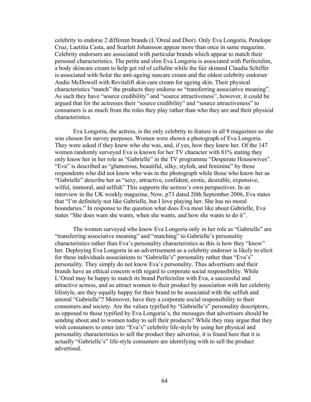celebrity to endorse 2 different brands (L'Oreal and Dior). Only Eva Longoria, Penelope Cruz, Laetitia Casta, and Scarlett Johansson appear more than once in same magazine. Celebrity endorsers are associated with particular brands which appear to match their personal characteristics. The petite and slim Eva Longoria is associated with Perfectslim, a body skincare cream to help get rid of cellulite while the fair skinned Claudia Schiffer is associated with Solar the anti-ageing suncare cream and the oldest celebrity endorser Andie McDowell with Revitalift skin care cream for ageing skin. Their physical characteristics "match" the products they endorse so "transferring associative meaning". As such they have "source credibility" and "source attractiveness", however, it could be argued that for the actresses their "source credibility" and "source attractiveness" to consumers is as much from the roles they play rather than who they are and their physical characteristics.

 Eva Longoria, the actress, is the only celebrity to feature in all 9 magazines so she was chosen for survey purposes. Women were shown a photograph of Eva Longoria. They were asked if they knew who she was, and, if yes, how they knew her. Of the 147 women randomly surveyed Eva is known for her TV character with 81% stating they only know her in her role as "Gabrielle" in the TV programme "Desperate Housewives". "Eva" is described as "glamorous, beautiful, silky, stylish, and feminine" by those respondents who did not know who was in the photograph while those who know her as "Gabrielle" describe her as "sexy, attractive, confident, erotic, desirable, expensive, wilful, immoral, and selfish" This supports the actress's own perspectives. In an interview in the UK weekly magazine, Now, p73 dated 20th September 2006, Eva states that "I'm definitely not like Gabrielle, but I love playing her. She has no moral boundaries." In response to the question what does Eva most like about Gabrielle, Eva states "She does want she wants, when she wants, and how she wants to do it".

 The women surveyed who know Eva Longoria only in her role as "Gabrielle" are "transferring associative meaning" and "matching" to Gabrielle's personality characteristics rather than Eva's personality characteristics as this is how they "know" her. Deploying Eva Longoria in an advertisement as a celebrity endorser is likely to elicit for these individuals associations to "Gabrielle's" personality rather than "Eva's" personality. They simply do not know Eva's personality. Thus advertisers and their brands have an ethical concern with regard to corporate social responsibility. While L'Oreal may be happy to match its brand Perfectslim with Eva, a successful and attractive actress, and so attract women to their product by association with her celebrity lifestyle, are they equally happy for their brand to be associated with the selfish and amoral "Gabrielle"? Moreover, have they a corporate social responsibility to their consumers and society. Are the values typified by "Gabrielle's" personality descriptors, as opposed to those typified by Eva Longoria's, the messages that advertisers should be sending about and to women today to sell their products? While they may argue that they wish consumers to enter into "Eva's" celebrity life-style by using her physical and personality characteristics to sell the product they advertise, it is found here that it is actually "Gabrielle's" life-style consumers are identifying with to sell the product advertised.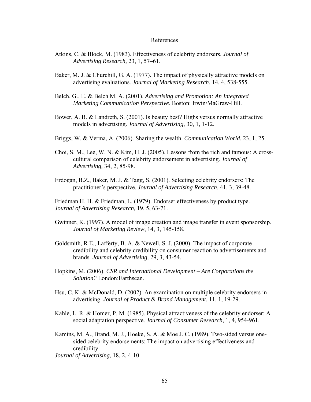#### References

- Atkins, C. & Block, M. (1983). Effectiveness of celebrity endorsers. *Journal of Advertising Research,* 23, 1, 57–61.
- Baker, M. J. & Churchill, G. A. (1977). The impact of physically attractive models on advertising evaluations. *Journal of Marketing Research*, 14, 4, 538-555.
- Belch, G.. E. & Belch M. A. (2001). *Advertising and Promotion: An Integrated Marketing Communication Perspective.* Boston: Irwin/MaGraw-Hill.
- Bower, A. B. & Landreth, S. (2001). Is beauty best? Highs versus normally attractive models in advertising. *Journal of Advertising,* 30, 1, 1-12.
- Briggs, W. & Verma, A. (2006). Sharing the wealth. *Communication World*, 23, 1, 25.
- Choi, S. M., Lee, W. N. & Kim, H. J. (2005). Lessons from the rich and famous: A crosscultural comparison of celebrity endorsement in advertising. *Journal of Advertising,* 34, 2, 85-98.
- Erdogan, B.Z., Baker, M. J. & Tagg, S. (2001). Selecting celebrity endorsers: The practitioner's perspective. *Journal of Advertising Research*. 41, 3, 39-48.
- Friedman H. H. & Friedman, L. (1979). Endorser effectiveness by product type. *Journal of Advertising Research,* 19, 5, 63-71.
- Gwinner, K. (1997). A model of image creation and image transfer in event sponsorship. *Journal of Marketing Review*, 14, 3, 145-158.
- Goldsmith, R E., Lafferty, B. A. & Newell, S. J. (2000). The impact of corporate credibility and celebrity credibility on consumer reaction to advertisements and brands. *Journal of Advertising,* 29, 3, 43-54.
- Hopkins, M. (2006). *CSR and International Development Are Corporations the Solution?* London:Earthscan.
- Hsu, C. K. & McDonald, D. (2002). An examination on multiple celebrity endorsers in advertising. *Journal of Product & Brand Management*, 11, 1, 19-29.
- Kahle, L. R. & Homer, P. M. (1985). Physical attractiveness of the celebrity endorser: A social adaptation perspective. *Journal of Consumer Research*, 1, 4, 954-961.
- Kamins, M. A., Brand, M. J., Hoeke, S. A. & Moe J. C. (1989). Two-sided versus onesided celebrity endorsements: The impact on advertising effectiveness and credibility.

*Journal of Advertising*, 18, 2, 4-10.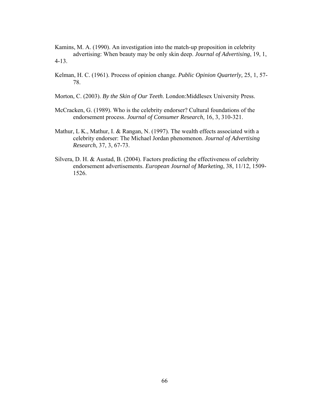Kamins, M. A. (1990). An investigation into the match-up proposition in celebrity advertising: When beauty may be only skin deep. *Journal of Advertising*, 19, 1, 4-13.

- Kelman, H. C. (1961). Process of opinion change. *Public Opinion Quarterly,* 25, 1, 57- 78.
- Morton, C. (2003). *By the Skin of Our Teeth*. London:Middlesex University Press.
- McCracken, G. (1989). Who is the celebrity endorser? Cultural foundations of the endorsement process. *Journal of Consumer Research*, 16, 3, 310-321.
- Mathur, L K., Mathur, I. & Rangan, N. (1997). The wealth effects associated with a celebrity endorser: The Michael Jordan phenomenon. *Journal of Advertising Research*, 37, 3, 67-73.
- Silvera, D. H. & Austad, B. (2004). Factors predicting the effectiveness of celebrity endorsement advertisements. *European Journal of Marketing*, 38, 11/12, 1509- 1526.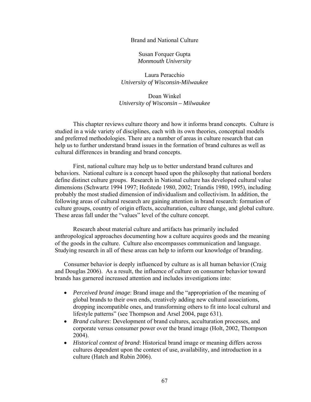Brand and National Culture

Susan Forquer Gupta *Monmouth University* 

Laura Peracchio *University of Wisconsin-Milwaukee* 

Doan Winkel *University of Wisconsin – Milwaukee* 

This chapter reviews culture theory and how it informs brand concepts. Culture is studied in a wide variety of disciplines, each with its own theories, conceptual models and preferred methodologies. There are a number of areas in culture research that can help us to further understand brand issues in the formation of brand cultures as well as cultural differences in branding and brand concepts.

 First, national culture may help us to better understand brand cultures and behaviors. National culture is a concept based upon the philosophy that national borders define distinct culture groups. Research in National culture has developed cultural value dimensions (Schwartz 1994 1997; Hofstede 1980, 2002; Triandis 1980, 1995), including probably the most studied dimension of individualism and collectivism. In addition, the following areas of cultural research are gaining attention in brand research: formation of culture groups, country of origin effects, acculturation, culture change, and global culture. These areas fall under the "values" level of the culture concept.

 Research about material culture and artifacts has primarily included anthropological approaches documenting how a culture acquires goods and the meaning of the goods in the culture. Culture also encompasses communication and language. Studying research in all of these areas can help to inform our knowledge of branding.

Consumer behavior is deeply influenced by culture as is all human behavior (Craig and Douglas 2006). As a result, the influence of culture on consumer behavior toward brands has garnered increased attention and includes investigations into:

- *Perceived brand image*: Brand image and the "appropriation of the meaning of global brands to their own ends, creatively adding new cultural associations, dropping incompatible ones, and transforming others to fit into local cultural and lifestyle patterns" (see Thompson and Arsel 2004, page 631).
- *Brand cultures*: Development of brand cultures, acculturation processes, and corporate versus consumer power over the brand image (Holt, 2002, Thompson 2004).
- *Historical context of brand*: Historical brand image or meaning differs across cultures dependent upon the context of use, availability, and introduction in a culture (Hatch and Rubin 2006).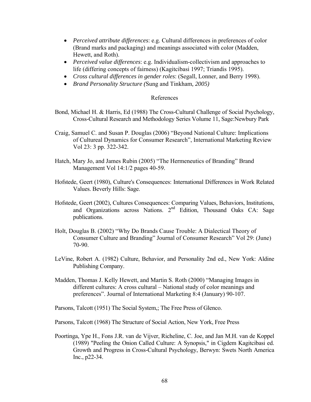- *Perceived attribute differences*: e.g. Cultural differences in preferences of color (Brand marks and packaging) and meanings associated with color (Madden, Hewett, and Roth).
- *Perceived value differences*: e.g. Individualism-collectivism and approaches to life (differing concepts of fairness) (Kagitcibasi 1997; Triandis 1995).
- *Cross cultural differences in gender roles*: (Segall, Lonner, and Berry 1998).
- *Brand Personality Structure (*Sung and Tinkham*, 2005)*

# References

- Bond, Michael H. & Harris, Ed (1988) The Cross-Cultural Challenge of Social Psychology, Cross-Cultural Research and Methodology Series Volume 11, Sage:Newbury Park
- Craig, Samuel C. and Susan P. Douglas (2006) "Beyond National Culture: Implications of Cultureal Dynamics for Consumer Research", International Marketing Review Vol 23: 3 pp. 322-342.
- Hatch, Mary Jo, and James Rubin (2005) "The Hermeneutics of Branding" Brand Management Vol 14:1/2 pages 40-59.
- Hofstede, Geert (1980), Culture's Consequences: International Differences in Work Related Values. Beverly Hills: Sage.
- Hofstede, Geert (2002), Cultures Consequences: Comparing Values, Behaviors, Institutions, and Organizations across Nations. 2<sup>nd</sup> Edition, Thousand Oaks CA: Sage publications.
- Holt, Douglas B. (2002) "Why Do Brands Cause Trouble: A Dialectical Theory of Consumer Culture and Branding" Journal of Consumer Research" Vol 29: (June) 70-90.
- LeVine, Robert A. (1982) Culture, Behavior, and Personality 2nd ed., New York: Aldine Publishing Company.
- Madden, Thomas J. Kelly Hewett, and Martin S. Roth (2000) "Managing Images in different cultures: A cross cultural – National study of color meanings and preferences". Journal of International Marketing 8:4 (January) 90-107.

Parsons, Talcott (1951) The Social System,; The Free Press of Glenco.

Parsons, Talcott (1968) The Structure of Social Action, New York, Free Press

Poortinga, Ype H., Fons J.R. van de Vijver, Richeline, C. Joe, and Jan M.H. van de Koppel (1989) "Peeling the Onion Called Culture: A Synopsis," in Cigdem Kagitcibasi ed. Growth and Progress in Cross-Cultural Psychology, Berwyn: Swets North America Inc., p22-34.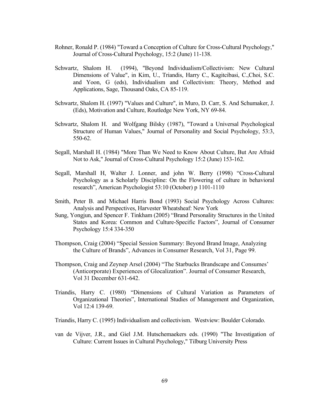- Rohner, Ronald P. (1984) "Toward a Conception of Culture for Cross-Cultural Psychology," Journal of Cross-Cultural Psychology, 15:2 (June) 11-138.
- Schwartz, Shalom H. (1994), "Beyond Individualism/Collectivism: New Cultural Dimensions of Value", in Kim, U., Triandis, Harry C., Kagitcibasi, C.,Choi, S.C. and Yoon, G (eds), Individualism and Collectivism: Theory, Method and Applications, Sage, Thousand Oaks, CA 85-119.
- Schwartz, Shalom H. (1997) "Values and Culture", in Muro, D. Carr, S. And Schumaker, J. (Eds), Motivation and Culture, Routledge New York, NY 69-84.
- Schwartz, Shalom H. and Wolfgang Bilsky (1987), "Toward a Universal Psychological Structure of Human Values," Journal of Personality and Social Psychology, 53:3, 550-62.
- Segall, Marshall H. (1984) "More Than We Need to Know About Culture, But Are Afraid Not to Ask," Journal of Cross-Cultural Psychology 15:2 (June) 153-162.
- Segall, Marshall H, Walter J. Lonner, and john W. Berry (1998) "Cross-Cultural Psychology as a Scholarly Discipline: On the Flowering of culture in behavioral research", American Psychologist 53:10 (October) p 1101-1110
- Smith, Peter B. and Michael Harris Bond (1993) Social Psychology Across Cultures: Analysis and Perspectives, Harvester Wheatsheaf: New York
- Sung, Yongjun, and Spencer F. Tinkham (2005) "Brand Personality Structures in the United States and Korea: Common and Culture-Specific Factors", Journal of Consumer Psychology 15:4 334-350
- Thompson, Craig (2004) "Special Session Summary: Beyond Brand Image, Analyzing the Culture of Brands", Advances in Consumer Research, Vol 31, Page 99.
- Thompson, Craig and Zeynep Arsel (2004) "The Starbucks Brandscape and Consumes' (Anticorporate) Experiences of Glocalization". Journal of Consumer Research, Vol 31 December 631-642.
- Triandis, Harry C. (1980) "Dimensions of Cultural Variation as Parameters of Organizational Theories", International Studies of Management and Organization, Vol 12:4 139-69.
- Triandis, Harry C. (1995) Individualism and collectivism. Westview: Boulder Colorado.
- van de Vijver, J.R., and Giel J.M. Hutschemaekers eds. (1990) "The Investigation of Culture: Current Issues in Cultural Psychology," Tilburg University Press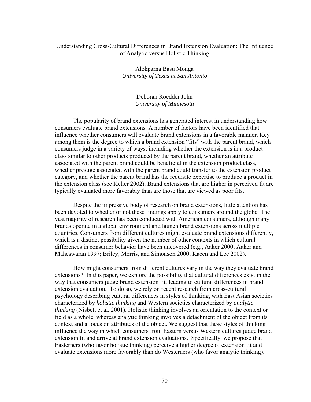## Understanding Cross-Cultural Differences in Brand Extension Evaluation: The Influence of Analytic versus Holistic Thinking

Alokparna Basu Monga *University of Texas at San Antonio* 

> Deborah Roedder John *University of Minnesota*

 The popularity of brand extensions has generated interest in understanding how consumers evaluate brand extensions. A number of factors have been identified that influence whether consumers will evaluate brand extensions in a favorable manner. Key among them is the degree to which a brand extension "fits" with the parent brand, which consumers judge in a variety of ways, including whether the extension is in a product class similar to other products produced by the parent brand, whether an attribute associated with the parent brand could be beneficial in the extension product class, whether prestige associated with the parent brand could transfer to the extension product category, and whether the parent brand has the requisite expertise to produce a product in the extension class (see Keller 2002). Brand extensions that are higher in perceived fit are typically evaluated more favorably than are those that are viewed as poor fits.

 Despite the impressive body of research on brand extensions, little attention has been devoted to whether or not these findings apply to consumers around the globe. The vast majority of research has been conducted with American consumers, although many brands operate in a global environment and launch brand extensions across multiple countries. Consumers from different cultures might evaluate brand extensions differently, which is a distinct possibility given the number of other contexts in which cultural differences in consumer behavior have been uncovered (e.g., Aaker 2000; Aaker and Maheswaran 1997; Briley, Morris, and Simonson 2000; Kacen and Lee 2002).

 How might consumers from different cultures vary in the way they evaluate brand extensions? In this paper, we explore the possibility that cultural differences exist in the way that consumers judge brand extension fit, leading to cultural differences in brand extension evaluation. To do so, we rely on recent research from cross-cultural psychology describing cultural differences in styles of thinking, with East Asian societies characterized by *holistic thinking* and Western societies characterized by *analytic thinking* (Nisbett et al. 2001). Holistic thinking involves an orientation to the context or field as a whole, whereas analytic thinking involves a detachment of the object from its context and a focus on attributes of the object. We suggest that these styles of thinking influence the way in which consumers from Eastern versus Western cultures judge brand extension fit and arrive at brand extension evaluations. Specifically, we propose that Easterners (who favor holistic thinking) perceive a higher degree of extension fit and evaluate extensions more favorably than do Westerners (who favor analytic thinking).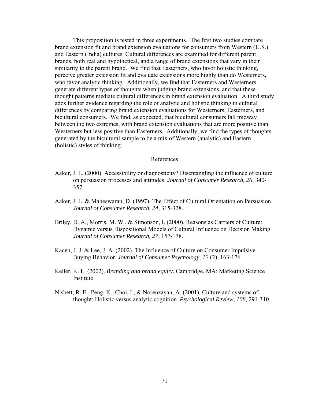This proposition is tested in three experiments. The first two studies compare brand extension fit and brand extension evaluations for consumers from Western (U.S.) and Eastern (India) cultures. Cultural differences are examined for different parent brands, both real and hypothetical, and a range of brand extensions that vary in their similarity to the parent brand. We find that Easterners, who favor holistic thinking, perceive greater extension fit and evaluate extensions more highly than do Westerners, who favor analytic thinking. Additionally, we find that Easterners and Westerners generate different types of thoughts when judging brand extensions, and that these thought patterns mediate cultural differences in brand extension evaluation. A third study adds further evidence regarding the role of analytic and holistic thinking in cultural differences by comparing brand extension evaluations for Westerners, Easterners, and bicultural consumers. We find, as expected, that bicultural consumers fall midway between the two extremes, with brand extension evaluations that are more positive than Westerners but less positive than Easterners. Additionally, we find the types of thoughts generated by the bicultural sample to be a mix of Western (analytic) and Eastern (holistic) styles of thinking.

#### References

- Aaker, J. L. (2000). Accessibility or diagnosticity? Disentangling the influence of culture on persuasion processes and attitudes. *Journal of Consumer Research, 26*, 340- 357.
- Aaker, J. L. & Maheswaran, D. (1997). The Effect of Cultural Orientation on Persuasion. *Journal of Consumer Research, 24*, 315-328.
- Briley, D. A., Morris, M. W., & Simonson, I. (2000). Reasons as Carriers of Culture: Dynamic versus Dispositional Models of Cultural Influence on Decision Making. *Journal of Consumer Research, 27*, 157-178.
- Kacen, J. J. & Lee, J. A. (2002). The Influence of Culture on Consumer Impulsive Buying Behavior. *Journal of Consumer Psychology, 12* (2), 163-176.
- Keller, K. L. (2002). *Branding and brand equity.* Cambridge, MA: Marketing Science Institute.
- Nisbett, R. E., Peng, K., Choi, I., & Norenzayan, A. (2001). Culture and systems of thought: Holistic versus analytic cognition. *Psychological Review, 108*, 291-310.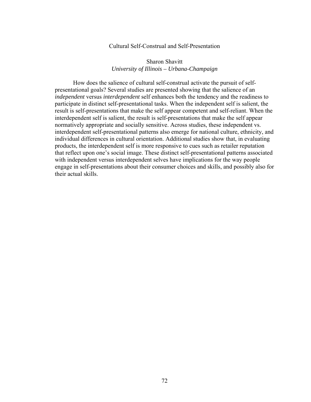### Cultural Self-Construal and Self-Presentation

## Sharon Shavitt *University of Illinois – Urbana-Champaign*

 How does the salience of cultural self-construal activate the pursuit of selfpresentational goals? Several studies are presented showing that the salience of an *independent* versus *interdependent* self enhances both the tendency and the readiness to participate in distinct self-presentational tasks. When the independent self is salient, the result is self-presentations that make the self appear competent and self-reliant. When the interdependent self is salient, the result is self-presentations that make the self appear normatively appropriate and socially sensitive. Across studies, these independent vs. interdependent self-presentational patterns also emerge for national culture, ethnicity, and individual differences in cultural orientation. Additional studies show that, in evaluating products, the interdependent self is more responsive to cues such as retailer reputation that reflect upon one's social image. These distinct self-presentational patterns associated with independent versus interdependent selves have implications for the way people engage in self-presentations about their consumer choices and skills, and possibly also for their actual skills.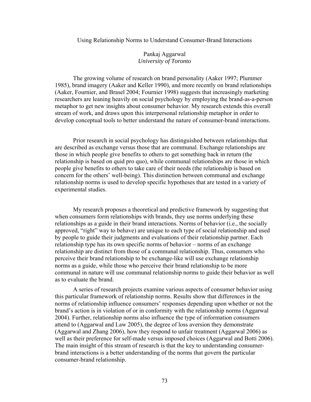#### Using Relationship Norms to Understand Consumer-Brand Interactions

## Pankaj Aggarwal *University of Toronto*

The growing volume of research on brand personality (Aaker 1997; Plummer 1985), brand imagery (Aaker and Keller 1990), and more recently on brand relationships (Aaker, Fournier, and Brasel 2004; Fournier 1998) suggests that increasingly marketing researchers are leaning heavily on social psychology by employing the brand-as-a-person metaphor to get new insights about consumer behavior. My research extends this overall stream of work, and draws upon this interpersonal relationship metaphor in order to develop conceptual tools to better understand the nature of consumer-brand interactions.

Prior research in social psychology has distinguished between relationships that are described as exchange versus those that are communal. Exchange relationships are those in which people give benefits to others to get something back in return (the relationship is based on quid pro quo), while communal relationships are those in which people give benefits to others to take care of their needs (the relationship is based on concern for the others' well-being). This distinction between communal and exchange relationship norms is used to develop specific hypotheses that are tested in a variety of experimental studies.

My research proposes a theoretical and predictive framework by suggesting that when consumers form relationships with brands, they use norms underlying these relationships as a guide in their brand interactions. Norms of behavior (i.e., the socially approved, "right" way to behave) are unique to each type of social relationship and used by people to guide their judgments and evaluations of their relationship partner. Each relationship type has its own specific norms of behavior – norms of an exchange relationship are distinct from those of a communal relationship. Thus, consumers who perceive their brand relationship to be exchange-like will use exchange relationship norms as a guide, while those who perceive their brand relationship to be more communal in nature will use communal relationship norms to guide their behavior as well as to evaluate the brand.

A series of research projects examine various aspects of consumer behavior using this particular framework of relationship norms. Results show that differences in the norms of relationship influence consumers' responses depending upon whether or not the brand's action is in violation of or in conformity with the relationship norms (Aggarwal 2004). Further, relationship norms also influence the type of information consumers attend to (Aggarwal and Law 2005), the degree of loss aversion they demonstrate (Aggarwal and Zhang 2006), how they respond to unfair treatment (Aggarwal 2006) as well as their preference for self-made versus imposed choices (Aggarwal and Botti 2006). The main insight of this stream of research is that the key to understanding consumerbrand interactions is a better understanding of the norms that govern the particular consumer-brand relationship.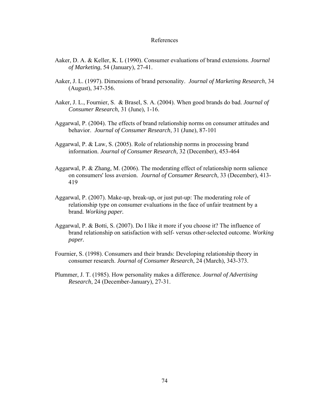#### References

- Aaker, D. A. & Keller, K. L (1990). Consumer evaluations of brand extensions. *Journal of Marketing*, 54 (January), 27-41.
- Aaker, J. L. (1997). Dimensions of brand personality. *Journal of Marketing Research*, 34 (August), 347-356.
- Aaker, J. L., Fournier, S. & Brasel, S. A. (2004). When good brands do bad. *Journal of Consumer Research*, 31 (June), 1-16.
- Aggarwal, P. (2004). The effects of brand relationship norms on consumer attitudes and behavior. *Journal of Consumer Research*, 31 (June), 87-101
- Aggarwal, P. & Law, S. (2005). Role of relationship norms in processing brand information. *Journal of Consumer Research,* 32 (December), 453-464
- Aggarwal, P. & Zhang, M. (2006). The moderating effect of relationship norm salience on consumers' loss aversion. *Journal of Consumer Research*, 33 (December), 413- 419
- Aggarwal, P. (2007). Make-up, break-up, or just put-up: The moderating role of relationship type on consumer evaluations in the face of unfair treatment by a brand. *Working paper.*
- Aggarwal, P. & Botti, S. (2007). Do I like it more if you choose it? The influence of brand relationship on satisfaction with self- versus other-selected outcome. *Working paper.*
- Fournier, S. (1998). Consumers and their brands: Developing relationship theory in consumer research. *Journal of Consumer Research*, 24 (March), 343-373.
- Plummer, J. T. (1985). How personality makes a difference. *Journal of Advertising Research*, 24 (December-January), 27-31.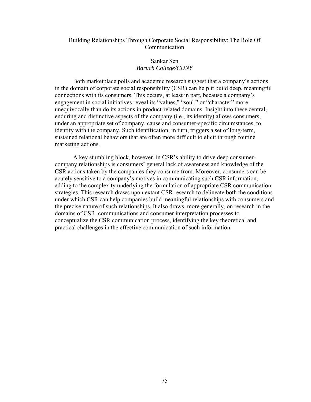## Building Relationships Through Corporate Social Responsibility: The Role Of Communication

# Sankar Sen *Baruch College/CUNY*

 Both marketplace polls and academic research suggest that a company's actions in the domain of corporate social responsibility (CSR) can help it build deep, meaningful connections with its consumers. This occurs, at least in part, because a company's engagement in social initiatives reveal its "values," "soul," or "character" more unequivocally than do its actions in product-related domains. Insight into these central, enduring and distinctive aspects of the company (i.e., its identity) allows consumers, under an appropriate set of company, cause and consumer-specific circumstances, to identify with the company. Such identification, in turn, triggers a set of long-term, sustained relational behaviors that are often more difficult to elicit through routine marketing actions.

 A key stumbling block, however, in CSR's ability to drive deep consumercompany relationships is consumers' general lack of awareness and knowledge of the CSR actions taken by the companies they consume from. Moreover, consumers can be acutely sensitive to a company's motives in communicating such CSR information, adding to the complexity underlying the formulation of appropriate CSR communication strategies. This research draws upon extant CSR research to delineate both the conditions under which CSR can help companies build meaningful relationships with consumers and the precise nature of such relationships. It also draws, more generally, on research in the domains of CSR, communications and consumer interpretation processes to conceptualize the CSR communication process, identifying the key theoretical and practical challenges in the effective communication of such information.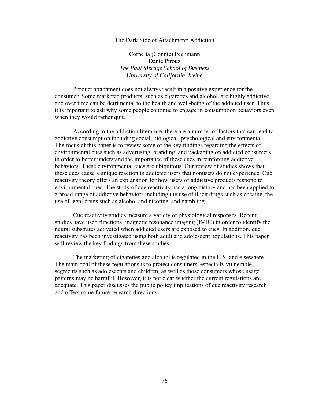#### The Dark Side of Attachment: Addiction

Cornelia (Connie) Pechmann Dante Pirouz *The Paul Merage School of Business University of California, Irvine* 

 Product attachment does not always result in a positive experience for the consumer. Some marketed products, such as cigarettes and alcohol, are highly addictive and over time can be detrimental to the health and well-being of the addicted user. Thus, it is important to ask why some people continue to engage in consumption behaviors even when they would rather quit.

 According to the addiction literature, there are a number of factors that can lead to addictive consumption including social, biological, psychological and environmental. The focus of this paper is to review some of the key findings regarding the effects of environmental cues such as advertising, branding, and packaging on addicted consumers in order to better understand the importance of these cues in reinforcing addictive behaviors. These environmental cues are ubiquitous. Our review of studies shows that these cues cause a unique reaction in addicted users that nonusers do not experience. Cue reactivity theory offers an explanation for how users of addictive products respond to environmental cues. The study of cue reactivity has a long history and has been applied to a broad range of addictive behaviors including the use of illicit drugs such as cocaine, the use of legal drugs such as alcohol and nicotine, and gambling.

 Cue reactivity studies measure a variety of physiological responses. Recent studies have used functional magnetic resonance imaging (fMRI) in order to identify the neural substrates activated when addicted users are exposed to cues. In addition, cue reactivity has been investigated using both adult and adolescent populations. This paper will review the key findings from these studies.

 The marketing of cigarettes and alcohol is regulated in the U.S. and elsewhere. The main goal of these regulations is to protect consumers, especially vulnerable segments such as adolescents and children, as well as those consumers whose usage patterns may be harmful. However, it is not clear whether the current regulations are adequate. This paper discusses the public policy implications of cue reactivity research and offers some future research directions.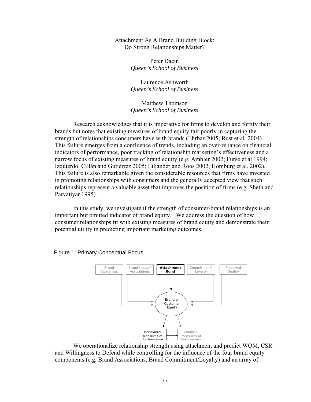Attachment As A Brand Building Block: Do Strong Relationships Matter?

> Peter Dacin *Queen's School of Business*

> Laurence Ashworth *Queen's School of Business*

> Matthew Thomson *Queen's School of Business*

 Research acknowledges that it is imperative for firms to develop and fortify their brands but notes that existing measures of brand equity fair poorly in capturing the strength of relationships consumers have with brands (Ehrbar 2005; Rust et al. 2004). This failure emerges from a confluence of trends, including an over-reliance on financial indicators of performance, poor tracking of relationship marketing's effectiveness and a narrow focus of existing measures of brand equity (e.g. Ambler 2002; Furse et al 1994; Izquierdo, Cillán and Gutiérrez 2005; Liljander and Roos 2002; Homburg et al. 2002). This failure is also remarkable given the considerable resources that firms have invested in promoting relationships with consumers and the generally accepted view that such relationships represent a valuable asset that improves the position of firms (e.g. Sheth and Parvatiyar 1995).

 In this study, we investigate if the strength of consumer-brand relationships is an important but omitted indicator of brand equity. We address the question of how consumer relationships fit with existing measures of brand equity and demonstrate their potential utility in predicting important marketing outcomes.



Figure 1: Primary Conceptual Focus

 We operationalize relationship strength using attachment and predict WOM, CSR and Willingness to Defend while controlling for the influence of the four brand equity components (e.g. Brand Associations, Brand Commitment/Loyalty) and an array of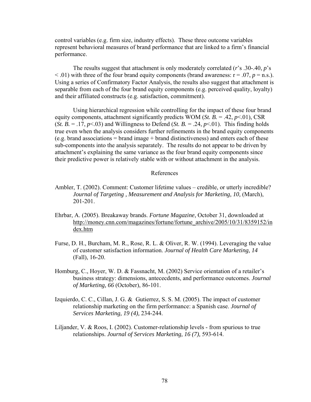control variables (e.g. firm size, industry effects). These three outcome variables represent behavioral measures of brand performance that are linked to a firm's financial performance.

 The results suggest that attachment is only moderately correlated (*r*'s .30-.40, *p*'s  $<$  0.01) with three of the four brand equity components (brand awareness:  $r = 0.07$ ,  $p = n.s$ .). Using a series of Confirmatory Factor Analysis, the results also suggest that attachment is separable from each of the four brand equity components (e.g. perceived quality, loyalty) and their affiliated constructs (e.g. satisfaction, commitment).

 Using hierarchical regression while controlling for the impact of these four brand equity components, attachment significantly predicts WOM (*St. B.* = .42,  $p$ <.01), CSR (*St. B.*  $= .17, p \le 03$ ) and Willingness to Defend (*St. B.*  $= .24, p \le 01$ ). This finding holds true even when the analysis considers further refinements in the brand equity components (e.g. brand associations = brand image + brand distinctiveness) and enters each of these sub-components into the analysis separately. The results do not appear to be driven by attachment's explaining the same variance as the four brand equity components since their predictive power is relatively stable with or without attachment in the analysis.

### References

- Ambler, T. (2002). Comment: Customer lifetime values credible, or utterly incredible? *Journal of Targeting , Measurement and Analysis for Marketing, 10,* (March), 201-201.
- Ehrbar, A. (2005). Breakaway brands. *Fortune Magazine*, October 31, downloaded at http://money.cnn.com/magazines/fortune/fortune\_archive/2005/10/31/8359152/in dex.htm
- Furse, D. H., Burcham, M. R., Rose, R. L. & Oliver, R. W. (1994). Leveraging the value of customer satisfaction information. *Journal of Health Care Marketing, 14* (Fall), 16-20.
- Homburg, C., Hoyer, W. D. & Fassnacht, M. (2002) Service orientation of a retailer's business strategy: dimensions, antececdents, and performance outcomes. *Journal of Marketing, 66* (October), 86-101.
- Izquierdo, C. C., Cillan, J. G. & Gutierrez, S. S. M.  $(2005)$ . The impact of customer relationship marketing on the firm performance: a Spanish case. *Journal of Services Marketing, 19 (4),* 234-244.
- Liljander, V. & Roos, I. (2002). Customer-relationship levels from spurious to true relationships. *Journal of Services Marketing, 16 (7),* 593-614.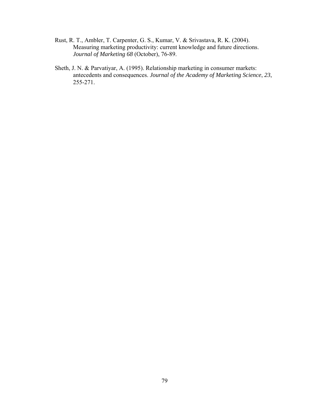- Rust, R. T., Ambler, T. Carpenter, G. S., Kumar, V. & Srivastava, R. K. (2004). Measuring marketing productivity: current knowledge and future directions. *Journal of Marketing 68* (October), 76-89.
- Sheth, J. N. & Parvatiyar, A. (1995). Relationship marketing in consumer markets: antecedents and consequences. *Journal of the Academy of Marketing Science*, *23*, 255-271.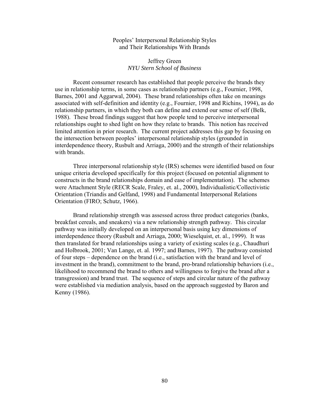### Peoples' Interpersonal Relationship Styles and Their Relationships With Brands

## Jeffrey Green *NYU Stern School of Business*

Recent consumer research has established that people perceive the brands they use in relationship terms, in some cases as relationship partners (e.g., Fournier, 1998, Barnes, 2001 and Aggarwal, 2004). These brand relationships often take on meanings associated with self-definition and identity (e.g., Fournier, 1998 and Richins, 1994), as do relationship partners, in which they both can define and extend our sense of self (Belk, 1988). These broad findings suggest that how people tend to perceive interpersonal relationships ought to shed light on how they relate to brands. This notion has received limited attention in prior research. The current project addresses this gap by focusing on the intersection between peoples' interpersonal relationship styles (grounded in interdependence theory, Rusbult and Arriaga, 2000) and the strength of their relationships with brands.

Three interpersonal relationship style (IRS) schemes were identified based on four unique criteria developed specifically for this project (focused on potential alignment to constructs in the brand relationships domain and ease of implementation). The schemes were Attachment Style (RECR Scale, Fraley, et. al., 2000), Individualistic/Collectivistic Orientation (Triandis and Gelfand, 1998) and Fundamental Interpersonal Relations Orientation (FIRO; Schutz, 1966).

Brand relationship strength was assessed across three product categories (banks, breakfast cereals, and sneakers) via a new relationship strength pathway. This circular pathway was initially developed on an interpersonal basis using key dimensions of interdependence theory (Rusbult and Arriaga, 2000; Wieselquist, et. al., 1999). It was then translated for brand relationships using a variety of existing scales (e.g., Chaudhuri and Holbrook, 2001; Van Lange, et. al. 1997; and Barnes, 1997). The pathway consisted of four steps – dependence on the brand (i.e., satisfaction with the brand and level of investment in the brand), commitment to the brand, pro-brand relationship behaviors (i.e., likelihood to recommend the brand to others and willingness to forgive the brand after a transgression) and brand trust. The sequence of steps and circular nature of the pathway were established via mediation analysis, based on the approach suggested by Baron and Kenny (1986).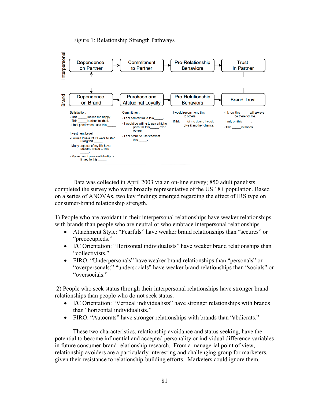## Figure 1: Relationship Strength Pathways



Data was collected in April 2003 via an on-line survey; 850 adult panelists completed the survey who were broadly representative of the US 18+ population. Based on a series of ANOVAs, two key findings emerged regarding the effect of IRS type on consumer-brand relationship strength.

1) People who are avoidant in their interpersonal relationships have weaker relationships with brands than people who are neutral or who embrace interpersonal relationships.

- Attachment Style: "Fearfuls" have weaker brand relationships than "secures" or "preoccupieds."
- I/C Orientation: "Horizontal individualists" have weaker brand relationships than "collectivists."
- FIRO: "Underpersonals" have weaker brand relationships than "personals" or "overpersonals;" "undersocials" have weaker brand relationships than "socials" or "oversocials."

 2) People who seek status through their interpersonal relationships have stronger brand relationships than people who do not seek status.

- I/C Orientation: "Vertical individualists" have stronger relationships with brands than "horizontal individualists."
- FIRO: "Autocrats" have stronger relationships with brands than "abdicrats."

These two characteristics, relationship avoidance and status seeking, have the potential to become influential and accepted personality or individual difference variables in future consumer-brand relationship research. From a managerial point of view, relationship avoiders are a particularly interesting and challenging group for marketers, given their resistance to relationship-building efforts. Marketers could ignore them,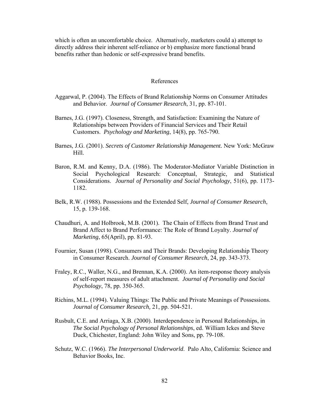which is often an uncomfortable choice. Alternatively, marketers could a) attempt to directly address their inherent self-reliance or b) emphasize more functional brand benefits rather than hedonic or self-expressive brand benefits.

#### References

- Aggarwal, P. (2004). The Effects of Brand Relationship Norms on Consumer Attitudes and Behavior. *Journal of Consumer Research*, 31, pp. 87-101.
- Barnes, J.G. (1997). Closeness, Strength, and Satisfaction: Examining the Nature of Relationships between Providers of Financial Services and Their Retail Customers. *Psychology and Marketing*, 14(8), pp. 765-790.
- Barnes, J.G. (2001). *Secrets of Customer Relationship Management.* New York: McGraw Hill.
- Baron, R.M. and Kenny, D.A. (1986). The Moderator-Mediator Variable Distinction in Social Psychological Research: Conceptual, Strategic, and Statistical Considerations. *Journal of Personality and Social Psychology*, 51(6), pp. 1173- 1182.
- Belk, R.W. (1988). Possessions and the Extended Self, *Journal of Consumer Research*, 15, p. 139-168.
- Chaudhuri, A. and Holbrook, M.B. (2001). The Chain of Effects from Brand Trust and Brand Affect to Brand Performance: The Role of Brand Loyalty. *Journal of Marketing*, 65(April), pp. 81-93.
- Fournier, Susan (1998). Consumers and Their Brands: Developing Relationship Theory in Consumer Research. *Journal of Consumer Research*, 24, pp. 343-373.
- Fraley, R.C., Waller, N.G., and Brennan, K.A. (2000). An item-response theory analysis of self-report measures of adult attachment. *Journal of Personality and Social Psychology*, 78, pp. 350-365.
- Richins, M.L. (1994). Valuing Things: The Public and Private Meanings of Possessions. *Journal of Consumer Research,* 21, pp. 504-521.
- Rusbult, C.E. and Arriaga, X.B. (2000). Interdependence in Personal Relationships, in *The Social Psychology of Personal Relationships*, ed. William Ickes and Steve Duck, Chichester, England: John Wiley and Sons, pp. 79-108.
- Schutz, W.C. (1966). *The Interpersonal Underworld*. Palo Alto, California: Science and Behavior Books, Inc.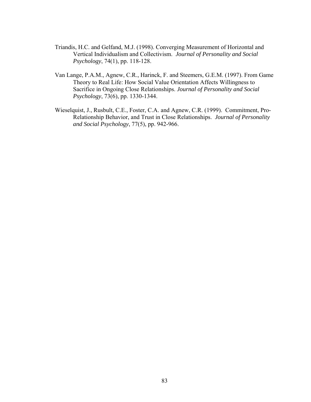- Triandis, H.C. and Gelfand, M.J. (1998). Converging Measurement of Horizontal and Vertical Individualism and Collectivism. *Journal of Personality and Social Psychology*, 74(1), pp. 118-128.
- Van Lange, P.A.M., Agnew, C.R., Harinck, F. and Steemers, G.E.M. (1997). From Game Theory to Real Life: How Social Value Orientation Affects Willingness to Sacrifice in Ongoing Close Relationships. *Journal of Personality and Social Psychology*, 73(6), pp. 1330-1344.
- Wieselquist, J., Rusbult, C.E., Foster, C.A. and Agnew, C.R. (1999). Commitment, Pro-Relationship Behavior, and Trust in Close Relationships. *Journal of Personality and Social Psychology*, 77(5), pp. 942-966.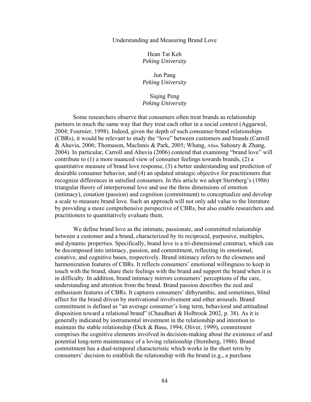#### Understanding and Measuring Brand Love

Hean Tat Keh *Peking University*

Jun Pang *Peking University*

Siqing Peng *Peking University*

Some researchers observe that consumers often treat brands as relationship partners in much the same way that they treat each other in a social context (Aggarwal, 2004; Fournier, 1998). Indeed, given the depth of such consumer-brand relationships (CBRs), it would be relevant to study the "love" between customers and brands (Carroll & Ahuvia, 2006; Thomason, MacInnis & Park, 2005; Whang, Allen, Sahoury & Zhang, 2004). In particular, Carroll and Ahuvia (2006) contend that examining "brand love" will contribute to (1) a more nuanced view of consumer feelings towards brands, (2) a quantitative measure of brand love response, (3) a better understanding and prediction of desirable consumer behavior, and (4) an updated strategic objective for practitioners that recognize differences in satisfied consumers. In this article we adopt Sternberg's (1986) triangular theory of interpersonal love and use the three dimensions of emotion (intimacy), conation (passion) and cognition (commitment) to conceptualize and develop a scale to measure brand love. Such an approach will not only add value to the literature by providing a more comprehensive perspective of CBRs, but also enable researchers and practitioners to quantitatively evaluate them.

We define brand love as the intimate, passionate, and committed relationship between a customer and a brand, characterized by its reciprocal, purposive, multiplex, and dynamic properties. Specifically, brand love is a tri-dimensional construct, which can be decomposed into intimacy, passion, and commitment, reflecting its emotional, conative, and cognitive bases, respectively. Brand intimacy refers to the closeness and harmonization features of CBRs. It reflects consumers' emotional willingness to keep in touch with the brand, share their feelings with the brand and support the brand when it is in difficulty. In addition, brand intimacy mirrors consumers' perceptions of the care, understanding and attention from the brand. Brand passion describes the zeal and enthusiasm features of CBRs. It captures consumers' dithyrambic, and sometimes, blind affect for the brand driven by motivational involvement and other arousals. Brand commitment is defined as "an average consumer's long term, behavioral and attitudinal disposition toward a relational brand" (Chaudhuri & Holbrook 2002, p. 38). As it is generally indicated by instrumental investment in the relationship and intention to maintain the stable relationship (Dick & Basu, 1994; Oliver, 1999), commitment comprises the cognitive elements involved in decision-making about the existence of and potential long-term maintenance of a loving relationship (Sternberg, 1986). Brand commitment has a dual-temporal characteristic which works in the short term by consumers' decision to establish the relationship with the brand (e.g., a purchase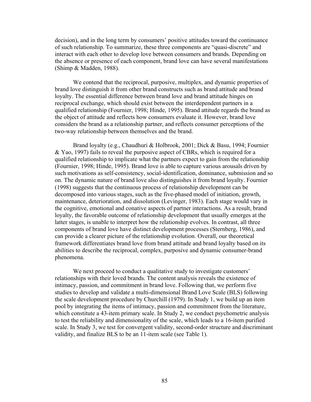decision), and in the long term by consumers' positive attitudes toward the continuance of such relationship. To summarize, these three components are "quasi-discrete" and interact with each other to develop love between consumers and brands. Depending on the absence or presence of each component, brand love can have several manifestations (Shimp & Madden, 1988).

We contend that the reciprocal, purposive, multiplex, and dynamic properties of brand love distinguish it from other brand constructs such as brand attitude and brand loyalty. The essential difference between brand love and brand attitude hinges on reciprocal exchange, which should exist between the interdependent partners in a qualified relationship (Fournier, 1998; Hinde, 1995). Brand attitude regards the brand as the object of attitude and reflects how consumers evaluate it. However, brand love considers the brand as a relationship partner, and reflects consumer perceptions of the two-way relationship between themselves and the brand.

Brand loyalty (e.g., Chaudhuri & Holbrook, 2001; Dick & Basu, 1994; Fournier & Yao, 1997) fails to reveal the purposive aspect of CBRs, which is required for a qualified relationship to implicate what the partners expect to gain from the relationship (Fournier, 1998; Hinde, 1995). Brand love is able to capture various arousals driven by such motivations as self-consistency, social-identification, dominance, submission and so on. The dynamic nature of brand love also distinguishes it from brand loyalty. Fournier (1998) suggests that the continuous process of relationship development can be decomposed into various stages, such as the five-phased model of initiation, growth, maintenance, deterioration, and dissolution (Levinger, 1983). Each stage would vary in the cognitive, emotional and conative aspects of partner interactions. As a result, brand loyalty, the favorable outcome of relationship development that usually emerges at the latter stages, is unable to interpret how the relationship evolves. In contrast, all three components of brand love have distinct development processes (Sternberg, 1986), and can provide a clearer picture of the relationship evolution. Overall, our theoretical framework differentiates brand love from brand attitude and brand loyalty based on its abilities to describe the reciprocal, complex, purposive and dynamic consumer-brand phenomena.

We next proceed to conduct a qualitative study to investigate customers' relationships with their loved brands. The content analysis reveals the existence of intimacy, passion, and commitment in brand love. Following that, we perform five studies to develop and validate a multi-dimensional Brand Love Scale (BLS) following the scale development procedure by Churchill (1979). In Study 1, we build up an item pool by integrating the items of intimacy, passion and commitment from the literature, which constitute a 43-item primary scale. In Study 2, we conduct psychometric analysis to test the reliability and dimensionality of the scale, which leads to a 16-item purified scale. In Study 3, we test for convergent validity, second-order structure and discriminant validity, and finalize BLS to be an 11-item scale (see Table 1).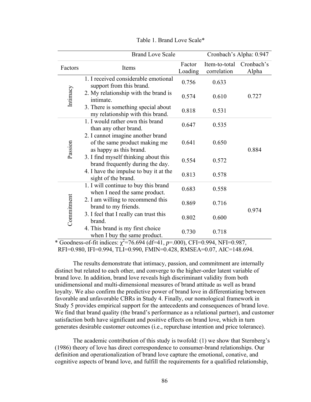| <b>Brand Love Scale</b> |                                                                                               |                   | Cronbach's Alpha: 0.947      |                     |  |
|-------------------------|-----------------------------------------------------------------------------------------------|-------------------|------------------------------|---------------------|--|
| Factors                 | Items                                                                                         | Factor<br>Loading | Item-to-total<br>correlation | Cronbach's<br>Alpha |  |
| Intimacy                | 1. I received considerable emotional<br>support from this brand.                              | 0.756             | 0.633                        |                     |  |
|                         | 2. My relationship with the brand is<br>intimate.                                             | 0.574             | 0.610                        | 0.727               |  |
|                         | 3. There is something special about<br>my relationship with this brand.                       | 0.818             | 0.531                        |                     |  |
| Passion                 | 1. I would rather own this brand<br>than any other brand.                                     | 0.647             | 0.535                        | 0.884               |  |
|                         | 2. I cannot imagine another brand<br>of the same product making me<br>as happy as this brand. | 0.641             | 0.650                        |                     |  |
|                         | 3. I find myself thinking about this<br>brand frequently during the day.                      | 0.554             | 0.572                        |                     |  |
|                         | 4. I have the impulse to buy it at the<br>sight of the brand.                                 | 0.813             | 0.578                        |                     |  |
| Commitment              | 1. I will continue to buy this brand<br>when I need the same product.                         | 0.683             | 0.558                        |                     |  |
|                         | 2. I am willing to recommend this<br>brand to my friends.                                     | 0.869             | 0.716                        | 0.974               |  |
|                         | 3. I feel that I really can trust this<br>brand.                                              | 0.802             | 0.600                        |                     |  |
|                         | 4. This brand is my first choice<br>when I buy the same product.                              | 0.730             | 0.718                        |                     |  |

Table 1. Brand Love Scale\*

 $\star$  Goodness-of-fit indices:  $\chi^2$ =76.694 (df=41, *p*=.000), CFI=0.994, NFI=0.987, RFI=0.980, IFI=0.994, TLI=0.990, FMIN=0.428, RMSEA=0.07, AIC=148.694.

The results demonstrate that intimacy, passion, and commitment are internally distinct but related to each other, and converge to the higher-order latent variable of brand love. In addition, brand love reveals high discriminant validity from both unidimensional and multi-dimensional measures of brand attitude as well as brand loyalty. We also confirm the predictive power of brand love in differentiating between favorable and unfavorable CBRs in Study 4. Finally, our nomological framework in Study 5 provides empirical support for the antecedents and consequences of brand love. We find that brand quality (the brand's performance as a relational partner), and customer satisfaction both have significant and positive effects on brand love, which in turn generates desirable customer outcomes (i.e., repurchase intention and price tolerance).

The academic contribution of this study is twofold: (1) we show that Sternberg's (1986) theory of love has direct correspondence to consumer-brand relationships. Our definition and operationalization of brand love capture the emotional, conative, and cognitive aspects of brand love, and fulfill the requirements for a qualified relationship,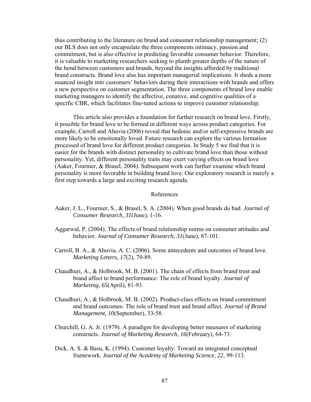thus contributing to the literature on brand and consumer relationship management; (2) our BLS does not only encapsulate the three components intimacy, passion and commitment, but is also effective in predicting favorable consumer behavior. Therefore, it is valuable to marketing researchers seeking to plumb greater depths of the nature of the bond between customers and brands, beyond the insights afforded by traditional brand constructs. Brand love also has important managerial implications. It sheds a more nuanced insight into customers' behaviors during their interactions with brands and offers a new perspective on customer segmentation. The three components of brand love enable marketing managers to identify the affective, conative, and cognitive qualities of a specific CBR, which facilitates fine-tuned actions to improve customer relationship.

This article also provides a foundation for further research on brand love. Firstly, it possible for brand love to be formed in different ways across product categories. For example, Carroll and Ahuvia (2006) reveal that hedonic and/or self-expressive brands are more likely to be emotionally loved. Future research can explore the various formation processed of brand love for different product categories. In Study 5 we find that it is easier for the brands with distinct personality to cultivate brand love than those without personality. Yet, different personality traits may exert varying effects on brand love (Aaker, Fournier, & Brasel, 2004). Subsequent work can further examine which brand personality is more favorable in building brand love. Our exploratory research is merely a first step towards a large and exciting research agenda.

#### References

- Aaker, J. L., Fournier, S., & Brasel, S. A. (2004). When good brands do bad. *Journal of Consumer Research, 31*(June), 1-16.
- Aggarwal, P. (2004). The effects of brand relationship norms on consumer attitudes and behavior. *Journal of Consumer Research, 31*(June), 87-101.
- Carroll, B. A., & Ahuvia, A. C. (2006). Some antecedents and outcomes of brand love. *Marketing Letters*, *17*(2), 79-89.
- Chaudhuri, A., & Holbrook, M. B. (2001). The chain of effects from brand trust and brand affect to brand performance: The role of brand loyalty. *Journal of Marketing*, *65*(April), 81-93.
- Chaudhuri, A., & Holbrook, M. B. (2002). Product-class effects on brand commitment and brand outcomes: The role of brand trust and brand affect. *Journal of Brand Management, 10*(September), 33-58.
- Churchill, G. A. Jr. (1979). A paradigm for developing better measures of marketing constructs. *Journal of Marketing Research*, *16*(February), 64-73.
- Dick, A. S. & Basu, K. (1994). Customer loyalty: Toward an integrated conceptual framework. *Journal of the Academy of Marketing Science*, *22*, 99-113.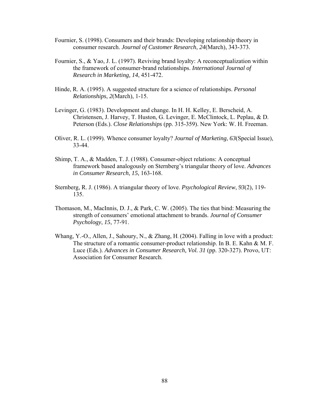- Fournier, S. (1998). Consumers and their brands: Developing relationship theory in consumer research. *Journal of Customer Research*, *24*(March), 343-373.
- Fournier, S., & Yao, J. L. (1997). Reviving brand loyalty: A reconceptualization within the framework of consumer-brand relationships. *International Journal of Research in Marketing, 14*, 451-472.
- Hinde, R. A. (1995). A suggested structure for a science of relationships. *Personal Relationships*, *2*(March), 1-15.
- Levinger, G. (1983). Development and change. In H. H. Kelley, E. Berscheid, A. Christensen, J. Harvey, T. Huston, G. Levinger, E. McClintock, L. Peplau, & D. Peterson (Eds.). *Close Relationships* (pp. 315-359). New York: W. H. Freeman.
- Oliver, R. L. (1999). Whence consumer loyalty? *Journal of Marketing*, *63*(Special Issue), 33-44.
- Shimp, T. A., & Madden, T. J. (1988). Consumer-object relations: A conceptual framework based analogously on Sternberg's triangular theory of love. *Advances in Consumer Research*, *15*, 163-168.
- Sternberg, R. J. (1986). A triangular theory of love. *Psychological Review*, *93*(2), 119- 135.
- Thomason, M., MacInnis, D. J., & Park, C. W. (2005). The ties that bind: Measuring the strength of consumers' emotional attachment to brands. *Journal of Consumer Psychology*, *15*, 77-91.
- Whang, Y.-O., Allen, J., Sahoury, N., & Zhang, H. (2004). Falling in love with a product: The structure of a romantic consumer-product relationship. In B. E. Kahn & M. F. Luce (Eds.). *Advances in Consumer Research, Vol. 31* (pp. 320-327). Provo, UT: Association for Consumer Research.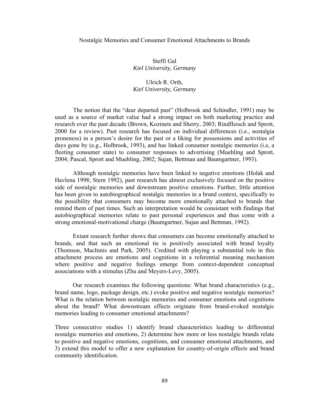#### Nostalgic Memories and Consumer Emotional Attachments to Brands

Steffi Gal *Kiel University, Germany* 

# Ulrich R. Orth, *Kiel University, Germany*

 The notion that the "dear departed past" (Holbrook and Schindler, 1991) may be used as a source of market value had a strong impact on both marketing practice and research over the past decade (Brown, Kozinets and Sherry, 2003; Rindfleisch and Sprott, 2000 for a review). Past research has focused on individual differences (i.e., nostalgia proneness) in a person's desire for the past or a liking for possessions and activities of days gone by (e.g., Holbrook, 1993), and has linked consumer nostalgic memories (i.e, a fleeting consumer state) to consumer responses to advertising (Muehling and Sprott, 2004; Pascal, Sprott and Muehling, 2002; Sujan, Bettman and Baumgartner, 1993).

Although nostalgic memories have been linked to negative emotions (Holak and Havlena 1998; Stern 1992), past research has almost exclusively focused on the positive side of nostalgic memories and downstream positive emotions. Further, little attention has been given to autobiographical nostalgic memories in a brand context, specifically to the possibility that consumers may become more emotionally attached to brands that remind them of past times. Such an interpretation would be consistant with findings that autobiographical memories relate to past personal experiences and thus come with a strong emotional-motivational charge (Baumgartner, Sujan and Bettman, 1992).

Extant research further shows that consumers can become emotionally attached to brands, and that such an emotional tie is positively associated with brand loyalty (Thomson, MacInnis and Park, 2005). Credited with playing a substantial role in this attachment process are emotions and cognitions in a referential meaning mechanism where positive and negative feelings emerge from context-dependent conceptual associations with a stimulus (Zhu and Meyers-Levy, 2005).

Our research examines the following questions: What brand characteristics (e.g., brand name, logo, package design, etc.) evoke positive and negative nostalgic memories? What is the relation between nostalgic memories and consumer emotions and cognitions about the brand? What downstream effects originate from brand-evoked nostalgic memories leading to consumer emotional attachments?

Three consecutive studies 1) identify brand characteristics leading to differential nostalgic memories and emotions, 2) determine how more or less nostalgic brands relate to positive and negative emotions, cognitions, and consumer emotional attachments, and 3) extend this model to offer a new explanation for country-of-origin effects and brand community identification.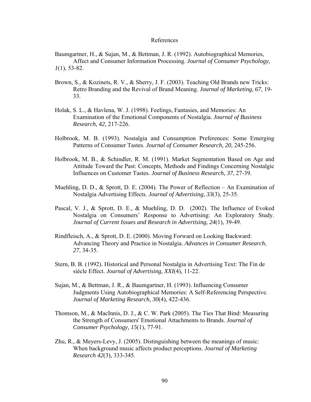#### References

Baumgartner, H., & Sujan, M., & Bettman, J. R. (1992). Autobiographical Memories, Affect and Consumer Information Processing. *Journal of Consumer Psychology, 1*(1), 53-82.

- Brown, S., & Kozinets, R. V., & Sherry, J. F. (2003). Teaching Old Brands new Tricks: Retro Branding and the Revival of Brand Meaning. *Journal of Marketing*, *67*, 19- 33.
- Holak, S. L., & Havlena, W. J. (1998). Feelings, Fantasies, and Memories: An Examination of the Emotional Components of Nostalgia. *Journal of Business Research, 42*, 217-226.
- Holbrook, M. B. (1993). Nostalgia and Consumption Preferences: Some Emerging Patterns of Consumer Tastes. *Journal of Consumer Research, 20,* 245-256.
- Holbrook, M. B., & Schindler, R. M. (1991). Market Segmentation Based on Age and Attitude Toward the Past: Concepts, Methods and Findings Concerning Nostalgic Influences on Customer Tastes. *Journal of Business Research, 37*, 27-39.
- Muehling, D. D., & Sprott, D. E. (2004). The Power of Reflection An Examination of Nostalgia Advertising Effects. *Journal of Advertising*, *33*(3), 25-35.
- Pascal, V. J., & Sprott, D. E., & Muehling, D. D. (2002). The Influence of Evoked Nostalgia on Consumers' Response to Advertising: An Exploratory Study. *Journal of Current Issues and Research in Advertising*, *24*(1), 39-49.
- Rindfleisch, A., & Sprott, D. E. (2000). Moving Forward on Looking Backward: Advancing Theory and Practice in Nostalgia. *Advances in Consumer Research*, *27*, 34-35.
- Stern, B. B. (1992). Historical and Personal Nostalgia in Advertising Text: The Fin de siécle Effect. *Journal of Advertising, XXI*(4), 11-22.
- Sujan, M., & Bettman, J. R., & Baumgartner, H. (1993). Influencing Consumer Judgments Using Autobiographical Memories: A Self-Referencing Perspective. *Journal of Marketing Research, 30*(4), 422-436.
- Thomson, M., & MacInnis, D. J., & C. W. Park (2005). The Ties That Bind: Measuring the Strength of Consumers' Emotional Attachments to Brands. *Journal of Consumer Psychology, 15*(1), 77-91.
- Zhu, R., & Meyers-Levy, J. (2005). Distinguishing between the meanings of music: When background music affects product perceptions. *Journal of Marketing Research 42*(3), 333-345.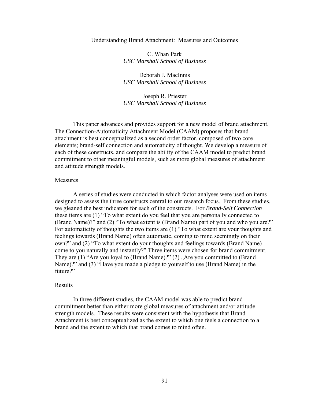#### Understanding Brand Attachment: Measures and Outcomes

C. Whan Park *USC Marshall School of Business*

Deborah J. MacInnis *USC Marshall School of Business*

Joseph R. Priester *USC Marshall School of Business*

 This paper advances and provides support for a new model of brand attachment. The Connection-Automaticity Attachment Model (CAAM) proposes that brand attachment is best conceptualized as a second order factor, composed of two core elements; brand-self connection and automaticity of thought. We develop a measure of each of these constructs, and compare the ability of the CAAM model to predict brand commitment to other meaningful models, such as more global measures of attachment and attitude strength models.

#### Measures

 A series of studies were conducted in which factor analyses were used on items designed to assess the three constructs central to our research focus. From these studies, we gleaned the best indicators for each of the constructs. For *Brand-Self Connection* these items are (1) "To what extent do you feel that you are personally connected to (Brand Name)?" and (2) "To what extent is (Brand Name) part of you and who you are?" For automaticity of thoughts the two items are (1) "To what extent are your thoughts and feelings towards (Brand Name) often automatic, coming to mind seemingly on their own?" and (2) "To what extent do your thoughts and feelings towards (Brand Name) come to you naturally and instantly?" Three items were chosen for brand commitment. They are  $(1)$  "Are you loyal to  $(Brand Name)$ ?"  $(2)$  , Are you committed to  $(Brand$ Name)?" and (3) "Have you made a pledge to yourself to use (Brand Name) in the future?"

#### Results

 In three different studies, the CAAM model was able to predict brand commitment better than either more global measures of attachment and/or attitude strength models. These results were consistent with the hypothesis that Brand Attachment is best conceptualized as the extent to which one feels a connection to a brand and the extent to which that brand comes to mind often.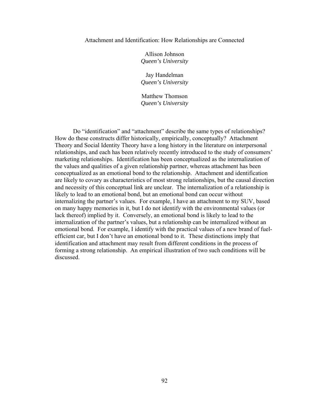#### Attachment and Identification: How Relationships are Connected

Allison Johnson *Queen's University*

Jay Handelman *Queen's University*

Matthew Thomson *Queen's University*

Do "identification" and "attachment" describe the same types of relationships? How do these constructs differ historically, empirically, conceptually? Attachment Theory and Social Identity Theory have a long history in the literature on interpersonal relationships, and each has been relatively recently introduced to the study of consumers' marketing relationships. Identification has been conceptualized as the internalization of the values and qualities of a given relationship partner, whereas attachment has been conceptualized as an emotional bond to the relationship. Attachment and identification are likely to covary as characteristics of most strong relationships, but the causal direction and necessity of this conceptual link are unclear. The internalization of a relationship is likely to lead to an emotional bond, but an emotional bond can occur without internalizing the partner's values. For example, I have an attachment to my SUV, based on many happy memories in it, but I do not identify with the environmental values (or lack thereof) implied by it. Conversely, an emotional bond is likely to lead to the internalization of the partner's values, but a relationship can be internalized without an emotional bond. For example, I identify with the practical values of a new brand of fuelefficient car, but I don't have an emotional bond to it. These distinctions imply that identification and attachment may result from different conditions in the process of forming a strong relationship. An empirical illustration of two such conditions will be discussed.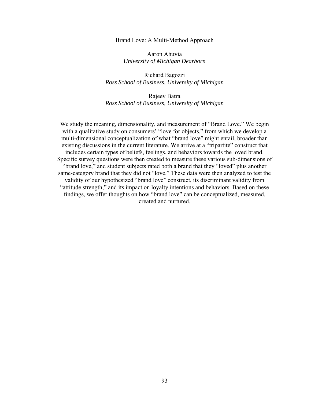#### Brand Love: A Multi-Method Approach

Aaron Ahuvia *University of Michigan Dearborn* 

Richard Bagozzi *Ross School of Business, University of Michigan* 

Rajeev Batra *Ross School of Business, University of Michigan* 

We study the meaning, dimensionality, and measurement of "Brand Love." We begin with a qualitative study on consumers' "love for objects," from which we develop a multi-dimensional conceptualization of what "brand love" might entail, broader than existing discussions in the current literature. We arrive at a "tripartite" construct that includes certain types of beliefs, feelings, and behaviors towards the loved brand. Specific survey questions were then created to measure these various sub-dimensions of "brand love," and student subjects rated both a brand that they "loved" plus another same-category brand that they did not "love." These data were then analyzed to test the validity of our hypothesized "brand love" construct, its discriminant validity from "attitude strength," and its impact on loyalty intentions and behaviors. Based on these findings, we offer thoughts on how "brand love" can be conceptualized, measured, created and nurtured.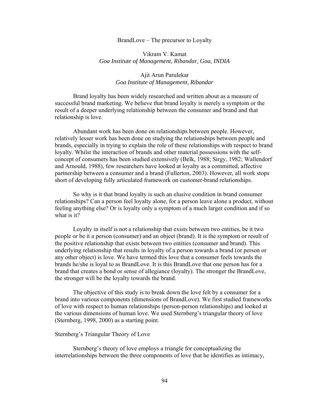#### BrandLove – The precursor to Loyalty

## Vikram V. Kamat *Goa Institute of Management, Ribandar, Goa, INDIA*

## Ajit Arun Parulekar *Goa Institute of Management, Ribandar*

 Brand loyalty has been widely researched and written about as a measure of successful brand marketing. We believe that brand loyalty is merely a symptom or the result of a deeper underlying relationship between the consumer and brand and that relationship is love.

 Abundant work has been done on relationships between people. However, relatively lesser work has been done on studying the relationships between people and brands, especially in trying to explain the role of these relationships with respect to brand loyalty. Whilst the interaction of brands and other material possessions with the selfconcept of consumers has been studied extensively (Belk, 1988; Sirgy, 1982; Wallendorf and Arnould, 1988), few researchers have looked at loyalty as a committed, affective partnership between a consumer and a brand (Fullerton, 2003). However, all work stops short of developing fully articulated framework on customer-brand relationships.

 So why is it that brand loyalty is such an elusive condition in brand consumer relationships? Can a person feel loyalty alone, for a person leave alone a product, without feeling anything else? Or is loyalty only a symptom of a much larger condition and if so what is it?

 Loyalty in itself is not a relationship that exists between two entities, be it two people or be it a person (consumer) and an object (brand). It is the symptom or result of the positive relationship that exists between two entities (consumer and brand). This underlying relationship that results in loyalty of a person towards a brand (or person or any other object) is love. We have termed this love that a consumer feels towards the brands he/she is loyal to as BrandLove. It is this BrandLove that one person has for a brand that creates a bond or sense of allegiance (loyalty). The stronger the BrandLove, the stronger will be the loyalty towards the brand.

 The objective of this study is to break down the love felt by a consumer for a brand into various components (dimensions of BrandLove). We first studied frameworks of love with respect to human relationships (person-person relationships) and looked at the various dimensions of human love. We used Sternberg's triangular theory of love (Sternberg, 1998, 2000) as a starting point.

#### Sternberg's Triangular Theory of Love

 Sternberg's theory of love employs a triangle for conceptualizing the interrelationships between the three components of love that he identifies as intimacy,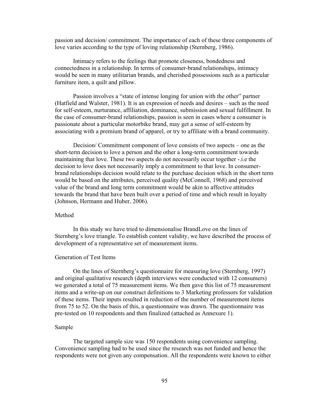passion and decision/ commitment. The importance of each of these three components of love varies according to the type of loving relationship (Sternberg, 1986).

 Intimacy refers to the feelings that promote closeness, bondedness and connectedness in a relationship. In terms of consumer-brand relationships, intimacy would be seen in many utilitarian brands, and cherished possessions such as a particular furniture item, a quilt and pillow.

 Passion involves a "state of intense longing for union with the other" partner (Hatfield and Walster, 1981). It is an expression of needs and desires – such as the need for self-esteem, nurturance, affiliation, dominance, submission and sexual fulfillment. In the case of consumer-brand relationships, passion is seen in cases where a consumer is passionate about a particular motorbike brand, may get a sense of self-esteem by associating with a premium brand of apparel, or try to affiliate with a brand community.

 Decision/ Commitment component of love consists of two aspects – one as the short-term decision to love a person and the other a long-term commitment towards maintaining that love. These two aspects do not necessarily occur together -.i.e the decision to love does not necessarily imply a commitment to that love. In consumerbrand relationships decision would relate to the purchase decision which in the short term would be based on the attributes, perceived quality (McConnell, 1968) and perceived value of the brand and long term commitment would be akin to affective attitudes towards the brand that have been built over a period of time and which result in loyalty (Johnson, Hermann and Huber, 2006).

## Method

 In this study we have tried to dimensionalise BrandLove on the lines of Sternberg's love triangle. To establish content validity, we have described the process of development of a representative set of measurement items.

### Generation of Test Items

 On the lines of Sternberg's questionnaire for measuring love (Sternberg, 1997) and original qualitative research (depth interviews were conducted with 12 consumers) we generated a total of 75 measurement items. We then gave this list of 75 measurement items and a write-up on our construct definitions to 3 Marketing professors for validation of these items. Their inputs resulted in reduction of the number of measurement items from 75 to 52. On the basis of this, a questionnaire was drawn. The questionnaire was pre-tested on 10 respondents and then finalized (attached as Annexure 1).

### Sample

 The targeted sample size was 150 respondents using convenience sampling. Convenience sampling had to be used since the research was not funded and hence the respondents were not given any compensation. All the respondents were known to either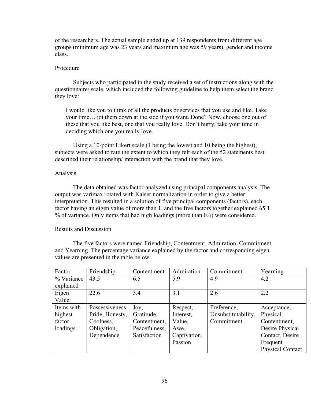of the researchers. The actual sample ended up at 139 respondents from different age groups (minimum age was 23 years and maximum age was 59 years), gender and income class.

# Procedure

 Subjects who participated in the study received a set of instructions along with the questionnaire/ scale, which included the following guideline to help them select the brand they love:

I would like you to think of all the products or services that you use and like. Take your time… jot them down at the side if you want. Done? Now, choose one out of these that you like best, one that you really love. Don't hurry; take your time in deciding which one you really love.

 Using a 10-point Likert scale (1 being the lowest and 10 being the highest), subjects were asked to rate the extent to which they felt each of the 52 statements best described their relationship/ interaction with the brand that they love.

#### Analysis

 The data obtained was factor-analyzed using principal components analysis. The output was varimax rotated with Kaiser normalization in order to give a better interpretation. This resulted in a solution of five principal components (factors), each factor having an eigen value of more than 1, and the five factors together explained 65.1 % of variance. Only items that had high loadings (more than 0.6) were considered.

### Results and Discussion

 The five factors were named Friendship, Contentment, Admiration, Commitment and Yearning. The percentage variance explained by the factor and corresponding eigen values are presented in the table below:

| Factor     | Friendship      | Contentment   | Admiration   | Commitment          | Yearning         |
|------------|-----------------|---------------|--------------|---------------------|------------------|
| % Variance | 43.5            | 6.5           | 5.9          | 4.9                 | 4.2              |
| explained  |                 |               |              |                     |                  |
| Eigen      | 22.6            | 3.4           | 3.1          | 2.6                 | 2.2              |
| Value      |                 |               |              |                     |                  |
| Items with | Possessiveness, | Joy,          | Respect,     | Preference,         | Acceptance,      |
| highest    | Pride, Honesty, | Gratitude,    | Interest,    | Unsubstitutability, | Physical         |
| factor     | Coolness,       | Contentment.  | Value,       | Commitment          | Contentment,     |
| loadings   | Obligation,     | Peacefulness, | Awe,         |                     | Desire Physical  |
|            | Dependence      | Satisfaction  | Captivation, |                     | Contact, Desire  |
|            |                 |               | Passion      |                     | Frequent         |
|            |                 |               |              |                     | Physical Contact |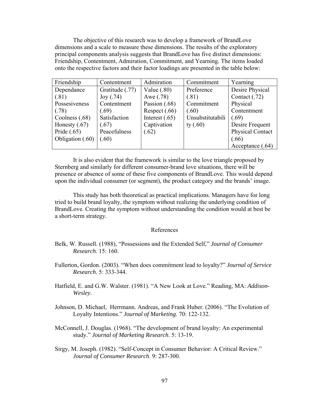The objective of this research was to develop a framework of BrandLove dimensions and a scale to measure these dimensions. The results of the exploratory principal components analysis suggests that BrandLove has five distinct dimensions: Friendship, Contentment, Admiration, Commitment, and Yearning. The items loaded onto the respective factors and their factor loadings are presented in the table below:

| Friendship       | Contentment     | Admiration       | Commitment       | Yearning                |
|------------------|-----------------|------------------|------------------|-------------------------|
| Dependance       | Gratitude (.77) | Value $(.80)$    | Preference       | Desire Physical         |
| (.81)            | Joy(0.74)       | Awe (.78)        | (.81)            | Contact (.72)           |
| Possesiveness    | Contentment     | Passion $(.68)$  | Commitment       | Physical                |
| (.78)            | (.69)           | Respect $(.66)$  | (.60)            | Contentment             |
| Coolness (.68)   | Satisfaction    | Interest $(.65)$ | Unsubstitutabili | (.69)                   |
| Honesty $(.67)$  | (.67)           | Captivation      | ty $(.60)$       | Desire Frequent         |
| Pride $(.65)$    | Peacefulness    | (.62)            |                  | <b>Physical Contact</b> |
| Obligation (.60) | (.60)           |                  |                  | (.66)                   |
|                  |                 |                  |                  | Acceptance (.64)        |

 It is also evident that the framework is similar to the love triangle proposed by Sternberg and similarly for different consumer-brand love situations, there will be presence or absence of some of these five components of BrandLove. This would depend upon the individual consumer (or segment), the product category and the brands' image.

 This study has both theoretical as practical implications. Managers have for long tried to build brand loyalty, the symptom without realizing the underlying condition of BrandLove. Creating the symptom without understanding the condition would at best be a short-term strategy.

#### References

- Belk, W. Russell. (1988), "Possessions and the Extended Self," *Journal of Consumer Research*. 15: 160.
- Fullerton, Gordon. (2003). "When does commitment lead to loyalty?" *Journal of Service Research*. 5: 333-344.
- Hatfield, E. and G.W. Walster. (1981). "A New Look at Love." Reading, MA: *Addison-Wesley*.
- Johnson, D. Michael, Herrmann. Andreas, and Frank Huber. (2006). "The Evolution of Loyalty Intentions." *Journal of Marketing*. 70: 122-132.
- McConnell, J. Douglas. (1968). "The development of brand loyalty: An experimental study." *Journal of Marketing Research*. 5: 13-19.
- Sirgy, M. Joseph. (1982). "Self-Concept in Consumer Behavior: A Critical Review." *Journal of Consumer Research*. 9: 287-300.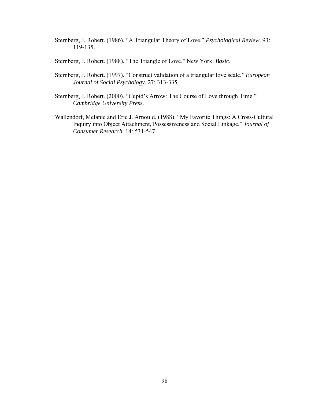- Sternberg, J. Robert. (1986). "A Triangular Theory of Love." *Psychological Review*. 93: 119-135.
- Sternberg, J. Robert. (1988). "The Triangle of Love." New York: *Basic*.
- Sternberg, J. Robert. (1997). "Construct validation of a triangular love scale." *European Journal of Social Psychology*. 27: 313-335.
- Sternberg, J. Robert. (2000). "Cupid's Arrow: The Course of Love through Time." *Cambridge University Press*.
- Wallendorf, Melanie and Eric J. Arnould. (1988). "My Favorite Things: A Cross-Cultural Inquiry into Object Attachment, Possessiveness and Social Linkage." *Journal of Consumer Research*. 14: 531-547.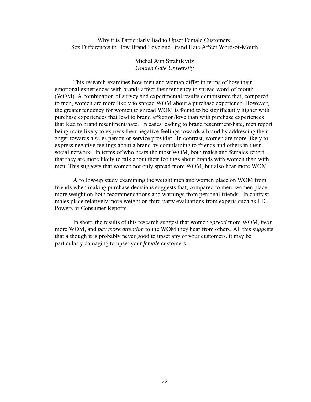Why it is Particularly Bad to Upset Female Customers: Sex Differences in How Brand Love and Brand Hate Affect Word-of-Mouth

> Michal Ann Strahilevitz *Golden Gate University*

 This research examines how men and women differ in terms of how their emotional experiences with brands affect their tendency to spread word-of-mouth (WOM). A combination of survey and experimental results demonstrate that, compared to men, women are more likely to spread WOM about a purchase experience. However, the greater tendency for women to spread WOM is found to be significantly higher with purchase experiences that lead to brand affection/love than with purchase experiences that lead to brand resentment/hate. In cases leading to brand resentment/hate, men report being more likely to express their negative feelings towards a brand by addressing their anger towards a sales person or service provider. In contrast, women are more likely to express negative feelings about a brand by complaining to friends and others in their social network. In terms of who hears the most WOM, both males and females report that they are more likely to talk about their feelings about brands with women than with men. This suggests that women not only spread more WOM, but also hear more WOM.

 A follow-up study examining the weight men and women place on WOM from friends when making purchase decisions suggests that, compared to men, women place more weight on both recommendations and warnings from personal friends. In contrast, males place relatively more weight on third party evaluations from experts such as J.D. Powers or Consumer Reports.

 In short, the results of this research suggest that women *spread* more WOM, *hear*  more WOM, and *pay more attention* to the WOM they hear from others. All this suggests that although it is probably never good to upset any of your customers, it may be particularly damaging to upset your *female* customers.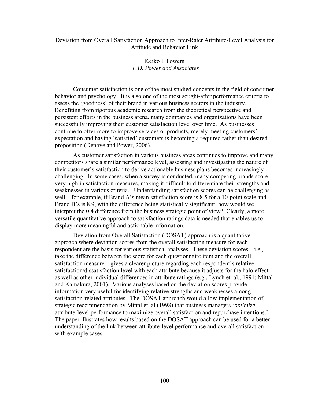## Deviation from Overall Satisfaction Approach to Inter-Rater Attribute-Level Analysis for Attitude and Behavior Link

## Keiko I. Powers  *J. D. Power and Associates*

Consumer satisfaction is one of the most studied concepts in the field of consumer behavior and psychology. It is also one of the most sought-after performance criteria to assess the 'goodness' of their brand in various business sectors in the industry. Benefiting from rigorous academic research from the theoretical perspective and persistent efforts in the business arena, many companies and organizations have been successfully improving their customer satisfaction level over time. As businesses continue to offer more to improve services or products, merely meeting customers' expectation and having 'satisfied' customers is becoming a required rather than desired proposition (Denove and Power, 2006).

As customer satisfaction in various business areas continues to improve and many competitors share a similar performance level, assessing and investigating the nature of their customer's satisfaction to derive actionable business plans becomes increasingly challenging. In some cases, when a survey is conducted, many competing brands score very high in satisfaction measures, making it difficult to differentiate their strengths and weaknesses in various criteria. Understanding satisfaction scores can be challenging as well – for example, if Brand A's mean satisfaction score is 8.5 for a 10-point scale and Brand B's is 8.9, with the difference being statistically significant, how would we interpret the 0.4 difference from the business strategic point of view? Clearly, a more versatile quantitative approach to satisfaction ratings data is needed that enables us to display more meaningful and actionable information.

Deviation from Overall Satisfaction (DOSAT) approach is a quantitative approach where deviation scores from the overall satisfaction measure for each respondent are the basis for various statistical analyses. These deviation scores – i.e., take the difference between the score for each questionnaire item and the overall satisfaction measure – gives a clearer picture regarding each respondent's relative satisfaction/dissatisfaction level with each attribute because it adjusts for the halo effect as well as other individual differences in attribute ratings (e.g., Lynch et. al., 1991; Mittal and Kamakura, 2001). Various analyses based on the deviation scores provide information very useful for identifying relative strengths and weaknesses among satisfaction-related attributes. The DOSAT approach would allow implementation of strategic recommendation by Mittal et. al (1998) that business managers '*optimize* attribute-level performance to maximize overall satisfaction and repurchase intentions.' The paper illustrates how results based on the DOSAT approach can be used for a better understanding of the link between attribute-level performance and overall satisfaction with example cases.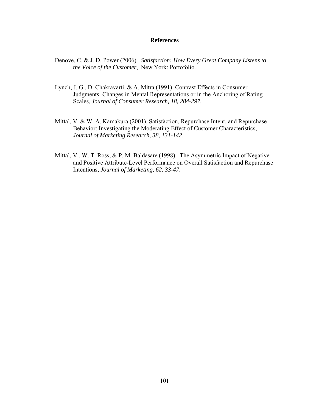## **References**

- Denove, C. & J. D. Power (2006). *Satisfaction: How Every Great Company Listens to the Voice of the Customer*, New York: Portofolio.
- Lynch, J. G., D. Chakravarti, & A. Mitra (1991). Contrast Effects in Consumer Judgments: Changes in Mental Representations or in the Anchoring of Rating Scales, *Journal of Consumer Research, 18, 284-297.*
- Mittal, V. & W. A. Kamakura (2001). Satisfaction, Repurchase Intent, and Repurchase Behavior: Investigating the Moderating Effect of Customer Characteristics, *Journal of Marketing Research, 38*, *131-142*.
- Mittal, V., W. T. Ross, & P. M. Baldasare (1998). The Asymmetric Impact of Negative and Positive Attribute-Level Performance on Overall Satisfaction and Repurchase Intentions, *Journal of Marketing, 62, 33-47*.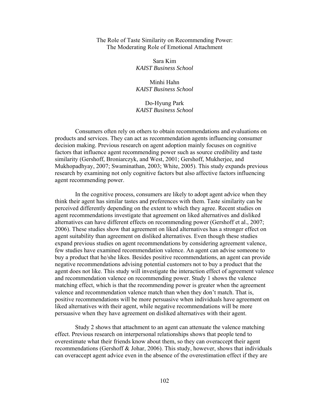### The Role of Taste Similarity on Recommending Power: The Moderating Role of Emotional Attachment

Sara Kim *KAIST Business School*

Minhi Hahn *KAIST Business School* 

## Do-Hyung Park *KAIST Business School*

Consumers often rely on others to obtain recommendations and evaluations on products and services. They can act as recommendation agents influencing consumer decision making. Previous research on agent adoption mainly focuses on cognitive factors that influence agent recommending power such as source credibility and taste similarity (Gershoff, Broniarczyk, and West, 2001; Gershoff, Mukherjee, and Mukhopadhyay, 2007; Swaminathan, 2003; White, 2005). This study expands previous research by examining not only cognitive factors but also affective factors influencing agent recommending power.

In the cognitive process, consumers are likely to adopt agent advice when they think their agent has similar tastes and preferences with them. Taste similarity can be perceived differently depending on the extent to which they agree. Recent studies on agent recommendations investigate that agreement on liked alternatives and disliked alternatives can have different effects on recommending power (Gershoff et al., 2007; 2006). These studies show that agreement on liked alternatives has a stronger effect on agent suitability than agreement on disliked alternatives. Even though these studies expand previous studies on agent recommendations by considering agreement valence, few studies have examined recommendation valence. An agent can advise someone to buy a product that he/she likes. Besides positive recommendations, an agent can provide negative recommendations advising potential customers not to buy a product that the agent does not like. This study will investigate the interaction effect of agreement valence and recommendation valence on recommending power. Study 1 shows the valence matching effect, which is that the recommending power is greater when the agreement valence and recommendation valence match than when they don't match. That is, positive recommendations will be more persuasive when individuals have agreement on liked alternatives with their agent, while negative recommendations will be more persuasive when they have agreement on disliked alternatives with their agent.

Study 2 shows that attachment to an agent can attenuate the valence matching effect. Previous research on interpersonal relationships shows that people tend to overestimate what their friends know about them, so they can overaccept their agent recommendations (Gershoff & Johar, 2006). This study, however, shows that individuals can overaccept agent advice even in the absence of the overestimation effect if they are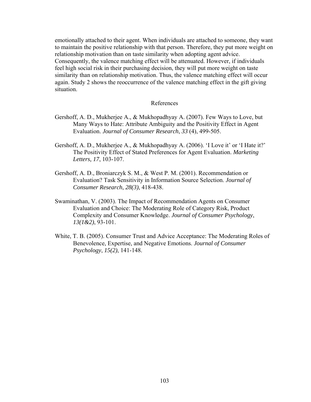emotionally attached to their agent. When individuals are attached to someone, they want to maintain the positive relationship with that person. Therefore, they put more weight on relationship motivation than on taste similarity when adopting agent advice. Consequently, the valence matching effect will be attenuated. However, if individuals feel high social risk in their purchasing decision, they will put more weight on taste similarity than on relationship motivation. Thus, the valence matching effect will occur again. Study 2 shows the reoccurrence of the valence matching effect in the gift giving situation.

#### References

- Gershoff, A. D., Mukherjee A., & Mukhopadhyay A. (2007). Few Ways to Love, but Many Ways to Hate: Attribute Ambiguity and the Positivity Effect in Agent Evaluation. *Journal of Consumer Research*, *33* (4), 499-505.
- Gershoff, A. D., Mukherjee A., & Mukhopadhyay A. (2006). 'I Love it' or 'I Hate it?' The Positivity Effect of Stated Preferences for Agent Evaluation. *Marketing Letters, 17*, 103-107.
- Gershoff, A. D., Broniarczyk S. M., & West P. M. (2001). Recommendation or Evaluation? Task Sensitivity in Information Source Selection. *Journal of Consumer Research*, *28(3)*, 418-438.
- Swaminathan, V. (2003). The Impact of Recommendation Agents on Consumer Evaluation and Choice: The Moderating Role of Category Risk, Product Complexity and Consumer Knowledge. *Journal of Consumer Psychology*, *13(1&2)*, 93-101.
- White, T. B. (2005). Consumer Trust and Advice Acceptance: The Moderating Roles of Benevolence, Expertise, and Negative Emotions. *Journal of Consumer Psychology*, *15(2)*, 141-148.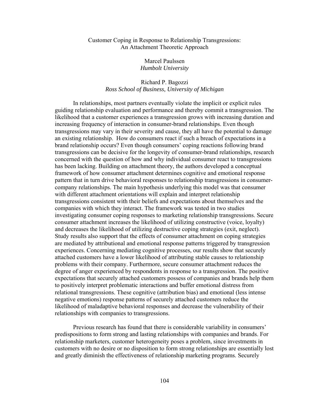### Customer Coping in Response to Relationship Transgressions: An Attachment Theoretic Approach

Marcel Paulssen *Humbolt University* 

## Richard P. Bagozzi *Ross School of Business, University of Michigan*

 In relationships, most partners eventually violate the implicit or explicit rules guiding relationship evaluation and performance and thereby commit a transgression. The likelihood that a customer experiences a transgression grows with increasing duration and increasing frequency of interaction in consumer-brand relationships. Even though transgressions may vary in their severity and cause, they all have the potential to damage an existing relationship. How do consumers react if such a breach of expectations in a brand relationship occurs? Even though consumers' coping reactions following brand transgressions can be decisive for the longevity of consumer-brand relationships, research concerned with the question of how and why individual consumer react to transgressions has been lacking. Building on attachment theory, the authors developed a conceptual framework of how consumer attachment determines cognitive and emotional response pattern that in turn drive behavioral responses to relationship transgressions in consumercompany relationships. The main hypothesis underlying this model was that consumer with different attachment orientations will explain and interpret relationship transgressions consistent with their beliefs and expectations about themselves and the companies with which they interact. The framework was tested in two studies investigating consumer coping responses to marketing relationship transgressions. Secure consumer attachment increases the likelihood of utilizing constructive (voice, loyalty) and decreases the likelihood of utilizing destructive coping strategies (exit, neglect). Study results also support that the effects of consumer attachment on coping strategies are mediated by attributional and emotional response patterns triggered by transgression experiences. Concerning mediating cognitive processes, our results show that securely attached customers have a lower likelihood of attributing stable causes to relationship problems with their company. Furthermore, secure consumer attachment reduces the degree of anger experienced by respondents in response to a transgression. The positive expectations that securely attached customers possess of companies and brands help them to positively interpret problematic interactions and buffer emotional distress from relational transgressions. These cognitive (attribution bias) and emotional (less intense negative emotions) response patterns of securely attached customers reduce the likelihood of maladaptive behavioral responses and decrease the vulnerability of their relationships with companies to transgressions.

 Previous research has found that there is considerable variability in consumers' predispositions to form strong and lasting relationships with companies and brands. For relationship marketers, customer heterogeneity poses a problem, since investments in customers with no desire or no disposition to form strong relationships are essentially lost and greatly diminish the effectiveness of relationship marketing programs. Securely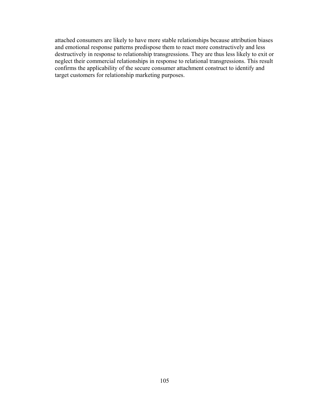attached consumers are likely to have more stable relationships because attribution biases and emotional response patterns predispose them to react more constructively and less destructively in response to relationship transgressions. They are thus less likely to exit or neglect their commercial relationships in response to relational transgressions. This result confirms the applicability of the secure consumer attachment construct to identify and target customers for relationship marketing purposes.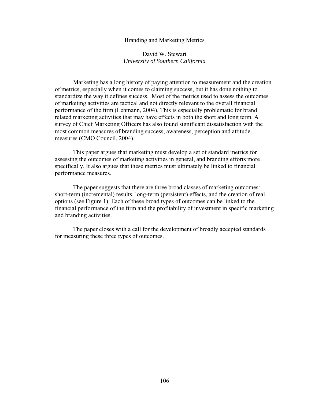#### Branding and Marketing Metrics

## David W. Stewart *University of Southern California*

 Marketing has a long history of paying attention to measurement and the creation of metrics, especially when it comes to claiming success, but it has done nothing to standardize the way it defines success. Most of the metrics used to assess the outcomes of marketing activities are tactical and not directly relevant to the overall financial performance of the firm (Lehmann, 2004). This is especially problematic for brand related marketing activities that may have effects in both the short and long term. A survey of Chief Marketing Officers has also found significant dissatisfaction with the most common measures of branding success, awareness, perception and attitude measures (CMO Council, 2004).

 This paper argues that marketing must develop a set of standard metrics for assessing the outcomes of marketing activities in general, and branding efforts more specifically. It also argues that these metrics must ultimately be linked to financial performance measures.

 The paper suggests that there are three broad classes of marketing outcomes: short-term (incremental) results, long-term (persistent) effects, and the creation of real options (see Figure 1). Each of these broad types of outcomes can be linked to the financial performance of the firm and the profitability of investment in specific marketing and branding activities.

 The paper closes with a call for the development of broadly accepted standards for measuring these three types of outcomes.